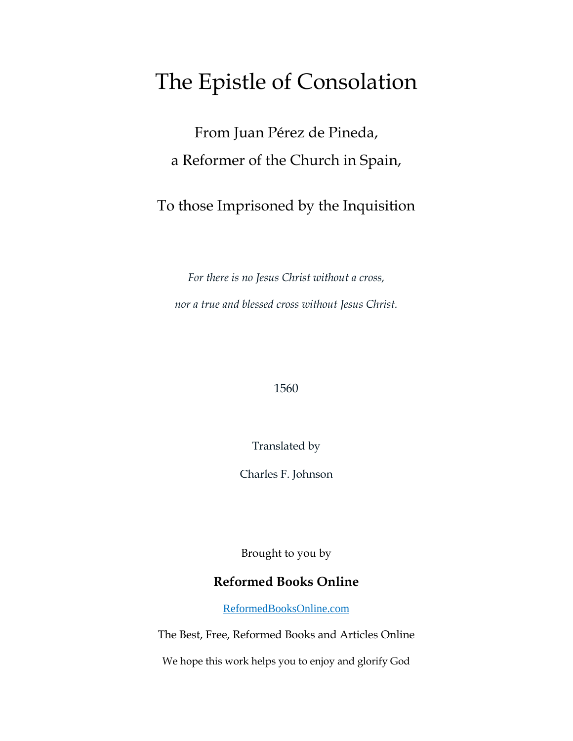## The Epistle of Consolation

From Juan Pérez de Pineda, a Reformer of the Church in Spain,

To those Imprisoned by the Inquisition

*For there is no Jesus Christ without a cross, nor a true and blessed cross without Jesus Christ.*

### 1560

Translated by

Charles F. Johnson

Brought to you by

### **Reformed Books Online**

[ReformedBooksOnline.com](http://reformedbooksonline.com/)

The Best, Free, Reformed Books and Articles Online

We hope this work helps you to enjoy and glorify God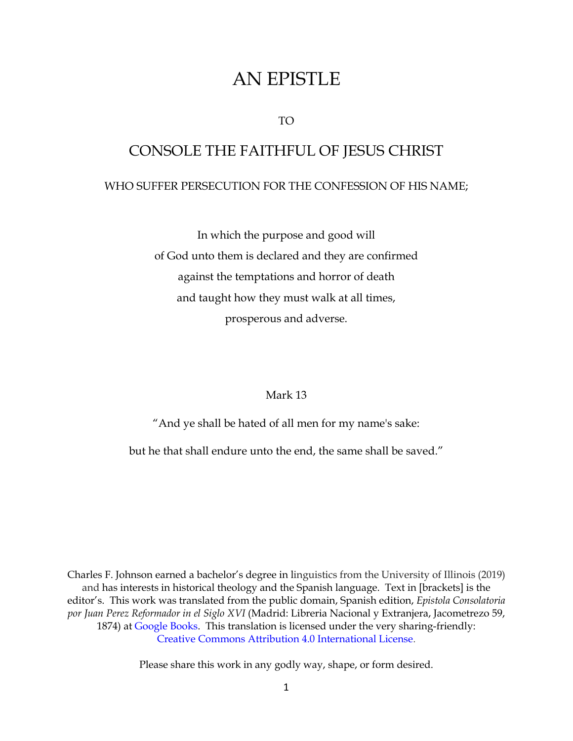## AN EPISTLE

TO

# CONSOLE THE FAITHFUL OF JESUS CHRIST WHO SUFFER PERSECUTION FOR THE CONFESSION OF HIS NAME;

In which the purpose and good will of God unto them is declared and they are confirmed against the temptations and horror of death and taught how they must walk at all times, prosperous and adverse.

### Mark 13

"And ye shall be hated of all men for my name's sake:

but he that shall endure unto the end, the same shall be saved."

Charles F. Johnson earned a bachelor's degree in linguistics from the University of Illinois (2019) and has interests in historical theology and the Spanish language. Text in [brackets] is the editor's. This work was translated from the public domain, Spanish edition, *Epistola Consolatoria por Juan Perez Reformador in el Siglo XVI* (Madrid: Libreria Nacional y Extranjera, Jacometrezo 59, 1874) at [Google Books.](https://books.google.com/books?id=eyhpAAAAcAAJ&printsec=frontcover&source=gbs_ge_summary_r&cad=0#v=onepage&q&f=false) This translation is licensed under the very sharing-friendly: [Creative Commons Attribution 4.0 International License.](https://creativecommons.org/licenses/by/4.0/)

Please share this work in any godly way, shape, or form desired.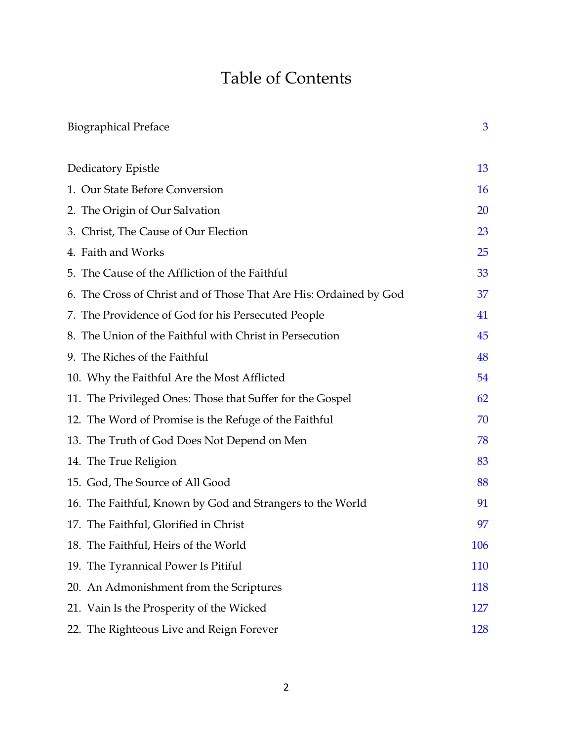## Table of Contents

| <b>Biographical Preface</b>                                       | 3          |
|-------------------------------------------------------------------|------------|
| Dedicatory Epistle                                                | 13         |
| 1. Our State Before Conversion                                    | <b>16</b>  |
| 2. The Origin of Our Salvation                                    | <b>20</b>  |
| 3. Christ, The Cause of Our Election                              | 23         |
| 4. Faith and Works                                                | 25         |
| 5. The Cause of the Affliction of the Faithful                    | 33         |
| 6. The Cross of Christ and of Those That Are His: Ordained by God | 37         |
| 7. The Providence of God for his Persecuted People                | 41         |
| 8. The Union of the Faithful with Christ in Persecution           | 45         |
| 9. The Riches of the Faithful                                     | 48         |
| 10. Why the Faithful Are the Most Afflicted                       | 54         |
| 11. The Privileged Ones: Those that Suffer for the Gospel         | 62         |
| 12. The Word of Promise is the Refuge of the Faithful             | 70         |
| 13. The Truth of God Does Not Depend on Men                       | 78         |
| 14. The True Religion                                             | 83         |
| 15. God, The Source of All Good                                   | 88         |
| 16. The Faithful, Known by God and Strangers to the World         | 91         |
| 17. The Faithful, Glorified in Christ                             | 97         |
| 18. The Faithful, Heirs of the World                              | 106        |
| 19. The Tyrannical Power Is Pitiful                               | 110        |
| 20. An Admonishment from the Scriptures                           | <b>118</b> |
| 21. Vain Is the Prosperity of the Wicked                          | 127        |
| 22. The Righteous Live and Reign Forever                          | <b>128</b> |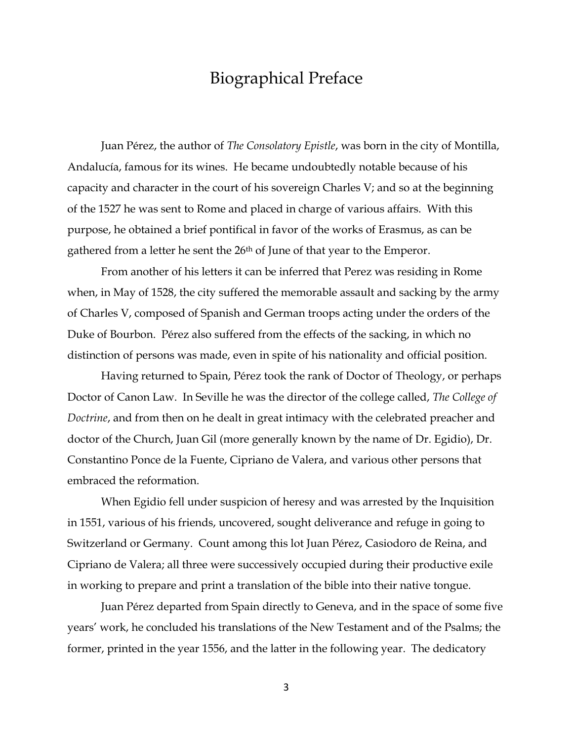### Biographical Preface

<span id="page-3-0"></span>Juan Pérez, the author of *The Consolatory Epistle*, was born in the city of Montilla, Andalucía, famous for its wines. He became undoubtedly notable because of his capacity and character in the court of his sovereign Charles V; and so at the beginning of the 1527 he was sent to Rome and placed in charge of various affairs. With this purpose, he obtained a brief pontifical in favor of the works of Erasmus, as can be gathered from a letter he sent the 26<sup>th</sup> of June of that year to the Emperor.

From another of his letters it can be inferred that Perez was residing in Rome when, in May of 1528, the city suffered the memorable assault and sacking by the army of Charles V, composed of Spanish and German troops acting under the orders of the Duke of Bourbon. Pérez also suffered from the effects of the sacking, in which no distinction of persons was made, even in spite of his nationality and official position.

Having returned to Spain, Pérez took the rank of Doctor of Theology, or perhaps Doctor of Canon Law. In Seville he was the director of the college called, *The College of Doctrine*, and from then on he dealt in great intimacy with the celebrated preacher and doctor of the Church, Juan Gil (more generally known by the name of Dr. Egidio), Dr. Constantino Ponce de la Fuente, Cipriano de Valera, and various other persons that embraced the reformation.

When Egidio fell under suspicion of heresy and was arrested by the Inquisition in 1551, various of his friends, uncovered, sought deliverance and refuge in going to Switzerland or Germany. Count among this lot Juan Pérez, Casiodoro de Reina, and Cipriano de Valera; all three were successively occupied during their productive exile in working to prepare and print a translation of the bible into their native tongue.

Juan Pérez departed from Spain directly to Geneva, and in the space of some five years' work, he concluded his translations of the New Testament and of the Psalms; the former, printed in the year 1556, and the latter in the following year. The dedicatory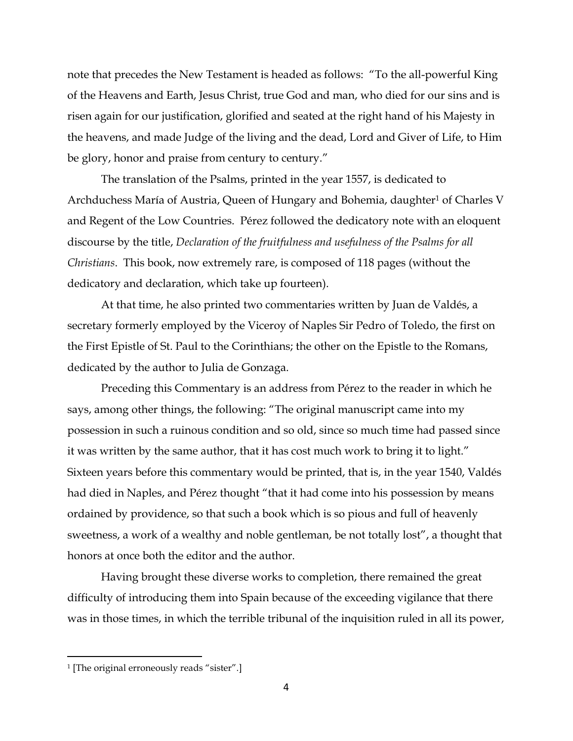note that precedes the New Testament is headed as follows: "To the all-powerful King of the Heavens and Earth, Jesus Christ, true God and man, who died for our sins and is risen again for our justification, glorified and seated at the right hand of his Majesty in the heavens, and made Judge of the living and the dead, Lord and Giver of Life, to Him be glory, honor and praise from century to century."

The translation of the Psalms, printed in the year 1557, is dedicated to Archduchess María of Austria, Queen of Hungary and Bohemia, daughter<sup>1</sup> of Charles V and Regent of the Low Countries. Pérez followed the dedicatory note with an eloquent discourse by the title, *Declaration of the fruitfulness and usefulness of the Psalms for all Christians*. This book, now extremely rare, is composed of 118 pages (without the dedicatory and declaration, which take up fourteen).

At that time, he also printed two commentaries written by Juan de Valdés, a secretary formerly employed by the Viceroy of Naples Sir Pedro of Toledo, the first on the First Epistle of St. Paul to the Corinthians; the other on the Epistle to the Romans, dedicated by the author to Julia de Gonzaga.

Preceding this Commentary is an address from Pérez to the reader in which he says, among other things, the following: "The original manuscript came into my possession in such a ruinous condition and so old, since so much time had passed since it was written by the same author, that it has cost much work to bring it to light." Sixteen years before this commentary would be printed, that is, in the year 1540, Valdés had died in Naples, and Pérez thought "that it had come into his possession by means ordained by providence, so that such a book which is so pious and full of heavenly sweetness, a work of a wealthy and noble gentleman, be not totally lost", a thought that honors at once both the editor and the author.

Having brought these diverse works to completion, there remained the great difficulty of introducing them into Spain because of the exceeding vigilance that there was in those times, in which the terrible tribunal of the inquisition ruled in all its power,

<sup>1</sup> [The original erroneously reads "sister".]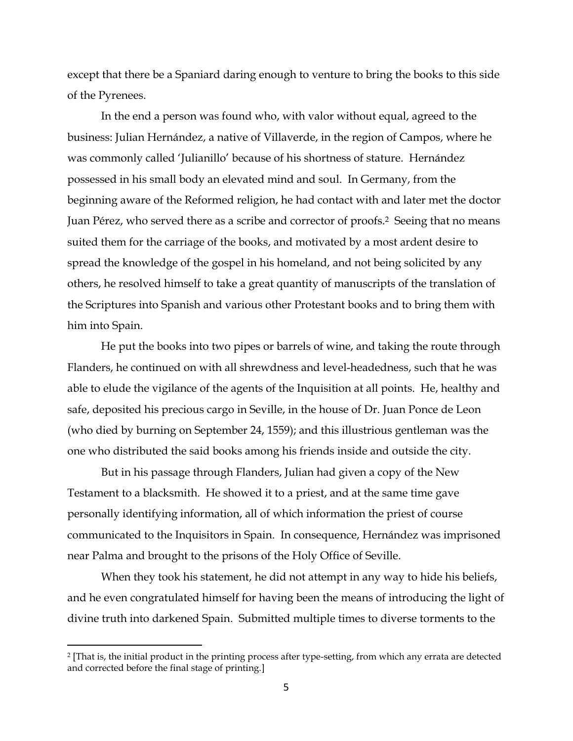except that there be a Spaniard daring enough to venture to bring the books to this side of the Pyrenees.

In the end a person was found who, with valor without equal, agreed to the business: Julian Hernández, a native of Villaverde, in the region of Campos, where he was commonly called 'Julianillo' because of his shortness of stature. Hernández possessed in his small body an elevated mind and soul. In Germany, from the beginning aware of the Reformed religion, he had contact with and later met the doctor Juan Pérez, who served there as a scribe and corrector of proofs.2 Seeing that no means suited them for the carriage of the books, and motivated by a most ardent desire to spread the knowledge of the gospel in his homeland, and not being solicited by any others, he resolved himself to take a great quantity of manuscripts of the translation of the Scriptures into Spanish and various other Protestant books and to bring them with him into Spain.

He put the books into two pipes or barrels of wine, and taking the route through Flanders, he continued on with all shrewdness and level-headedness, such that he was able to elude the vigilance of the agents of the Inquisition at all points. He, healthy and safe, deposited his precious cargo in Seville, in the house of Dr. Juan Ponce de Leon (who died by burning on September 24, 1559); and this illustrious gentleman was the one who distributed the said books among his friends inside and outside the city.

But in his passage through Flanders, Julian had given a copy of the New Testament to a blacksmith. He showed it to a priest, and at the same time gave personally identifying information, all of which information the priest of course communicated to the Inquisitors in Spain. In consequence, Hernández was imprisoned near Palma and brought to the prisons of the Holy Office of Seville.

When they took his statement, he did not attempt in any way to hide his beliefs, and he even congratulated himself for having been the means of introducing the light of divine truth into darkened Spain. Submitted multiple times to diverse torments to the

<sup>2</sup> [That is, the initial product in the printing process after type-setting, from which any errata are detected and corrected before the final stage of printing.]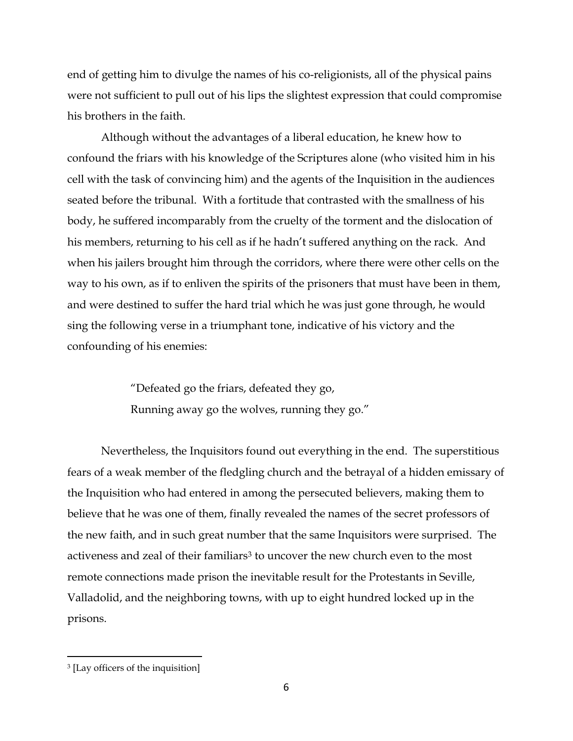end of getting him to divulge the names of his co-religionists, all of the physical pains were not sufficient to pull out of his lips the slightest expression that could compromise his brothers in the faith.

Although without the advantages of a liberal education, he knew how to confound the friars with his knowledge of the Scriptures alone (who visited him in his cell with the task of convincing him) and the agents of the Inquisition in the audiences seated before the tribunal. With a fortitude that contrasted with the smallness of his body, he suffered incomparably from the cruelty of the torment and the dislocation of his members, returning to his cell as if he hadn't suffered anything on the rack. And when his jailers brought him through the corridors, where there were other cells on the way to his own, as if to enliven the spirits of the prisoners that must have been in them, and were destined to suffer the hard trial which he was just gone through, he would sing the following verse in a triumphant tone, indicative of his victory and the confounding of his enemies:

> "Defeated go the friars, defeated they go, Running away go the wolves, running they go."

Nevertheless, the Inquisitors found out everything in the end. The superstitious fears of a weak member of the fledgling church and the betrayal of a hidden emissary of the Inquisition who had entered in among the persecuted believers, making them to believe that he was one of them, finally revealed the names of the secret professors of the new faith, and in such great number that the same Inquisitors were surprised. The activeness and zeal of their familiars<sup>3</sup> to uncover the new church even to the most remote connections made prison the inevitable result for the Protestants in Seville, Valladolid, and the neighboring towns, with up to eight hundred locked up in the prisons.

<sup>3</sup> [Lay officers of the inquisition]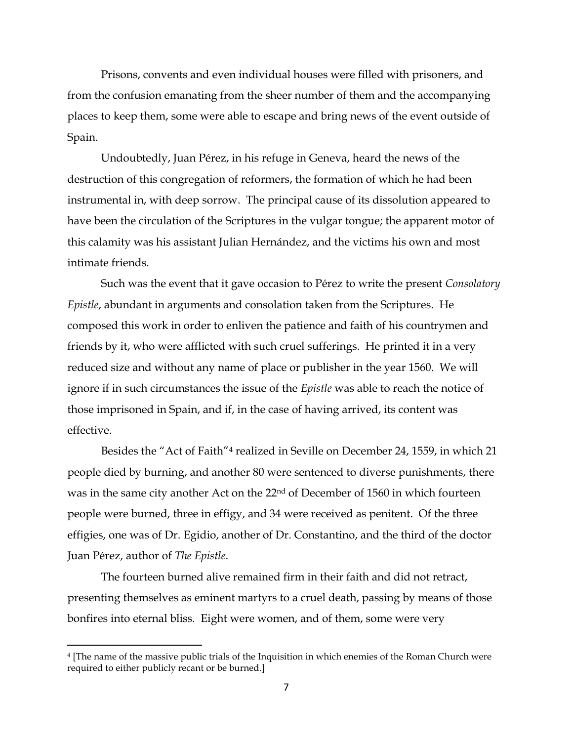Prisons, convents and even individual houses were filled with prisoners, and from the confusion emanating from the sheer number of them and the accompanying places to keep them, some were able to escape and bring news of the event outside of Spain.

Undoubtedly, Juan Pérez, in his refuge in Geneva, heard the news of the destruction of this congregation of reformers, the formation of which he had been instrumental in, with deep sorrow. The principal cause of its dissolution appeared to have been the circulation of the Scriptures in the vulgar tongue; the apparent motor of this calamity was his assistant Julian Hernández, and the victims his own and most intimate friends.

Such was the event that it gave occasion to Pérez to write the present *Consolatory Epistle*, abundant in arguments and consolation taken from the Scriptures. He composed this work in order to enliven the patience and faith of his countrymen and friends by it, who were afflicted with such cruel sufferings. He printed it in a very reduced size and without any name of place or publisher in the year 1560. We will ignore if in such circumstances the issue of the *Epistle* was able to reach the notice of those imprisoned in Spain, and if, in the case of having arrived, its content was effective.

Besides the "Act of Faith"<sup>4</sup> realized in Seville on December 24, 1559, in which 21 people died by burning, and another 80 were sentenced to diverse punishments, there was in the same city another Act on the 22nd of December of 1560 in which fourteen people were burned, three in effigy, and 34 were received as penitent. Of the three effigies, one was of Dr. Egidio, another of Dr. Constantino, and the third of the doctor Juan Pérez, author of *The Epistle*.

The fourteen burned alive remained firm in their faith and did not retract, presenting themselves as eminent martyrs to a cruel death, passing by means of those bonfires into eternal bliss. Eight were women, and of them, some were very

<sup>4</sup> [The name of the massive public trials of the Inquisition in which enemies of the Roman Church were required to either publicly recant or be burned.]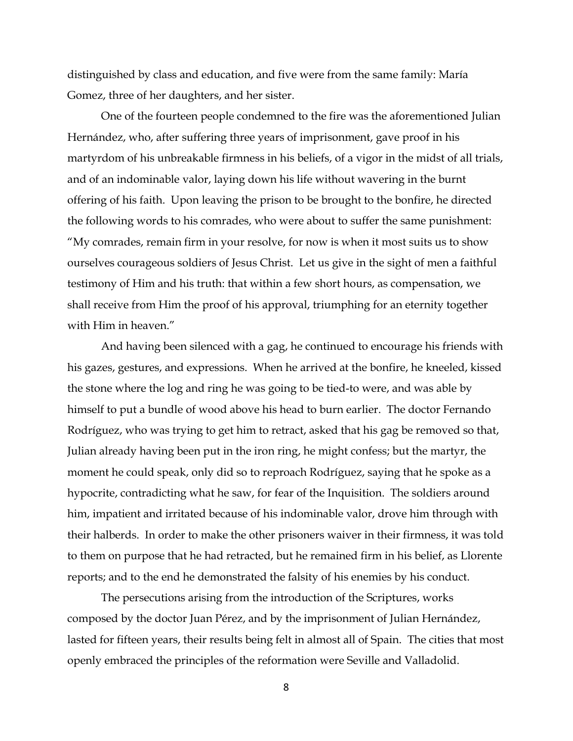distinguished by class and education, and five were from the same family: María Gomez, three of her daughters, and her sister.

One of the fourteen people condemned to the fire was the aforementioned Julian Hernández, who, after suffering three years of imprisonment, gave proof in his martyrdom of his unbreakable firmness in his beliefs, of a vigor in the midst of all trials, and of an indominable valor, laying down his life without wavering in the burnt offering of his faith. Upon leaving the prison to be brought to the bonfire, he directed the following words to his comrades, who were about to suffer the same punishment: "My comrades, remain firm in your resolve, for now is when it most suits us to show ourselves courageous soldiers of Jesus Christ. Let us give in the sight of men a faithful testimony of Him and his truth: that within a few short hours, as compensation, we shall receive from Him the proof of his approval, triumphing for an eternity together with Him in heaven."

And having been silenced with a gag, he continued to encourage his friends with his gazes, gestures, and expressions. When he arrived at the bonfire, he kneeled, kissed the stone where the log and ring he was going to be tied-to were, and was able by himself to put a bundle of wood above his head to burn earlier. The doctor Fernando Rodríguez, who was trying to get him to retract, asked that his gag be removed so that, Julian already having been put in the iron ring, he might confess; but the martyr, the moment he could speak, only did so to reproach Rodríguez, saying that he spoke as a hypocrite, contradicting what he saw, for fear of the Inquisition. The soldiers around him, impatient and irritated because of his indominable valor, drove him through with their halberds. In order to make the other prisoners waiver in their firmness, it was told to them on purpose that he had retracted, but he remained firm in his belief, as Llorente reports; and to the end he demonstrated the falsity of his enemies by his conduct.

The persecutions arising from the introduction of the Scriptures, works composed by the doctor Juan Pérez, and by the imprisonment of Julian Hernández, lasted for fifteen years, their results being felt in almost all of Spain. The cities that most openly embraced the principles of the reformation were Seville and Valladolid.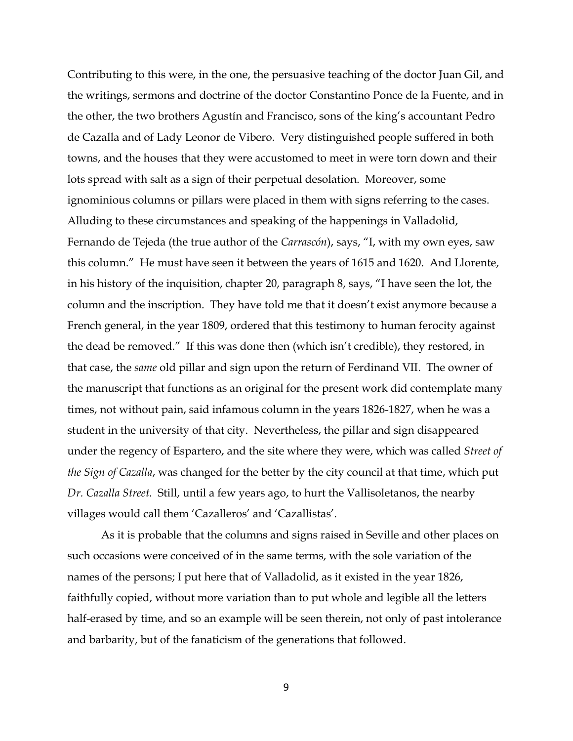Contributing to this were, in the one, the persuasive teaching of the doctor Juan Gil, and the writings, sermons and doctrine of the doctor Constantino Ponce de la Fuente, and in the other, the two brothers Agustín and Francisco, sons of the king's accountant Pedro de Cazalla and of Lady Leonor de Vibero. Very distinguished people suffered in both towns, and the houses that they were accustomed to meet in were torn down and their lots spread with salt as a sign of their perpetual desolation. Moreover, some ignominious columns or pillars were placed in them with signs referring to the cases. Alluding to these circumstances and speaking of the happenings in Valladolid, Fernando de Tejeda (the true author of the *Carrascón*), says, "I, with my own eyes, saw this column." He must have seen it between the years of 1615 and 1620. And Llorente, in his history of the inquisition, chapter 20, paragraph 8, says, "I have seen the lot, the column and the inscription. They have told me that it doesn't exist anymore because a French general, in the year 1809, ordered that this testimony to human ferocity against the dead be removed." If this was done then (which isn't credible), they restored, in that case, the *same* old pillar and sign upon the return of Ferdinand VII. The owner of the manuscript that functions as an original for the present work did contemplate many times, not without pain, said infamous column in the years 1826-1827, when he was a student in the university of that city. Nevertheless, the pillar and sign disappeared under the regency of Espartero, and the site where they were, which was called *Street of the Sign of Cazalla*, was changed for the better by the city council at that time, which put *Dr. Cazalla Street.* Still, until a few years ago, to hurt the Vallisoletanos, the nearby villages would call them 'Cazalleros' and 'Cazallistas'.

As it is probable that the columns and signs raised in Seville and other places on such occasions were conceived of in the same terms, with the sole variation of the names of the persons; I put here that of Valladolid, as it existed in the year 1826, faithfully copied, without more variation than to put whole and legible all the letters half-erased by time, and so an example will be seen therein, not only of past intolerance and barbarity, but of the fanaticism of the generations that followed.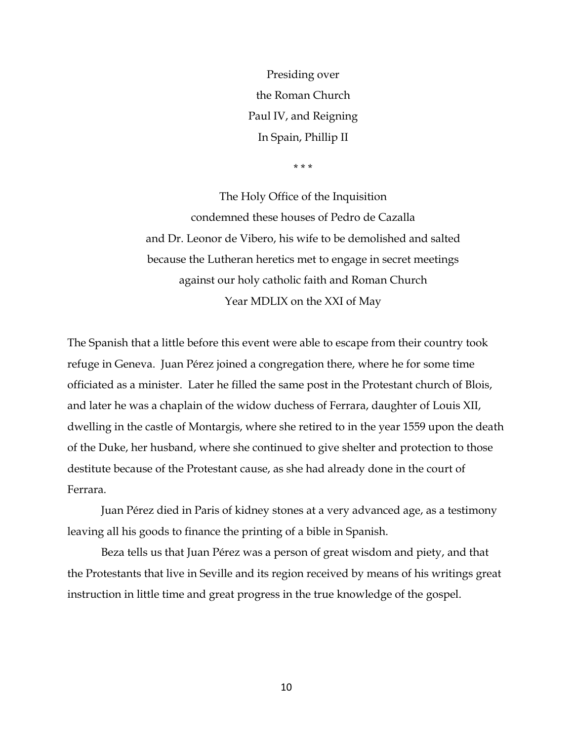Presiding over the Roman Church Paul IV, and Reigning In Spain, Phillip II

\* \* \*

The Holy Office of the Inquisition condemned these houses of Pedro de Cazalla and Dr. Leonor de Vibero, his wife to be demolished and salted because the Lutheran heretics met to engage in secret meetings against our holy catholic faith and Roman Church Year MDLIX on the XXI of May

The Spanish that a little before this event were able to escape from their country took refuge in Geneva. Juan Pérez joined a congregation there, where he for some time officiated as a minister. Later he filled the same post in the Protestant church of Blois, and later he was a chaplain of the widow duchess of Ferrara, daughter of Louis XII, dwelling in the castle of Montargis, where she retired to in the year 1559 upon the death of the Duke, her husband, where she continued to give shelter and protection to those destitute because of the Protestant cause, as she had already done in the court of Ferrara.

Juan Pérez died in Paris of kidney stones at a very advanced age, as a testimony leaving all his goods to finance the printing of a bible in Spanish.

Beza tells us that Juan Pérez was a person of great wisdom and piety, and that the Protestants that live in Seville and its region received by means of his writings great instruction in little time and great progress in the true knowledge of the gospel.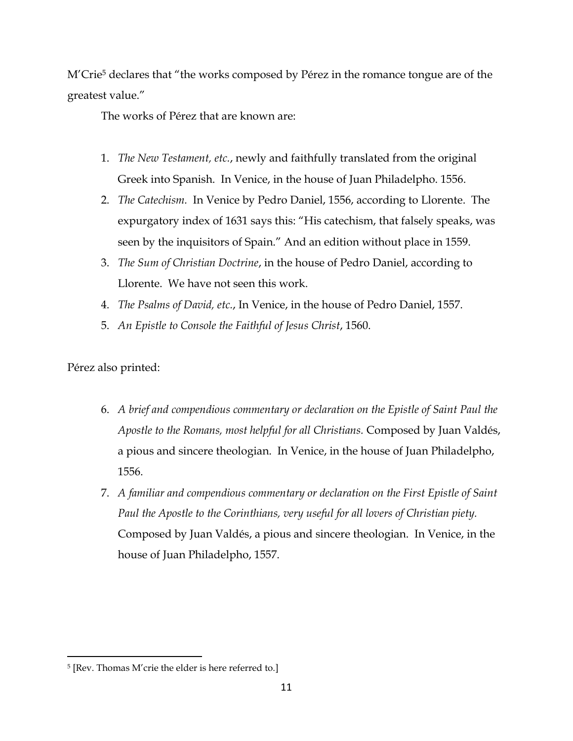M'Crie<sup>5</sup> declares that "the works composed by Pérez in the romance tongue are of the greatest value."

The works of Pérez that are known are:

- 1. *The New Testament, etc.*, newly and faithfully translated from the original Greek into Spanish. In Venice, in the house of Juan Philadelpho. 1556.
- 2. *The Catechism.* In Venice by Pedro Daniel, 1556, according to Llorente. The expurgatory index of 1631 says this: "His catechism, that falsely speaks, was seen by the inquisitors of Spain." And an edition without place in 1559.
- 3. *The Sum of Christian Doctrine*, in the house of Pedro Daniel, according to Llorente. We have not seen this work.
- 4. *The Psalms of David, etc.*, In Venice, in the house of Pedro Daniel, 1557.
- 5. *An Epistle to Console the Faithful of Jesus Christ*, 1560.

Pérez also printed:

- 6. *A brief and compendious commentary or declaration on the Epistle of Saint Paul the Apostle to the Romans, most helpful for all Christians.* Composed by Juan Valdés, a pious and sincere theologian. In Venice, in the house of Juan Philadelpho, 1556.
- 7. *A familiar and compendious commentary or declaration on the First Epistle of Saint Paul the Apostle to the Corinthians, very useful for all lovers of Christian piety.* Composed by Juan Valdés, a pious and sincere theologian. In Venice, in the house of Juan Philadelpho, 1557.

 $\overline{a}$ 5 [Rev. Thomas M'crie the elder is here referred to.]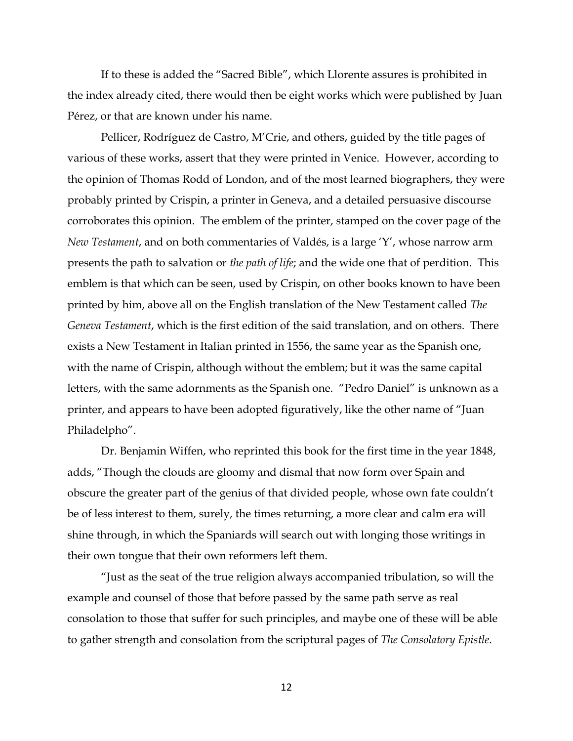If to these is added the "Sacred Bible", which Llorente assures is prohibited in the index already cited, there would then be eight works which were published by Juan Pérez, or that are known under his name.

Pellicer, Rodríguez de Castro, M'Crie, and others, guided by the title pages of various of these works, assert that they were printed in Venice. However, according to the opinion of Thomas Rodd of London, and of the most learned biographers, they were probably printed by Crispin, a printer in Geneva, and a detailed persuasive discourse corroborates this opinion. The emblem of the printer, stamped on the cover page of the *New Testament*, and on both commentaries of Valdés, is a large 'Y', whose narrow arm presents the path to salvation or *the path of life*; and the wide one that of perdition. This emblem is that which can be seen, used by Crispin, on other books known to have been printed by him, above all on the English translation of the New Testament called *The Geneva Testament*, which is the first edition of the said translation, and on others. There exists a New Testament in Italian printed in 1556, the same year as the Spanish one, with the name of Crispin, although without the emblem; but it was the same capital letters, with the same adornments as the Spanish one. "Pedro Daniel" is unknown as a printer, and appears to have been adopted figuratively, like the other name of "Juan Philadelpho".

Dr. Benjamin Wiffen, who reprinted this book for the first time in the year 1848, adds, "Though the clouds are gloomy and dismal that now form over Spain and obscure the greater part of the genius of that divided people, whose own fate couldn't be of less interest to them, surely, the times returning, a more clear and calm era will shine through, in which the Spaniards will search out with longing those writings in their own tongue that their own reformers left them.

"Just as the seat of the true religion always accompanied tribulation, so will the example and counsel of those that before passed by the same path serve as real consolation to those that suffer for such principles, and maybe one of these will be able to gather strength and consolation from the scriptural pages of *The Consolatory Epistle*.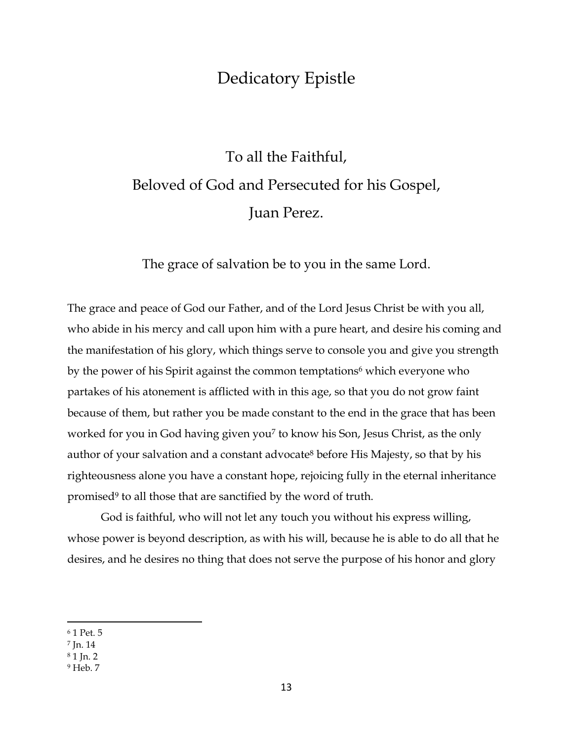### Dedicatory Epistle

## <span id="page-13-0"></span>To all the Faithful, Beloved of God and Persecuted for his Gospel, Juan Perez.

The grace of salvation be to you in the same Lord.

The grace and peace of God our Father, and of the Lord Jesus Christ be with you all, who abide in his mercy and call upon him with a pure heart, and desire his coming and the manifestation of his glory, which things serve to console you and give you strength by the power of his Spirit against the common temptations<sup>6</sup> which everyone who partakes of his atonement is afflicted with in this age, so that you do not grow faint because of them, but rather you be made constant to the end in the grace that has been worked for you in God having given you<sup>7</sup> to know his Son, Jesus Christ, as the only author of your salvation and a constant advocate<sup>8</sup> before His Majesty, so that by his righteousness alone you have a constant hope, rejoicing fully in the eternal inheritance promised<sup>9</sup> to all those that are sanctified by the word of truth.

God is faithful, who will not let any touch you without his express willing, whose power is beyond description, as with his will, because he is able to do all that he desires, and he desires no thing that does not serve the purpose of his honor and glory

<sup>6</sup> 1 Pet. 5

<sup>7</sup> Jn. 14

<sup>8</sup> 1 Jn. 2

<sup>9</sup> Heb. 7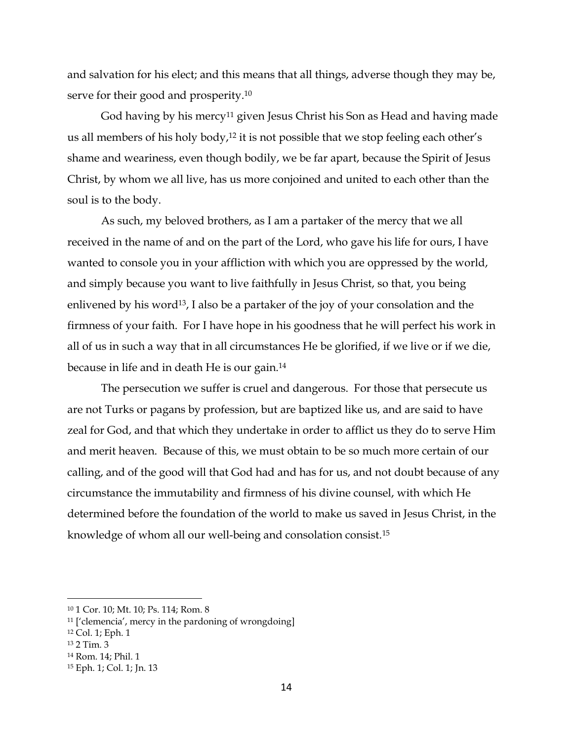and salvation for his elect; and this means that all things, adverse though they may be, serve for their good and prosperity.<sup>10</sup>

God having by his mercy<sup>11</sup> given Jesus Christ his Son as Head and having made us all members of his holy body,<sup>12</sup> it is not possible that we stop feeling each other's shame and weariness, even though bodily, we be far apart, because the Spirit of Jesus Christ, by whom we all live, has us more conjoined and united to each other than the soul is to the body.

As such, my beloved brothers, as I am a partaker of the mercy that we all received in the name of and on the part of the Lord, who gave his life for ours, I have wanted to console you in your affliction with which you are oppressed by the world, and simply because you want to live faithfully in Jesus Christ, so that, you being enlivened by his word<sup>13</sup>, I also be a partaker of the joy of your consolation and the firmness of your faith. For I have hope in his goodness that he will perfect his work in all of us in such a way that in all circumstances He be glorified, if we live or if we die, because in life and in death He is our gain.<sup>14</sup>

The persecution we suffer is cruel and dangerous. For those that persecute us are not Turks or pagans by profession, but are baptized like us, and are said to have zeal for God, and that which they undertake in order to afflict us they do to serve Him and merit heaven. Because of this, we must obtain to be so much more certain of our calling, and of the good will that God had and has for us, and not doubt because of any circumstance the immutability and firmness of his divine counsel, with which He determined before the foundation of the world to make us saved in Jesus Christ, in the knowledge of whom all our well-being and consolation consist.<sup>15</sup>

<sup>10</sup> 1 Cor. 10; Mt. 10; Ps. 114; Rom. 8

<sup>11</sup> ['clemencia', mercy in the pardoning of wrongdoing]

<sup>12</sup> Col. 1; Eph. 1

<sup>13</sup> 2 Tim. 3

<sup>14</sup> Rom. 14; Phil. 1

<sup>15</sup> Eph. 1; Col. 1; Jn. 13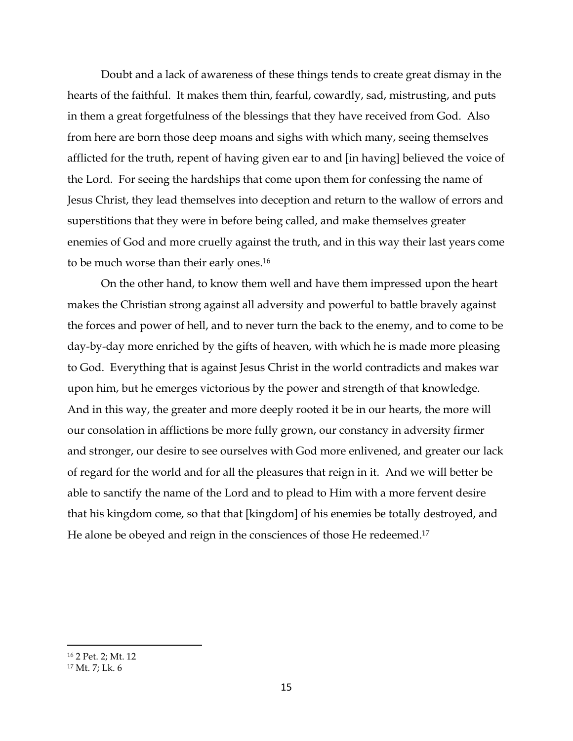Doubt and a lack of awareness of these things tends to create great dismay in the hearts of the faithful. It makes them thin, fearful, cowardly, sad, mistrusting, and puts in them a great forgetfulness of the blessings that they have received from God. Also from here are born those deep moans and sighs with which many, seeing themselves afflicted for the truth, repent of having given ear to and [in having] believed the voice of the Lord. For seeing the hardships that come upon them for confessing the name of Jesus Christ, they lead themselves into deception and return to the wallow of errors and superstitions that they were in before being called, and make themselves greater enemies of God and more cruelly against the truth, and in this way their last years come to be much worse than their early ones. 16

On the other hand, to know them well and have them impressed upon the heart makes the Christian strong against all adversity and powerful to battle bravely against the forces and power of hell, and to never turn the back to the enemy, and to come to be day-by-day more enriched by the gifts of heaven, with which he is made more pleasing to God. Everything that is against Jesus Christ in the world contradicts and makes war upon him, but he emerges victorious by the power and strength of that knowledge. And in this way, the greater and more deeply rooted it be in our hearts, the more will our consolation in afflictions be more fully grown, our constancy in adversity firmer and stronger, our desire to see ourselves with God more enlivened, and greater our lack of regard for the world and for all the pleasures that reign in it. And we will better be able to sanctify the name of the Lord and to plead to Him with a more fervent desire that his kingdom come, so that that [kingdom] of his enemies be totally destroyed, and He alone be obeyed and reign in the consciences of those He redeemed.<sup>17</sup>

<sup>16</sup> 2 Pet. 2; Mt. 12 <sup>17</sup> Mt. 7; Lk. 6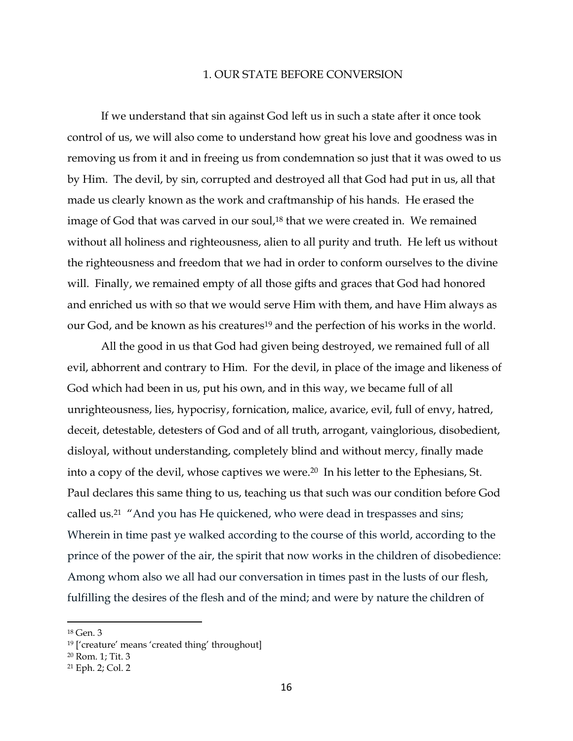### 1. OUR STATE BEFORE CONVERSION

<span id="page-16-0"></span>If we understand that sin against God left us in such a state after it once took control of us, we will also come to understand how great his love and goodness was in removing us from it and in freeing us from condemnation so just that it was owed to us by Him. The devil, by sin, corrupted and destroyed all that God had put in us, all that made us clearly known as the work and craftmanship of his hands. He erased the image of God that was carved in our soul, <sup>18</sup> that we were created in. We remained without all holiness and righteousness, alien to all purity and truth. He left us without the righteousness and freedom that we had in order to conform ourselves to the divine will. Finally, we remained empty of all those gifts and graces that God had honored and enriched us with so that we would serve Him with them, and have Him always as our God, and be known as his creatures<sup>19</sup> and the perfection of his works in the world.

All the good in us that God had given being destroyed, we remained full of all evil, abhorrent and contrary to Him. For the devil, in place of the image and likeness of God which had been in us, put his own, and in this way, we became full of all unrighteousness, lies, hypocrisy, fornication, malice, avarice, evil, full of envy, hatred, deceit, detestable, detesters of God and of all truth, arrogant, vainglorious, disobedient, disloyal, without understanding, completely blind and without mercy, finally made into a copy of the devil, whose captives we were.<sup>20</sup> In his letter to the Ephesians, St. Paul declares this same thing to us, teaching us that such was our condition before God called us.<sup>21</sup> "And you has He quickened, who were dead in trespasses and sins; Wherein in time past ye walked according to the course of this world, according to the prince of the power of the air, the spirit that now works in the children of disobedience: Among whom also we all had our conversation in times past in the lusts of our flesh, fulfilling the desires of the flesh and of the mind; and were by nature the children of

<sup>18</sup> Gen. 3

<sup>19</sup> ['creature' means 'created thing' throughout]

<sup>20</sup> Rom. 1; Tit. 3

<sup>21</sup> Eph. 2; Col. 2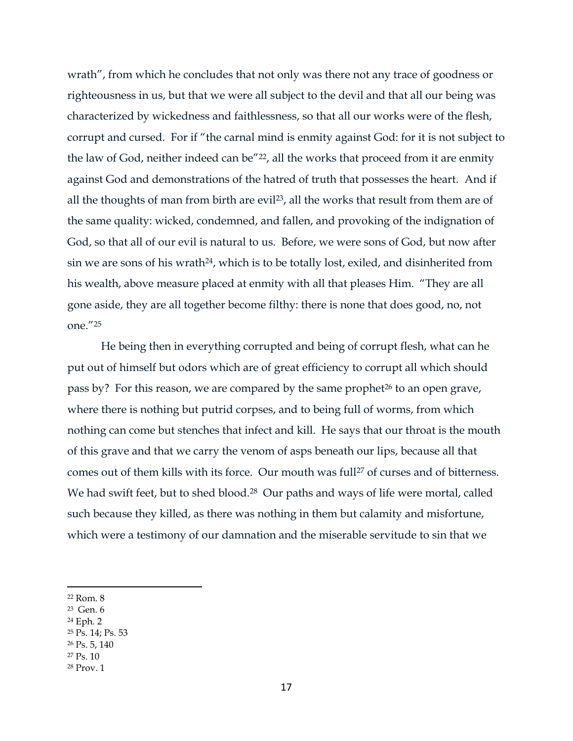wrath", from which he concludes that not only was there not any trace of goodness or righteousness in us, but that we were all subject to the devil and that all our being was characterized by wickedness and faithlessness, so that all our works were of the flesh, corrupt and cursed. For if "the carnal mind is enmity against God: for it is not subject to the law of God, neither indeed can be<sup>"22</sup>, all the works that proceed from it are enmity against God and demonstrations of the hatred of truth that possesses the heart. And if all the thoughts of man from birth are evil<sup>23</sup>, all the works that result from them are of the same quality: wicked, condemned, and fallen, and provoking of the indignation of God, so that all of our evil is natural to us. Before, we were sons of God, but now after sin we are sons of his wrath<sup>24</sup>, which is to be totally lost, exiled, and disinherited from his wealth, above measure placed at enmity with all that pleases Him. "They are all gone aside, they are all together become filthy: there is none that does good, no, not one."<sup>25</sup>

He being then in everything corrupted and being of corrupt flesh, what can he put out of himself but odors which are of great efficiency to corrupt all which should pass by? For this reason, we are compared by the same prophet<sup>26</sup> to an open grave, where there is nothing but putrid corpses, and to being full of worms, from which nothing can come but stenches that infect and kill. He says that our throat is the mouth of this grave and that we carry the venom of asps beneath our lips, because all that comes out of them kills with its force. Our mouth was full<sup>27</sup> of curses and of bitterness. We had swift feet, but to shed blood.<sup>28</sup> Our paths and ways of life were mortal, called such because they killed, as there was nothing in them but calamity and misfortune, which were a testimony of our damnation and the miserable servitude to sin that we

- 23 Gen. 6
- <sup>24</sup> Eph. 2
- <sup>25</sup> Ps. 14; Ps. 53
- <sup>26</sup> Ps. 5, 140
- <sup>27</sup> Ps. 10
- <sup>28</sup> Prov. 1

<sup>22</sup> Rom. 8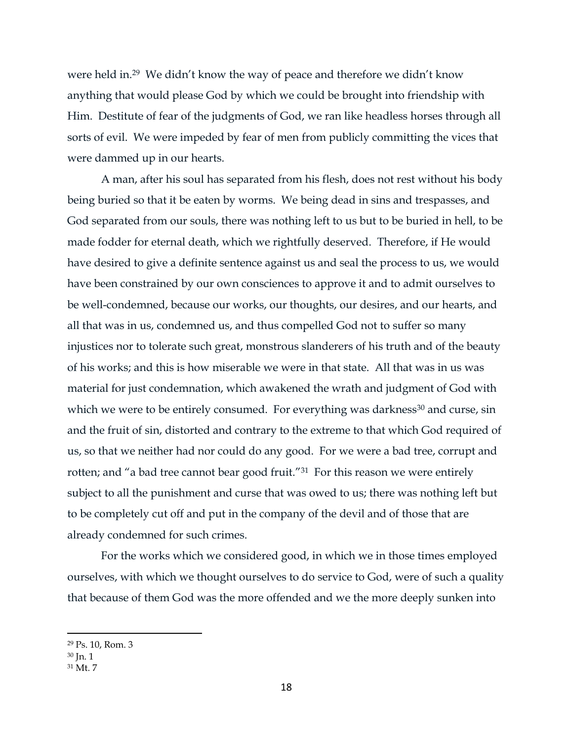were held in.<sup>29</sup> We didn't know the way of peace and therefore we didn't know anything that would please God by which we could be brought into friendship with Him. Destitute of fear of the judgments of God, we ran like headless horses through all sorts of evil. We were impeded by fear of men from publicly committing the vices that were dammed up in our hearts.

A man, after his soul has separated from his flesh, does not rest without his body being buried so that it be eaten by worms. We being dead in sins and trespasses, and God separated from our souls, there was nothing left to us but to be buried in hell, to be made fodder for eternal death, which we rightfully deserved. Therefore, if He would have desired to give a definite sentence against us and seal the process to us, we would have been constrained by our own consciences to approve it and to admit ourselves to be well-condemned, because our works, our thoughts, our desires, and our hearts, and all that was in us, condemned us, and thus compelled God not to suffer so many injustices nor to tolerate such great, monstrous slanderers of his truth and of the beauty of his works; and this is how miserable we were in that state. All that was in us was material for just condemnation, which awakened the wrath and judgment of God with which we were to be entirely consumed. For everything was darkness<sup>30</sup> and curse, sin and the fruit of sin, distorted and contrary to the extreme to that which God required of us, so that we neither had nor could do any good. For we were a bad tree, corrupt and rotten; and "a bad tree cannot bear good fruit."<sup>31</sup> For this reason we were entirely subject to all the punishment and curse that was owed to us; there was nothing left but to be completely cut off and put in the company of the devil and of those that are already condemned for such crimes.

For the works which we considered good, in which we in those times employed ourselves, with which we thought ourselves to do service to God, were of such a quality that because of them God was the more offended and we the more deeply sunken into

<sup>29</sup> Ps. 10, Rom. 3

 $30$  Jn. 1

<sup>31</sup> Mt. 7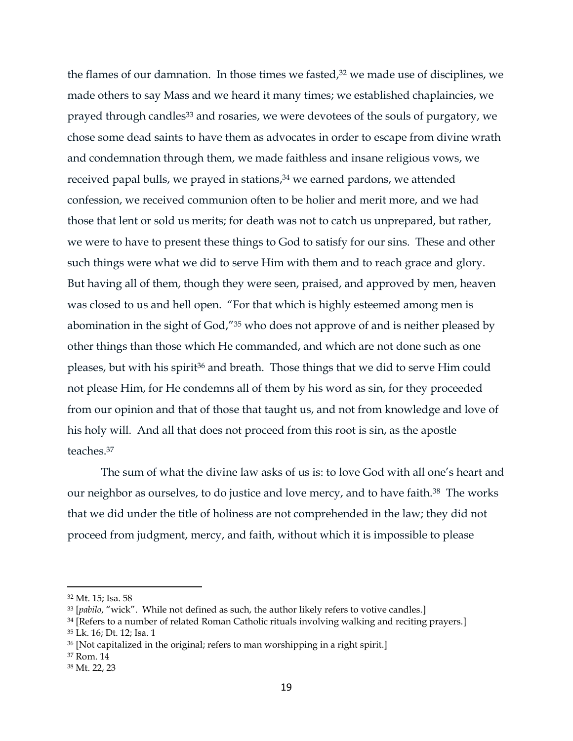the flames of our damnation. In those times we fasted, <sup>32</sup> we made use of disciplines, we made others to say Mass and we heard it many times; we established chaplaincies, we prayed through candles<sup>33</sup> and rosaries, we were devotees of the souls of purgatory, we chose some dead saints to have them as advocates in order to escape from divine wrath and condemnation through them, we made faithless and insane religious vows, we received papal bulls, we prayed in stations, <sup>34</sup> we earned pardons, we attended confession, we received communion often to be holier and merit more, and we had those that lent or sold us merits; for death was not to catch us unprepared, but rather, we were to have to present these things to God to satisfy for our sins. These and other such things were what we did to serve Him with them and to reach grace and glory. But having all of them, though they were seen, praised, and approved by men, heaven was closed to us and hell open. "For that which is highly esteemed among men is abomination in the sight of God,"<sup>35</sup> who does not approve of and is neither pleased by other things than those which He commanded, and which are not done such as one pleases, but with his spirit<sup>36</sup> and breath. Those things that we did to serve Him could not please Him, for He condemns all of them by his word as sin, for they proceeded from our opinion and that of those that taught us, and not from knowledge and love of his holy will. And all that does not proceed from this root is sin, as the apostle teaches<sup>37</sup>

The sum of what the divine law asks of us is: to love God with all one's heart and our neighbor as ourselves, to do justice and love mercy, and to have faith.<sup>38</sup> The works that we did under the title of holiness are not comprehended in the law; they did not proceed from judgment, mercy, and faith, without which it is impossible to please

 $\overline{a}$ 

<sup>37</sup> Rom. 14

<sup>32</sup> Mt. 15; Isa. 58

<sup>33</sup> [*pabilo*, "wick". While not defined as such, the author likely refers to votive candles.]

<sup>&</sup>lt;sup>34</sup> [Refers to a number of related Roman Catholic rituals involving walking and reciting prayers.]

<sup>35</sup> Lk. 16; Dt. 12; Isa. 1

<sup>36</sup> [Not capitalized in the original; refers to man worshipping in a right spirit.]

<sup>38</sup> Mt. 22, 23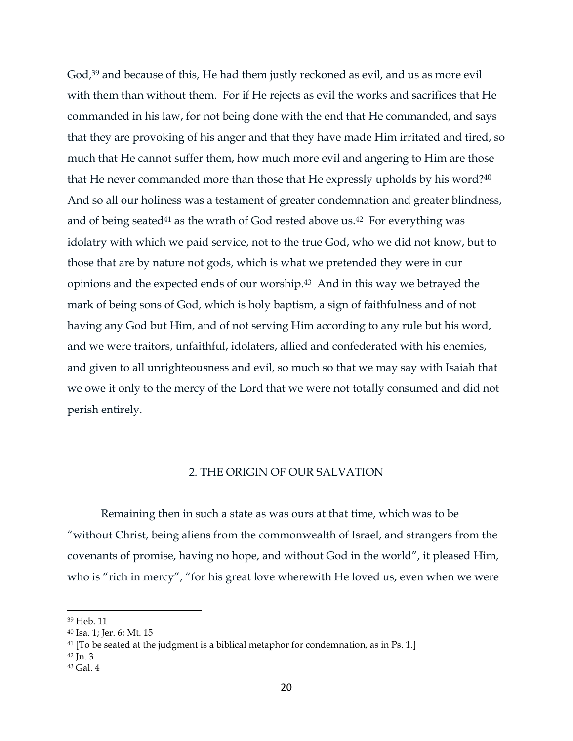God, <sup>39</sup> and because of this, He had them justly reckoned as evil, and us as more evil with them than without them. For if He rejects as evil the works and sacrifices that He commanded in his law, for not being done with the end that He commanded, and says that they are provoking of his anger and that they have made Him irritated and tired, so much that He cannot suffer them, how much more evil and angering to Him are those that He never commanded more than those that He expressly upholds by his word?<sup>40</sup> And so all our holiness was a testament of greater condemnation and greater blindness, and of being seated<sup>41</sup> as the wrath of God rested above us.<sup>42</sup> For everything was idolatry with which we paid service, not to the true God, who we did not know, but to those that are by nature not gods, which is what we pretended they were in our opinions and the expected ends of our worship. <sup>43</sup> And in this way we betrayed the mark of being sons of God, which is holy baptism, a sign of faithfulness and of not having any God but Him, and of not serving Him according to any rule but his word, and we were traitors, unfaithful, idolaters, allied and confederated with his enemies, and given to all unrighteousness and evil, so much so that we may say with Isaiah that we owe it only to the mercy of the Lord that we were not totally consumed and did not perish entirely.

#### 2. THE ORIGIN OF OUR SALVATION

<span id="page-20-0"></span>Remaining then in such a state as was ours at that time, which was to be "without Christ, being aliens from the commonwealth of Israel, and strangers from the covenants of promise, having no hope, and without God in the world", it pleased Him, who is "rich in mercy", "for his great love wherewith He loved us, even when we were

<sup>39</sup> Heb. 11

<sup>40</sup> Isa. 1; Jer. 6; Mt. 15

<sup>&</sup>lt;sup>41</sup> [To be seated at the judgment is a biblical metaphor for condemnation, as in Ps. 1.]

 $42$  In. 3

<sup>43</sup> Gal. 4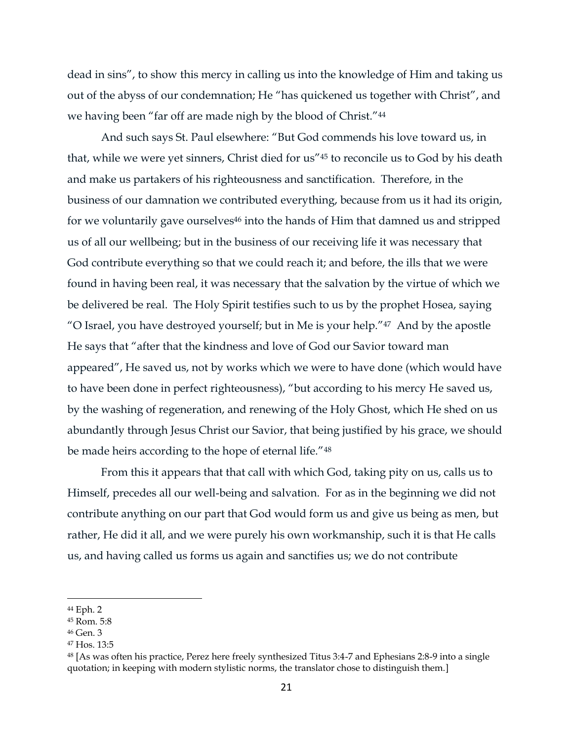dead in sins", to show this mercy in calling us into the knowledge of Him and taking us out of the abyss of our condemnation; He "has quickened us together with Christ", and we having been "far off are made nigh by the blood of Christ."<sup>44</sup>

And such says St. Paul elsewhere: "But God commends his love toward us, in that, while we were yet sinners, Christ died for us"<sup>45</sup> to reconcile us to God by his death and make us partakers of his righteousness and sanctification. Therefore, in the business of our damnation we contributed everything, because from us it had its origin, for we voluntarily gave ourselves<sup>46</sup> into the hands of Him that damned us and stripped us of all our wellbeing; but in the business of our receiving life it was necessary that God contribute everything so that we could reach it; and before, the ills that we were found in having been real, it was necessary that the salvation by the virtue of which we be delivered be real. The Holy Spirit testifies such to us by the prophet Hosea, saying "O Israel, you have destroyed yourself; but in Me is your help."47 And by the apostle He says that "after that the kindness and love of God our Savior toward man appeared", He saved us, not by works which we were to have done (which would have to have been done in perfect righteousness), "but according to his mercy He saved us, by the washing of regeneration, and renewing of the Holy Ghost, which He shed on us abundantly through Jesus Christ our Savior, that being justified by his grace, we should be made heirs according to the hope of eternal life."<sup>48</sup>

From this it appears that that call with which God, taking pity on us, calls us to Himself, precedes all our well-being and salvation. For as in the beginning we did not contribute anything on our part that God would form us and give us being as men, but rather, He did it all, and we were purely his own workmanship, such it is that He calls us, and having called us forms us again and sanctifies us; we do not contribute

<sup>44</sup> Eph. 2

<sup>45</sup> Rom. 5:8

<sup>46</sup> Gen. 3

<sup>47</sup> Hos. 13:5

<sup>48</sup> [As was often his practice, Perez here freely synthesized Titus 3:4-7 and Ephesians 2:8-9 into a single quotation; in keeping with modern stylistic norms, the translator chose to distinguish them.]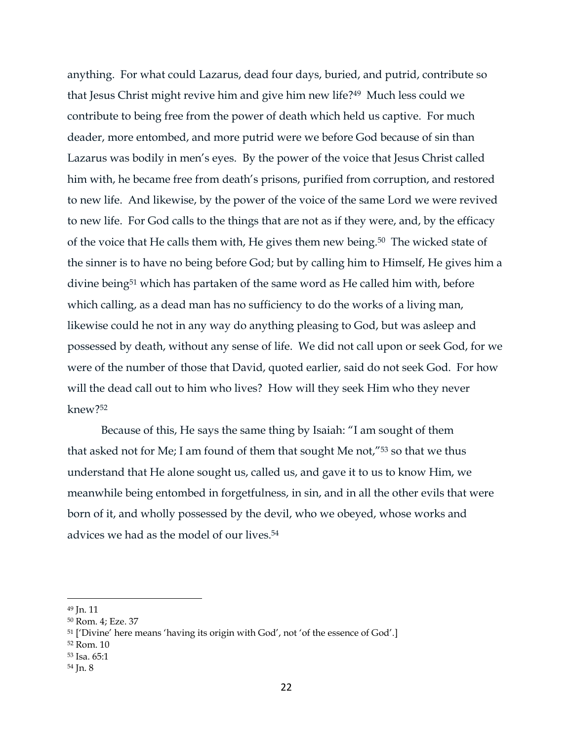anything. For what could Lazarus, dead four days, buried, and putrid, contribute so that Jesus Christ might revive him and give him new life?49 Much less could we contribute to being free from the power of death which held us captive. For much deader, more entombed, and more putrid were we before God because of sin than Lazarus was bodily in men's eyes. By the power of the voice that Jesus Christ called him with, he became free from death's prisons, purified from corruption, and restored to new life. And likewise, by the power of the voice of the same Lord we were revived to new life. For God calls to the things that are not as if they were, and, by the efficacy of the voice that He calls them with, He gives them new being.50 The wicked state of the sinner is to have no being before God; but by calling him to Himself, He gives him a divine being<sup>51</sup> which has partaken of the same word as He called him with, before which calling, as a dead man has no sufficiency to do the works of a living man, likewise could he not in any way do anything pleasing to God, but was asleep and possessed by death, without any sense of life. We did not call upon or seek God, for we were of the number of those that David, quoted earlier, said do not seek God. For how will the dead call out to him who lives? How will they seek Him who they never knew?<sup>52</sup>

Because of this, He says the same thing by Isaiah: "I am sought of them that asked not for Me; I am found of them that sought Me not,"<sup>53</sup> so that we thus understand that He alone sought us, called us, and gave it to us to know Him, we meanwhile being entombed in forgetfulness, in sin, and in all the other evils that were born of it, and wholly possessed by the devil, who we obeyed, whose works and advices we had as the model of our lives. 54

<sup>49</sup> Jn. 11

<sup>50</sup> Rom. 4; Eze. 37

<sup>51</sup> ['Divine' here means 'having its origin with God', not 'of the essence of God'.]

<sup>52</sup> Rom. 10

<sup>53</sup> Isa. 65:1

<sup>54</sup> Jn. 8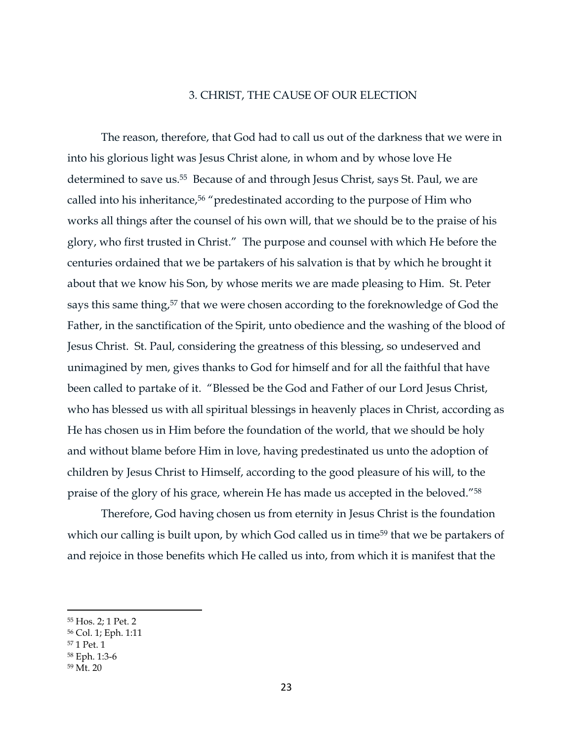### 3. CHRIST, THE CAUSE OF OUR ELECTION

<span id="page-23-0"></span>The reason, therefore, that God had to call us out of the darkness that we were in into his glorious light was Jesus Christ alone, in whom and by whose love He determined to save us.55 Because of and through Jesus Christ, says St. Paul, we are called into his inheritance, <sup>56</sup> "predestinated according to the purpose of Him who works all things after the counsel of his own will, that we should be to the praise of his glory, who first trusted in Christ." The purpose and counsel with which He before the centuries ordained that we be partakers of his salvation is that by which he brought it about that we know his Son, by whose merits we are made pleasing to Him. St. Peter says this same thing,<sup>57</sup> that we were chosen according to the foreknowledge of God the Father, in the sanctification of the Spirit, unto obedience and the washing of the blood of Jesus Christ. St. Paul, considering the greatness of this blessing, so undeserved and unimagined by men, gives thanks to God for himself and for all the faithful that have been called to partake of it. "Blessed be the God and Father of our Lord Jesus Christ, who has blessed us with all spiritual blessings in heavenly places in Christ, according as He has chosen us in Him before the foundation of the world, that we should be holy and without blame before Him in love, having predestinated us unto the adoption of children by Jesus Christ to Himself, according to the good pleasure of his will, to the praise of the glory of his grace, wherein He has made us accepted in the beloved."<sup>58</sup>

Therefore, God having chosen us from eternity in Jesus Christ is the foundation which our calling is built upon, by which God called us in time<sup>59</sup> that we be partakers of and rejoice in those benefits which He called us into, from which it is manifest that the

<sup>55</sup> Hos. 2; 1 Pet. 2

<sup>56</sup> Col. 1; Eph. 1:11

<sup>57</sup> 1 Pet. 1

<sup>58</sup> Eph. 1:3-6

<sup>59</sup> Mt. 20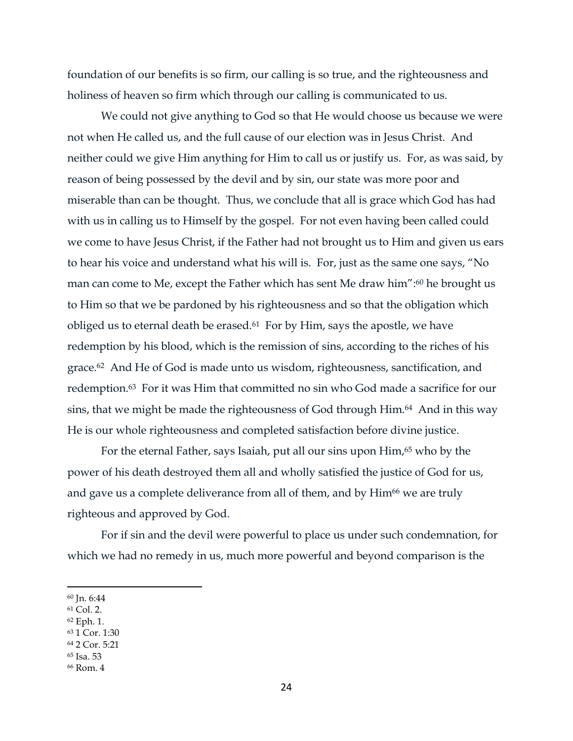foundation of our benefits is so firm, our calling is so true, and the righteousness and holiness of heaven so firm which through our calling is communicated to us.

We could not give anything to God so that He would choose us because we were not when He called us, and the full cause of our election was in Jesus Christ. And neither could we give Him anything for Him to call us or justify us. For, as was said, by reason of being possessed by the devil and by sin, our state was more poor and miserable than can be thought. Thus, we conclude that all is grace which God has had with us in calling us to Himself by the gospel. For not even having been called could we come to have Jesus Christ, if the Father had not brought us to Him and given us ears to hear his voice and understand what his will is. For, just as the same one says, "No man can come to Me, except the Father which has sent Me draw him": <sup>60</sup> he brought us to Him so that we be pardoned by his righteousness and so that the obligation which obliged us to eternal death be erased.<sup>61</sup> For by Him, says the apostle, we have redemption by his blood, which is the remission of sins, according to the riches of his grace.62 And He of God is made unto us wisdom, righteousness, sanctification, and redemption.63 For it was Him that committed no sin who God made a sacrifice for our sins, that we might be made the righteousness of God through Him.<sup>64</sup> And in this way He is our whole righteousness and completed satisfaction before divine justice.

For the eternal Father, says Isaiah, put all our sins upon Him, <sup>65</sup> who by the power of his death destroyed them all and wholly satisfied the justice of God for us, and gave us a complete deliverance from all of them, and by Him<sup>66</sup> we are truly righteous and approved by God.

For if sin and the devil were powerful to place us under such condemnation, for which we had no remedy in us, much more powerful and beyond comparison is the

- <sup>62</sup> Eph. 1.
- <sup>63</sup> 1 Cor. 1:30
- <sup>64</sup> 2 Cor. 5:21
- <sup>65</sup> Isa. 53
- <sup>66</sup> Rom. 4

<sup>60</sup> Jn. 6:44

<sup>61</sup> Col. 2.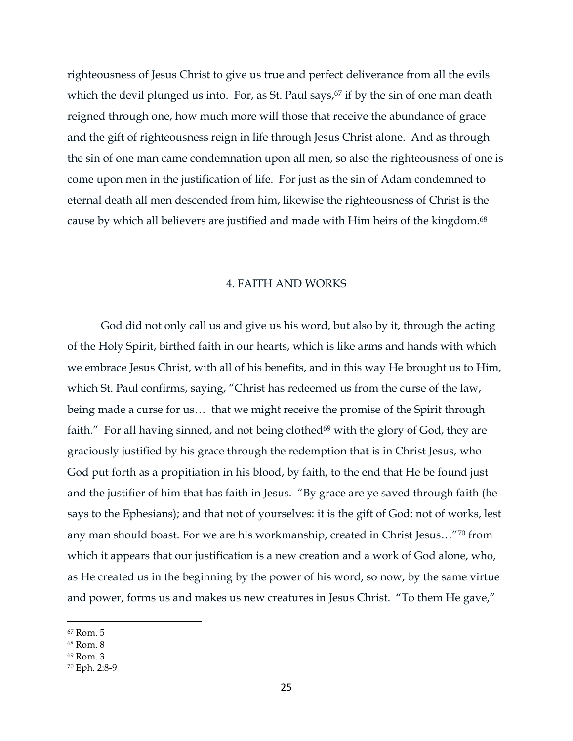righteousness of Jesus Christ to give us true and perfect deliverance from all the evils which the devil plunged us into. For, as St. Paul says, <sup>67</sup> if by the sin of one man death reigned through one, how much more will those that receive the abundance of grace and the gift of righteousness reign in life through Jesus Christ alone. And as through the sin of one man came condemnation upon all men, so also the righteousness of one is come upon men in the justification of life. For just as the sin of Adam condemned to eternal death all men descended from him, likewise the righteousness of Christ is the cause by which all believers are justified and made with Him heirs of the kingdom.<sup>68</sup>

### 4. FAITH AND WORKS

<span id="page-25-0"></span>God did not only call us and give us his word, but also by it, through the acting of the Holy Spirit, birthed faith in our hearts, which is like arms and hands with which we embrace Jesus Christ, with all of his benefits, and in this way He brought us to Him, which St. Paul confirms, saying, "Christ has redeemed us from the curse of the law, being made a curse for us… that we might receive the promise of the Spirit through faith." For all having sinned, and not being clothed $69$  with the glory of God, they are graciously justified by his grace through the redemption that is in Christ Jesus, who God put forth as a propitiation in his blood, by faith, to the end that He be found just and the justifier of him that has faith in Jesus. "By grace are ye saved through faith (he says to the Ephesians); and that not of yourselves: it is the gift of God: not of works, lest any man should boast. For we are his workmanship, created in Christ Jesus…"<sup>70</sup> from which it appears that our justification is a new creation and a work of God alone, who, as He created us in the beginning by the power of his word, so now, by the same virtue and power, forms us and makes us new creatures in Jesus Christ. "To them He gave,"

<sup>67</sup> Rom. 5

<sup>68</sup> Rom. 8

<sup>69</sup> Rom. 3

<sup>70</sup> Eph. 2:8-9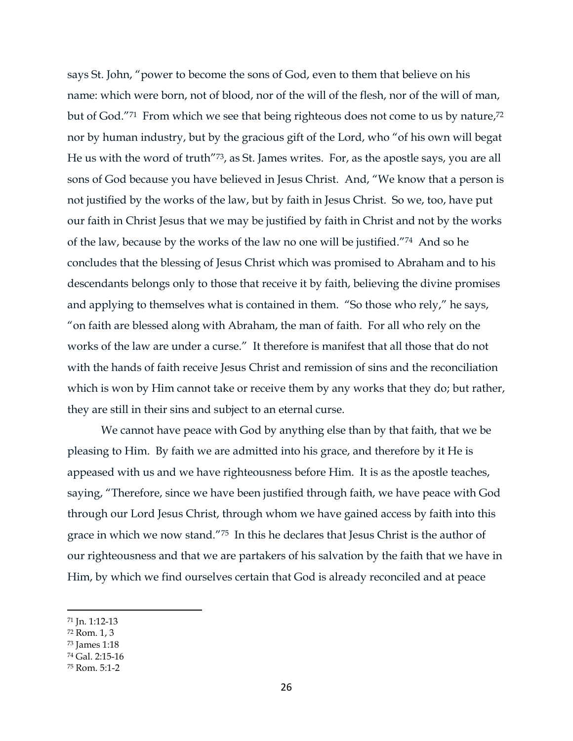says St. John, "power to become the sons of God, even to them that believe on his name: which were born, not of blood, nor of the will of the flesh, nor of the will of man, but of God."71 From which we see that being righteous does not come to us by nature, 72 nor by human industry, but by the gracious gift of the Lord, who "of his own will begat He us with the word of truth"73, as St. James writes. For, as the apostle says, you are all sons of God because you have believed in Jesus Christ. And, "We know that a person is not justified by the works of the law, but by faith in Jesus Christ. So we, too, have put our faith in Christ Jesus that we may be justified by faith in Christ and not by the works of the law, because by the works of the law no one will be justified."74 And so he concludes that the blessing of Jesus Christ which was promised to Abraham and to his descendants belongs only to those that receive it by faith, believing the divine promises and applying to themselves what is contained in them. "So those who rely," he says, "on faith are blessed along with Abraham, the man of faith. For all who rely on the works of the law are under a curse." It therefore is manifest that all those that do not with the hands of faith receive Jesus Christ and remission of sins and the reconciliation which is won by Him cannot take or receive them by any works that they do; but rather, they are still in their sins and subject to an eternal curse.

We cannot have peace with God by anything else than by that faith, that we be pleasing to Him. By faith we are admitted into his grace, and therefore by it He is appeased with us and we have righteousness before Him. It is as the apostle teaches, saying, "Therefore, since we have been justified through faith, we have peace with God through our Lord Jesus Christ, through whom we have gained access by faith into this grace in which we now stand."75 In this he declares that Jesus Christ is the author of our righteousness and that we are partakers of his salvation by the faith that we have in Him, by which we find ourselves certain that God is already reconciled and at peace

<sup>71</sup> Jn. 1:12-13

<sup>72</sup> Rom. 1, 3

<sup>73</sup> James 1:18

<sup>74</sup> Gal. 2:15-16

<sup>75</sup> Rom. 5:1-2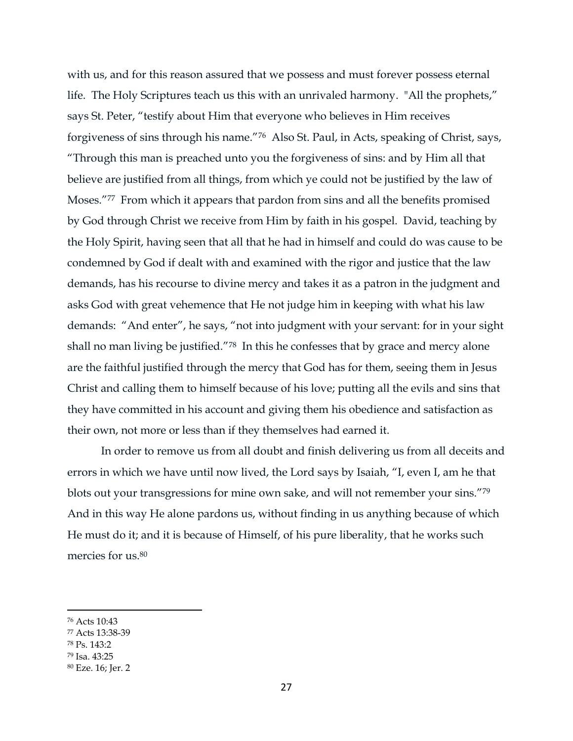with us, and for this reason assured that we possess and must forever possess eternal life. The Holy Scriptures teach us this with an unrivaled harmony. "All the prophets," says St. Peter, "testify about Him that everyone who believes in Him receives forgiveness of sins through his name."76 Also St. Paul, in Acts, speaking of Christ, says, "Through this man is preached unto you the forgiveness of sins: and by Him all that believe are justified from all things, from which ye could not be justified by the law of Moses."<sup>77</sup> From which it appears that pardon from sins and all the benefits promised by God through Christ we receive from Him by faith in his gospel. David, teaching by the Holy Spirit, having seen that all that he had in himself and could do was cause to be condemned by God if dealt with and examined with the rigor and justice that the law demands, has his recourse to divine mercy and takes it as a patron in the judgment and asks God with great vehemence that He not judge him in keeping with what his law demands: "And enter", he says, "not into judgment with your servant: for in your sight shall no man living be justified."78 In this he confesses that by grace and mercy alone are the faithful justified through the mercy that God has for them, seeing them in Jesus Christ and calling them to himself because of his love; putting all the evils and sins that they have committed in his account and giving them his obedience and satisfaction as their own, not more or less than if they themselves had earned it.

In order to remove us from all doubt and finish delivering us from all deceits and errors in which we have until now lived, the Lord says by Isaiah, "I, even I, am he that blots out your transgressions for mine own sake, and will not remember your sins."<sup>79</sup> And in this way He alone pardons us, without finding in us anything because of which He must do it; and it is because of Himself, of his pure liberality, that he works such mercies for us.<sup>80</sup>

<sup>76</sup> Acts 10:43

<sup>77</sup> Acts 13:38-39

<sup>78</sup> Ps. 143:2

<sup>79</sup> Isa. 43:25

<sup>80</sup> Eze. 16; Jer. 2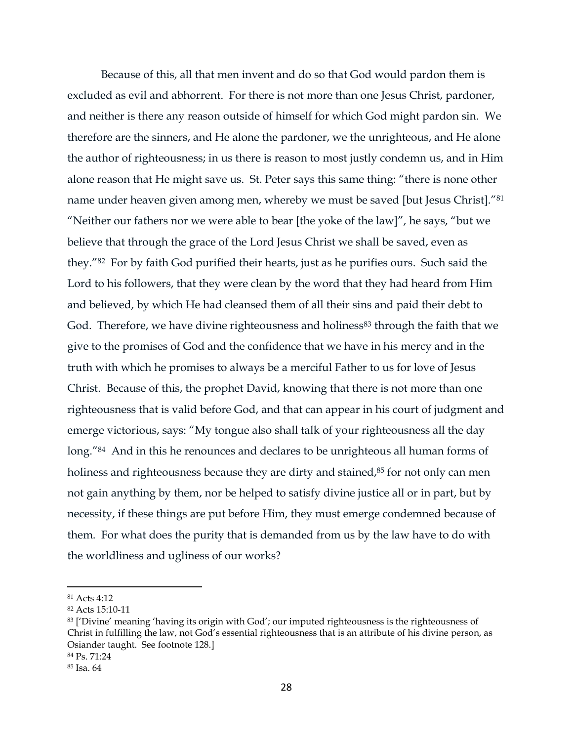Because of this, all that men invent and do so that God would pardon them is excluded as evil and abhorrent. For there is not more than one Jesus Christ, pardoner, and neither is there any reason outside of himself for which God might pardon sin. We therefore are the sinners, and He alone the pardoner, we the unrighteous, and He alone the author of righteousness; in us there is reason to most justly condemn us, and in Him alone reason that He might save us. St. Peter says this same thing: "there is none other name under heaven given among men, whereby we must be saved [but Jesus Christ]."<sup>81</sup> "Neither our fathers nor we were able to bear [the yoke of the law]", he says, "but we believe that through the grace of the Lord Jesus Christ we shall be saved, even as they."82 For by faith God purified their hearts, just as he purifies ours. Such said the Lord to his followers, that they were clean by the word that they had heard from Him and believed, by which He had cleansed them of all their sins and paid their debt to God. Therefore, we have divine righteousness and holiness<sup>83</sup> through the faith that we give to the promises of God and the confidence that we have in his mercy and in the truth with which he promises to always be a merciful Father to us for love of Jesus Christ. Because of this, the prophet David, knowing that there is not more than one righteousness that is valid before God, and that can appear in his court of judgment and emerge victorious, says: "My tongue also shall talk of your righteousness all the day long."<sup>84</sup> And in this he renounces and declares to be unrighteous all human forms of holiness and righteousness because they are dirty and stained, <sup>85</sup> for not only can men not gain anything by them, nor be helped to satisfy divine justice all or in part, but by necessity, if these things are put before Him, they must emerge condemned because of them. For what does the purity that is demanded from us by the law have to do with the worldliness and ugliness of our works?

<sup>81</sup> Acts 4:12

<sup>82</sup> Acts 15:10-11

<sup>83</sup> ['Divine' meaning 'having its origin with God'; our imputed righteousness is the righteousness of Christ in fulfilling the law, not God's essential righteousness that is an attribute of his divine person, as Osiander taught. See footnote 128.]

<sup>84</sup> Ps. 71:24

<sup>85</sup> Isa. 64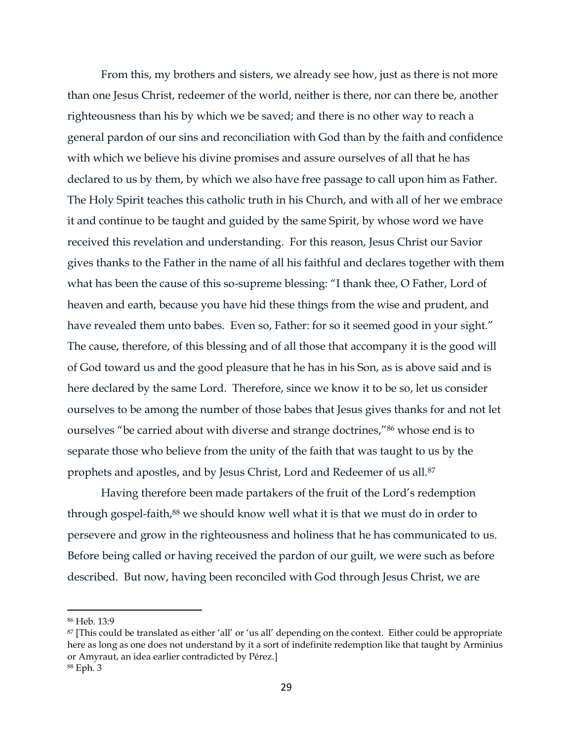From this, my brothers and sisters, we already see how, just as there is not more than one Jesus Christ, redeemer of the world, neither is there, nor can there be, another righteousness than his by which we be saved; and there is no other way to reach a general pardon of our sins and reconciliation with God than by the faith and confidence with which we believe his divine promises and assure ourselves of all that he has declared to us by them, by which we also have free passage to call upon him as Father. The Holy Spirit teaches this catholic truth in his Church, and with all of her we embrace it and continue to be taught and guided by the same Spirit, by whose word we have received this revelation and understanding. For this reason, Jesus Christ our Savior gives thanks to the Father in the name of all his faithful and declares together with them what has been the cause of this so-supreme blessing: "I thank thee, O Father, Lord of heaven and earth, because you have hid these things from the wise and prudent, and have revealed them unto babes. Even so, Father: for so it seemed good in your sight." The cause, therefore, of this blessing and of all those that accompany it is the good will of God toward us and the good pleasure that he has in his Son, as is above said and is here declared by the same Lord. Therefore, since we know it to be so, let us consider ourselves to be among the number of those babes that Jesus gives thanks for and not let ourselves "be carried about with diverse and strange doctrines,"<sup>86</sup> whose end is to separate those who believe from the unity of the faith that was taught to us by the prophets and apostles, and by Jesus Christ, Lord and Redeemer of us all.<sup>87</sup>

Having therefore been made partakers of the fruit of the Lord's redemption through gospel-faith, <sup>88</sup> we should know well what it is that we must do in order to persevere and grow in the righteousness and holiness that he has communicated to us. Before being called or having received the pardon of our guilt, we were such as before described. But now, having been reconciled with God through Jesus Christ, we are

<sup>86</sup> Heb. 13:9

<sup>87 [</sup>This could be translated as either 'all' or 'us all' depending on the context. Either could be appropriate here as long as one does not understand by it a sort of indefinite redemption like that taught by Arminius or Amyraut, an idea earlier contradicted by Pérez.]

<sup>88</sup> Eph. 3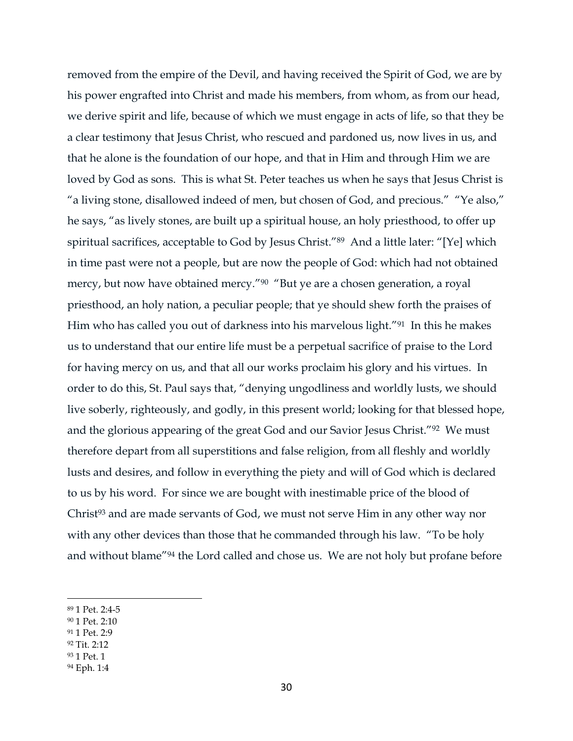removed from the empire of the Devil, and having received the Spirit of God, we are by his power engrafted into Christ and made his members, from whom, as from our head, we derive spirit and life, because of which we must engage in acts of life, so that they be a clear testimony that Jesus Christ, who rescued and pardoned us, now lives in us, and that he alone is the foundation of our hope, and that in Him and through Him we are loved by God as sons. This is what St. Peter teaches us when he says that Jesus Christ is "a living stone, disallowed indeed of men, but chosen of God, and precious." "Ye also," he says, "as lively stones, are built up a spiritual house, an holy priesthood, to offer up spiritual sacrifices, acceptable to God by Jesus Christ."<sup>89</sup> And a little later: "[Ye] which in time past were not a people, but are now the people of God: which had not obtained mercy, but now have obtained mercy."<sup>90</sup> "But ye are a chosen generation, a royal priesthood, an holy nation, a peculiar people; that ye should shew forth the praises of Him who has called you out of darkness into his marvelous light."91 In this he makes us to understand that our entire life must be a perpetual sacrifice of praise to the Lord for having mercy on us, and that all our works proclaim his glory and his virtues. In order to do this, St. Paul says that, "denying ungodliness and worldly lusts, we should live soberly, righteously, and godly, in this present world; looking for that blessed hope, and the glorious appearing of the great God and our Savior Jesus Christ."92 We must therefore depart from all superstitions and false religion, from all fleshly and worldly lusts and desires, and follow in everything the piety and will of God which is declared to us by his word. For since we are bought with inestimable price of the blood of Christ<sup>93</sup> and are made servants of God, we must not serve Him in any other way nor with any other devices than those that he commanded through his law. "To be holy and without blame"<sup>94</sup> the Lord called and chose us. We are not holy but profane before

- <sup>90</sup> 1 Pet. 2:10
- <sup>91</sup> 1 Pet. 2:9
- <sup>92</sup> Tit. 2:12
- <sup>93</sup> 1 Pet. 1
- <sup>94</sup> Eph. 1:4

<sup>89</sup> 1 Pet. 2:4-5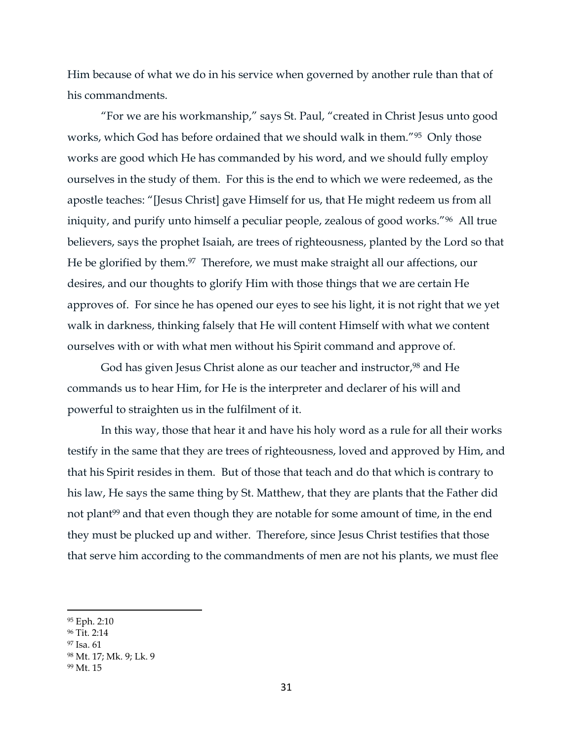Him because of what we do in his service when governed by another rule than that of his commandments.

"For we are his workmanship," says St. Paul, "created in Christ Jesus unto good works, which God has before ordained that we should walk in them."95 Only those works are good which He has commanded by his word, and we should fully employ ourselves in the study of them. For this is the end to which we were redeemed, as the apostle teaches: "[Jesus Christ] gave Himself for us, that He might redeem us from all iniquity, and purify unto himself a peculiar people, zealous of good works."96 All true believers, says the prophet Isaiah, are trees of righteousness, planted by the Lord so that He be glorified by them. <sup>97</sup> Therefore, we must make straight all our affections, our desires, and our thoughts to glorify Him with those things that we are certain He approves of. For since he has opened our eyes to see his light, it is not right that we yet walk in darkness, thinking falsely that He will content Himself with what we content ourselves with or with what men without his Spirit command and approve of.

God has given Jesus Christ alone as our teacher and instructor, <sup>98</sup> and He commands us to hear Him, for He is the interpreter and declarer of his will and powerful to straighten us in the fulfilment of it.

In this way, those that hear it and have his holy word as a rule for all their works testify in the same that they are trees of righteousness, loved and approved by Him, and that his Spirit resides in them. But of those that teach and do that which is contrary to his law, He says the same thing by St. Matthew, that they are plants that the Father did not plant<sup>99</sup> and that even though they are notable for some amount of time, in the end they must be plucked up and wither. Therefore, since Jesus Christ testifies that those that serve him according to the commandments of men are not his plants, we must flee

<sup>95</sup> Eph. 2:10

<sup>96</sup> Tit. 2:14

<sup>97</sup> Isa. 61

<sup>98</sup> Mt. 17; Mk. 9; Lk. 9

<sup>99</sup> Mt. 15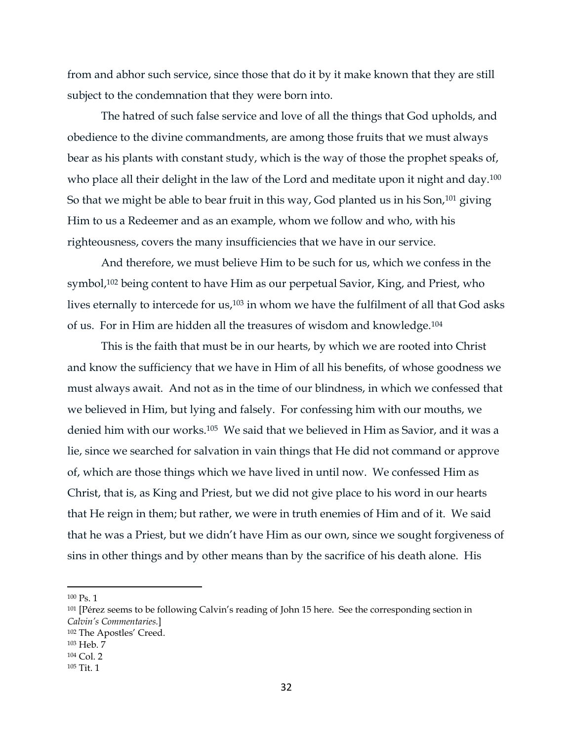from and abhor such service, since those that do it by it make known that they are still subject to the condemnation that they were born into.

The hatred of such false service and love of all the things that God upholds, and obedience to the divine commandments, are among those fruits that we must always bear as his plants with constant study, which is the way of those the prophet speaks of, who place all their delight in the law of the Lord and meditate upon it night and day.<sup>100</sup> So that we might be able to bear fruit in this way, God planted us in his Son,<sup>101</sup> giving Him to us a Redeemer and as an example, whom we follow and who, with his righteousness, covers the many insufficiencies that we have in our service.

And therefore, we must believe Him to be such for us, which we confess in the symbol,<sup>102</sup> being content to have Him as our perpetual Savior, King, and Priest, who lives eternally to intercede for us,<sup>103</sup> in whom we have the fulfilment of all that God asks of us. For in Him are hidden all the treasures of wisdom and knowledge.<sup>104</sup>

This is the faith that must be in our hearts, by which we are rooted into Christ and know the sufficiency that we have in Him of all his benefits, of whose goodness we must always await. And not as in the time of our blindness, in which we confessed that we believed in Him, but lying and falsely. For confessing him with our mouths, we denied him with our works.105 We said that we believed in Him as Savior, and it was a lie, since we searched for salvation in vain things that He did not command or approve of, which are those things which we have lived in until now. We confessed Him as Christ, that is, as King and Priest, but we did not give place to his word in our hearts that He reign in them; but rather, we were in truth enemies of Him and of it. We said that he was a Priest, but we didn't have Him as our own, since we sought forgiveness of sins in other things and by other means than by the sacrifice of his death alone. His

<sup>100</sup> Ps. 1

<sup>&</sup>lt;sup>101</sup> [Pérez seems to be following Calvin's reading of John 15 here. See the corresponding section in *Calvin's Commentaries.*]

<sup>102</sup> The Apostles' Creed.

<sup>103</sup> Heb. 7

<sup>104</sup> Col. 2

<sup>105</sup> Tit. 1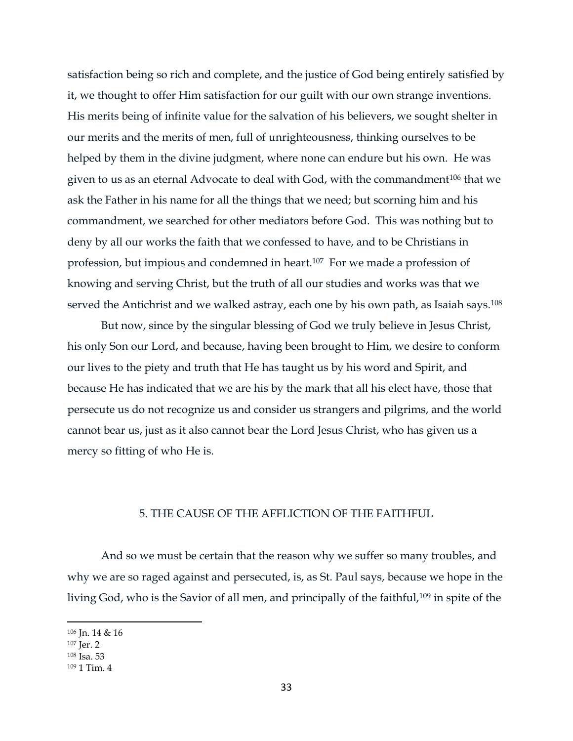satisfaction being so rich and complete, and the justice of God being entirely satisfied by it, we thought to offer Him satisfaction for our guilt with our own strange inventions. His merits being of infinite value for the salvation of his believers, we sought shelter in our merits and the merits of men, full of unrighteousness, thinking ourselves to be helped by them in the divine judgment, where none can endure but his own. He was given to us as an eternal Advocate to deal with God, with the commandment<sup>106</sup> that we ask the Father in his name for all the things that we need; but scorning him and his commandment, we searched for other mediators before God. This was nothing but to deny by all our works the faith that we confessed to have, and to be Christians in profession, but impious and condemned in heart.107 For we made a profession of knowing and serving Christ, but the truth of all our studies and works was that we served the Antichrist and we walked astray, each one by his own path, as Isaiah says.<sup>108</sup>

But now, since by the singular blessing of God we truly believe in Jesus Christ, his only Son our Lord, and because, having been brought to Him, we desire to conform our lives to the piety and truth that He has taught us by his word and Spirit, and because He has indicated that we are his by the mark that all his elect have, those that persecute us do not recognize us and consider us strangers and pilgrims, and the world cannot bear us, just as it also cannot bear the Lord Jesus Christ, who has given us a mercy so fitting of who He is.

### 5. THE CAUSE OF THE AFFLICTION OF THE FAITHFUL

<span id="page-33-0"></span>And so we must be certain that the reason why we suffer so many troubles, and why we are so raged against and persecuted, is, as St. Paul says, because we hope in the living God, who is the Savior of all men, and principally of the faithful,<sup>109</sup> in spite of the

<sup>106</sup> Jn. 14 & 16

<sup>107</sup> Jer. 2

<sup>108</sup> Isa. 53

<sup>109</sup> 1 Tim. 4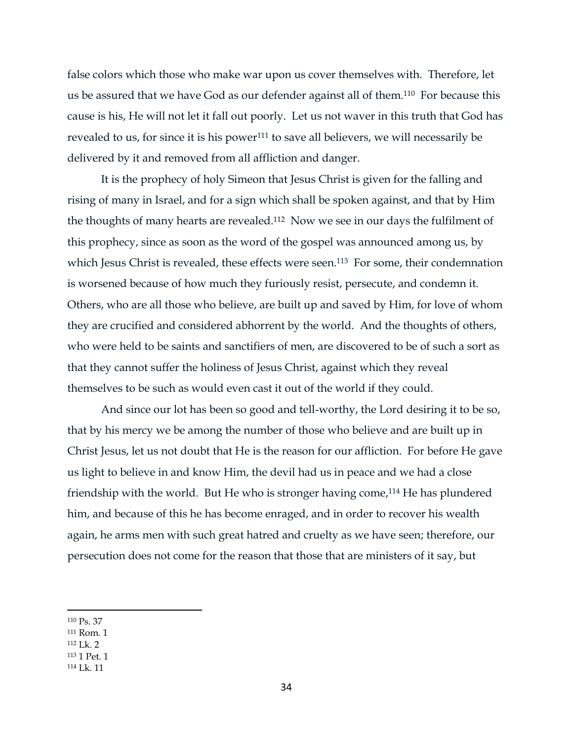false colors which those who make war upon us cover themselves with. Therefore, let us be assured that we have God as our defender against all of them.110 For because this cause is his, He will not let it fall out poorly. Let us not waver in this truth that God has revealed to us, for since it is his power<sup>111</sup> to save all believers, we will necessarily be delivered by it and removed from all affliction and danger.

It is the prophecy of holy Simeon that Jesus Christ is given for the falling and rising of many in Israel, and for a sign which shall be spoken against, and that by Him the thoughts of many hearts are revealed.112 Now we see in our days the fulfilment of this prophecy, since as soon as the word of the gospel was announced among us, by which Jesus Christ is revealed, these effects were seen.<sup>113</sup> For some, their condemnation is worsened because of how much they furiously resist, persecute, and condemn it. Others, who are all those who believe, are built up and saved by Him, for love of whom they are crucified and considered abhorrent by the world. And the thoughts of others, who were held to be saints and sanctifiers of men, are discovered to be of such a sort as that they cannot suffer the holiness of Jesus Christ, against which they reveal themselves to be such as would even cast it out of the world if they could.

And since our lot has been so good and tell-worthy, the Lord desiring it to be so, that by his mercy we be among the number of those who believe and are built up in Christ Jesus, let us not doubt that He is the reason for our affliction. For before He gave us light to believe in and know Him, the devil had us in peace and we had a close friendship with the world. But He who is stronger having come, <sup>114</sup> He has plundered him, and because of this he has become enraged, and in order to recover his wealth again, he arms men with such great hatred and cruelty as we have seen; therefore, our persecution does not come for the reason that those that are ministers of it say, but

 $\overline{a}$ 

<sup>112</sup> Lk. 2

<sup>114</sup> Lk. 11

<sup>110</sup> Ps. 37

<sup>111</sup> Rom. 1

<sup>113</sup> 1 Pet. 1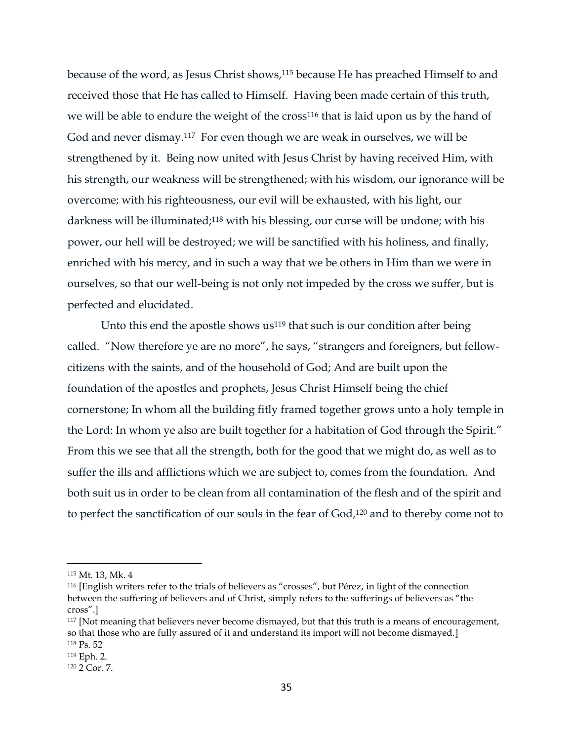because of the word, as Jesus Christ shows, <sup>115</sup> because He has preached Himself to and received those that He has called to Himself. Having been made certain of this truth, we will be able to endure the weight of the cross<sup>116</sup> that is laid upon us by the hand of God and never dismay. <sup>117</sup> For even though we are weak in ourselves, we will be strengthened by it. Being now united with Jesus Christ by having received Him, with his strength, our weakness will be strengthened; with his wisdom, our ignorance will be overcome; with his righteousness, our evil will be exhausted, with his light, our darkness will be illuminated;<sup>118</sup> with his blessing, our curse will be undone; with his power, our hell will be destroyed; we will be sanctified with his holiness, and finally, enriched with his mercy, and in such a way that we be others in Him than we were in ourselves, so that our well-being is not only not impeded by the cross we suffer, but is perfected and elucidated.

Unto this end the apostle shows  $us^{119}$  that such is our condition after being called. "Now therefore ye are no more", he says, "strangers and foreigners, but fellowcitizens with the saints, and of the household of God; And are built upon the foundation of the apostles and prophets, Jesus Christ Himself being the chief cornerstone; In whom all the building fitly framed together grows unto a holy temple in the Lord: In whom ye also are built together for a habitation of God through the Spirit." From this we see that all the strength, both for the good that we might do, as well as to suffer the ills and afflictions which we are subject to, comes from the foundation. And both suit us in order to be clean from all contamination of the flesh and of the spirit and to perfect the sanctification of our souls in the fear of God, <sup>120</sup> and to thereby come not to

<sup>115</sup> Mt. 13, Mk. 4

<sup>116</sup> [English writers refer to the trials of believers as "crosses", but Pérez, in light of the connection between the suffering of believers and of Christ, simply refers to the sufferings of believers as "the cross".]

<sup>&</sup>lt;sup>117</sup> [Not meaning that believers never become dismayed, but that this truth is a means of encouragement, so that those who are fully assured of it and understand its import will not become dismayed.] <sup>118</sup> Ps. 52

<sup>119</sup> Eph. 2.

<sup>120</sup> 2 Cor. 7.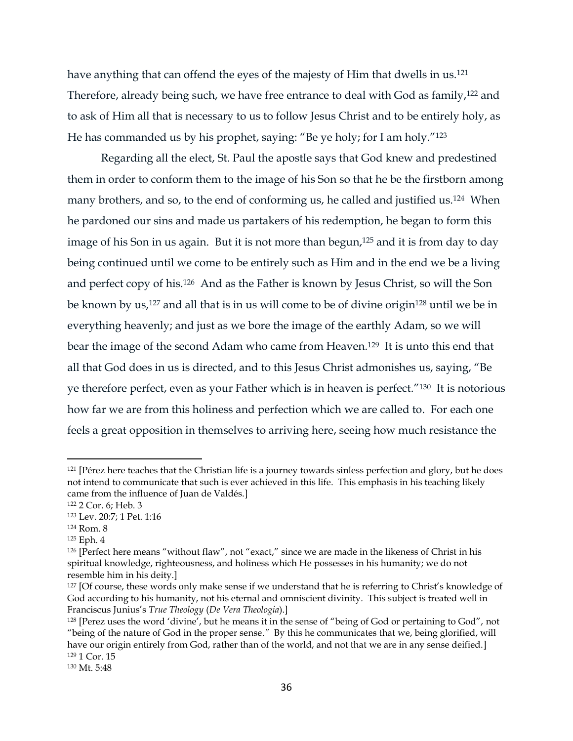have anything that can offend the eyes of the majesty of Him that dwells in us.<sup>121</sup> Therefore, already being such, we have free entrance to deal with God as family,<sup>122</sup> and to ask of Him all that is necessary to us to follow Jesus Christ and to be entirely holy, as He has commanded us by his prophet, saying: "Be ye holy; for I am holy."<sup>123</sup>

Regarding all the elect, St. Paul the apostle says that God knew and predestined them in order to conform them to the image of his Son so that he be the firstborn among many brothers, and so, to the end of conforming us, he called and justified us.<sup>124</sup> When he pardoned our sins and made us partakers of his redemption, he began to form this image of his Son in us again. But it is not more than begun, <sup>125</sup> and it is from day to day being continued until we come to be entirely such as Him and in the end we be a living and perfect copy of his.126 And as the Father is known by Jesus Christ, so will the Son be known by us,<sup>127</sup> and all that is in us will come to be of divine origin<sup>128</sup> until we be in everything heavenly; and just as we bore the image of the earthly Adam, so we will bear the image of the second Adam who came from Heaven.129 It is unto this end that all that God does in us is directed, and to this Jesus Christ admonishes us, saying, "Be ye therefore perfect, even as your Father which is in heaven is perfect."130 It is notorious how far we are from this holiness and perfection which we are called to. For each one feels a great opposition in themselves to arriving here, seeing how much resistance the

<sup>121</sup> [Pérez here teaches that the Christian life is a journey towards sinless perfection and glory, but he does not intend to communicate that such is ever achieved in this life. This emphasis in his teaching likely came from the influence of Juan de Valdés.]

<sup>122</sup> 2 Cor. 6; Heb. 3

<sup>123</sup> Lev. 20:7; 1 Pet. 1:16

<sup>124</sup> Rom. 8

<sup>125</sup> Eph. 4

<sup>126</sup> [Perfect here means "without flaw", not "exact," since we are made in the likeness of Christ in his spiritual knowledge, righteousness, and holiness which He possesses in his humanity; we do not resemble him in his deity.]

<sup>&</sup>lt;sup>127</sup> [Of course, these words only make sense if we understand that he is referring to Christ's knowledge of God according to his humanity, not his eternal and omniscient divinity. This subject is treated well in Franciscus Junius's *True Theology* (*De Vera Theologia*).]

<sup>128</sup> [Perez uses the word 'divine', but he means it in the sense of "being of God or pertaining to God", not "being of the nature of God in the proper sense.*"* By this he communicates that we, being glorified, will have our origin entirely from God, rather than of the world, and not that we are in any sense deified.] <sup>129</sup> 1 Cor. 15

<sup>130</sup> Mt. 5:48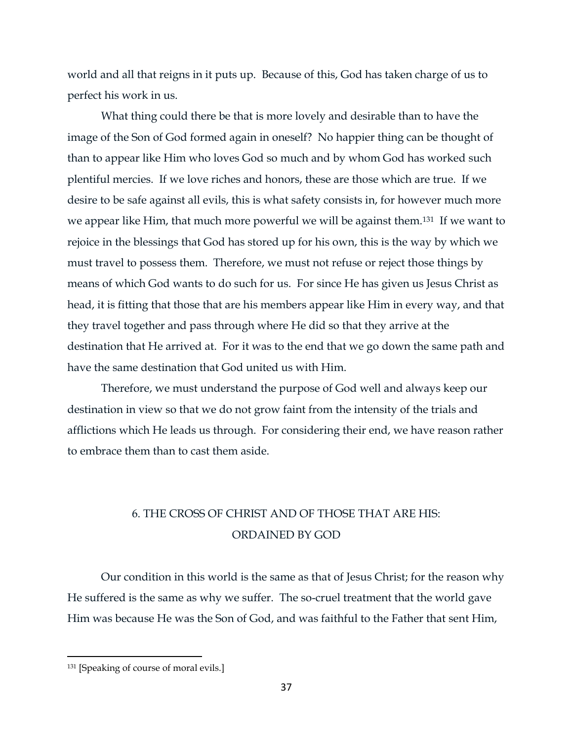world and all that reigns in it puts up. Because of this, God has taken charge of us to perfect his work in us.

What thing could there be that is more lovely and desirable than to have the image of the Son of God formed again in oneself? No happier thing can be thought of than to appear like Him who loves God so much and by whom God has worked such plentiful mercies. If we love riches and honors, these are those which are true. If we desire to be safe against all evils, this is what safety consists in, for however much more we appear like Him, that much more powerful we will be against them.131 If we want to rejoice in the blessings that God has stored up for his own, this is the way by which we must travel to possess them. Therefore, we must not refuse or reject those things by means of which God wants to do such for us. For since He has given us Jesus Christ as head, it is fitting that those that are his members appear like Him in every way, and that they travel together and pass through where He did so that they arrive at the destination that He arrived at. For it was to the end that we go down the same path and have the same destination that God united us with Him.

Therefore, we must understand the purpose of God well and always keep our destination in view so that we do not grow faint from the intensity of the trials and afflictions which He leads us through. For considering their end, we have reason rather to embrace them than to cast them aside.

# 6. THE CROSS OF CHRIST AND OF THOSE THAT ARE HIS: ORDAINED BY GOD

Our condition in this world is the same as that of Jesus Christ; for the reason why He suffered is the same as why we suffer. The so-cruel treatment that the world gave Him was because He was the Son of God, and was faithful to the Father that sent Him,

<sup>131</sup> [Speaking of course of moral evils.]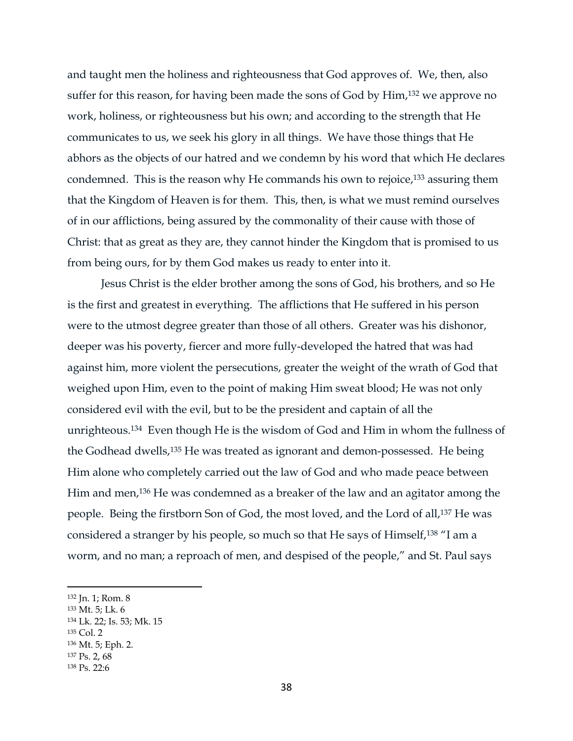and taught men the holiness and righteousness that God approves of. We, then, also suffer for this reason, for having been made the sons of God by Him,<sup>132</sup> we approve no work, holiness, or righteousness but his own; and according to the strength that He communicates to us, we seek his glory in all things. We have those things that He abhors as the objects of our hatred and we condemn by his word that which He declares condemned. This is the reason why He commands his own to rejoice, <sup>133</sup> assuring them that the Kingdom of Heaven is for them. This, then, is what we must remind ourselves of in our afflictions, being assured by the commonality of their cause with those of Christ: that as great as they are, they cannot hinder the Kingdom that is promised to us from being ours, for by them God makes us ready to enter into it.

Jesus Christ is the elder brother among the sons of God, his brothers, and so He is the first and greatest in everything. The afflictions that He suffered in his person were to the utmost degree greater than those of all others. Greater was his dishonor, deeper was his poverty, fiercer and more fully-developed the hatred that was had against him, more violent the persecutions, greater the weight of the wrath of God that weighed upon Him, even to the point of making Him sweat blood; He was not only considered evil with the evil, but to be the president and captain of all the unrighteous.134 Even though He is the wisdom of God and Him in whom the fullness of the Godhead dwells,<sup>135</sup> He was treated as ignorant and demon-possessed. He being Him alone who completely carried out the law of God and who made peace between Him and men,<sup>136</sup> He was condemned as a breaker of the law and an agitator among the people. Being the firstborn Son of God, the most loved, and the Lord of all,<sup>137</sup> He was considered a stranger by his people, so much so that He says of Himself,<sup>138</sup> "I am a worm, and no man; a reproach of men, and despised of the people," and St. Paul says

<sup>135</sup> Col. 2

 $\overline{a}$ 

<sup>137</sup> Ps. 2, 68

<sup>132</sup> Jn. 1; Rom. 8

<sup>133</sup> Mt. 5; Lk. 6

<sup>134</sup> Lk. 22; Is. 53; Mk. 15

<sup>136</sup> Mt. 5; Eph. 2.

<sup>138</sup> Ps. 22:6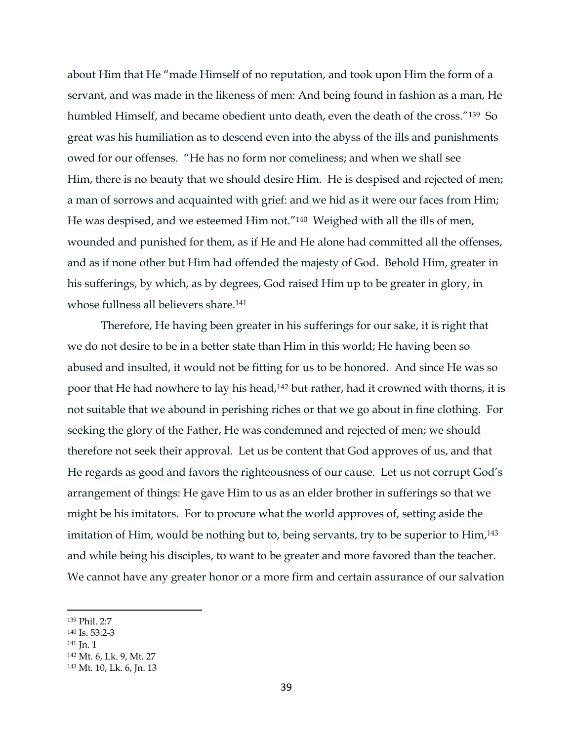about Him that He "made Himself of no reputation, and took upon Him the form of a servant, and was made in the likeness of men: And being found in fashion as a man, He humbled Himself, and became obedient unto death, even the death of the cross."139 So great was his humiliation as to descend even into the abyss of the ills and punishments owed for our offenses. "He has no form nor comeliness; and when we shall see Him, there is no beauty that we should desire Him. He is despised and rejected of men; a man of sorrows and acquainted with grief: and we hid as it were our faces from Him; He was despised, and we esteemed Him not."140 Weighed with all the ills of men, wounded and punished for them, as if He and He alone had committed all the offenses, and as if none other but Him had offended the majesty of God. Behold Him, greater in his sufferings, by which, as by degrees, God raised Him up to be greater in glory, in whose fullness all believers share.<sup>141</sup>

Therefore, He having been greater in his sufferings for our sake, it is right that we do not desire to be in a better state than Him in this world; He having been so abused and insulted, it would not be fitting for us to be honored. And since He was so poor that He had nowhere to lay his head,<sup>142</sup> but rather, had it crowned with thorns, it is not suitable that we abound in perishing riches or that we go about in fine clothing. For seeking the glory of the Father, He was condemned and rejected of men; we should therefore not seek their approval. Let us be content that God approves of us, and that He regards as good and favors the righteousness of our cause. Let us not corrupt God's arrangement of things: He gave Him to us as an elder brother in sufferings so that we might be his imitators. For to procure what the world approves of, setting aside the imitation of Him, would be nothing but to, being servants, try to be superior to Him, 143 and while being his disciples, to want to be greater and more favored than the teacher. We cannot have any greater honor or a more firm and certain assurance of our salvation

<sup>139</sup> Phil. 2:7

<sup>140</sup> Is. 53:2-3

<sup>141</sup> Jn. 1

<sup>142</sup> Mt. 6, Lk. 9, Mt. 27

<sup>143</sup> Mt. 10, Lk. 6, Jn. 13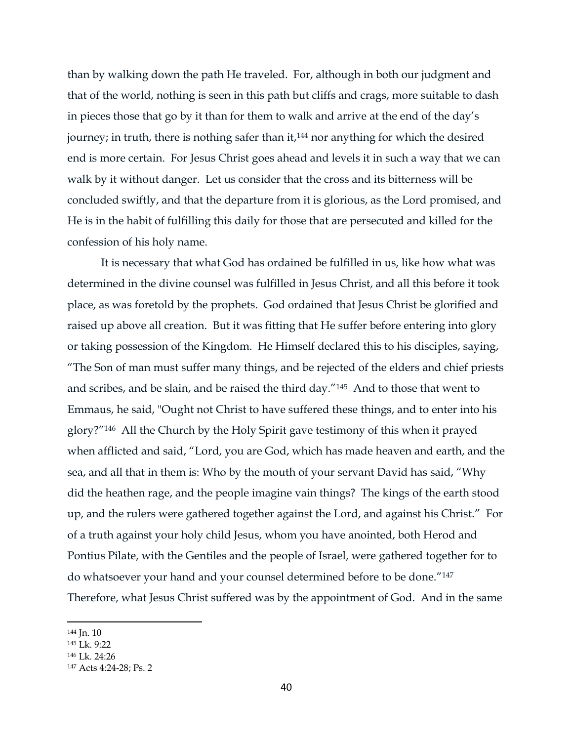than by walking down the path He traveled. For, although in both our judgment and that of the world, nothing is seen in this path but cliffs and crags, more suitable to dash in pieces those that go by it than for them to walk and arrive at the end of the day's journey; in truth, there is nothing safer than it,<sup>144</sup> nor anything for which the desired end is more certain. For Jesus Christ goes ahead and levels it in such a way that we can walk by it without danger. Let us consider that the cross and its bitterness will be concluded swiftly, and that the departure from it is glorious, as the Lord promised, and He is in the habit of fulfilling this daily for those that are persecuted and killed for the confession of his holy name.

It is necessary that what God has ordained be fulfilled in us, like how what was determined in the divine counsel was fulfilled in Jesus Christ, and all this before it took place, as was foretold by the prophets. God ordained that Jesus Christ be glorified and raised up above all creation. But it was fitting that He suffer before entering into glory or taking possession of the Kingdom. He Himself declared this to his disciples, saying, "The Son of man must suffer many things, and be rejected of the elders and chief priests and scribes, and be slain, and be raised the third day."145 And to those that went to Emmaus, he said, "Ought not Christ to have suffered these things, and to enter into his glory?"146 All the Church by the Holy Spirit gave testimony of this when it prayed when afflicted and said, "Lord, you are God, which has made heaven and earth, and the sea, and all that in them is: Who by the mouth of your servant David has said, "Why did the heathen rage, and the people imagine vain things? The kings of the earth stood up, and the rulers were gathered together against the Lord, and against his Christ." For of a truth against your holy child Jesus, whom you have anointed, both Herod and Pontius Pilate, with the Gentiles and the people of Israel, were gathered together for to do whatsoever your hand and your counsel determined before to be done."<sup>147</sup> Therefore, what Jesus Christ suffered was by the appointment of God. And in the same

<sup>144</sup> Jn. 10

<sup>145</sup> Lk. 9:22

<sup>146</sup> Lk. 24:26

<sup>147</sup> Acts 4:24-28; Ps. 2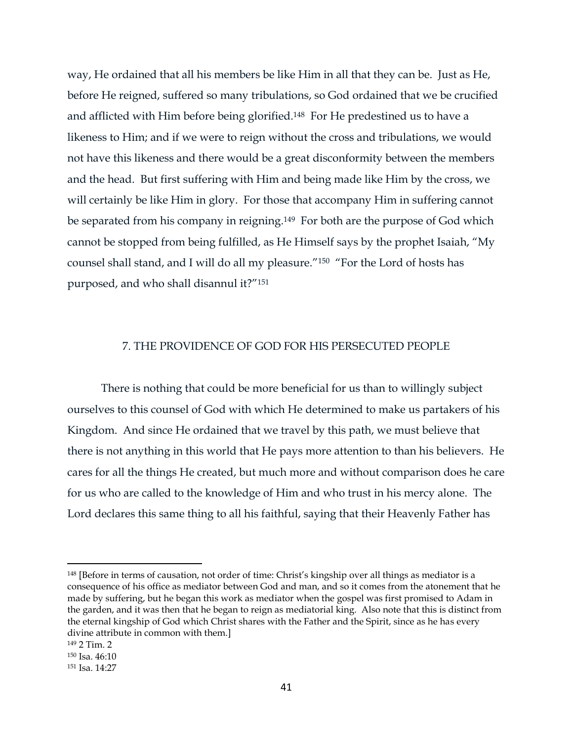way, He ordained that all his members be like Him in all that they can be. Just as He, before He reigned, suffered so many tribulations, so God ordained that we be crucified and afflicted with Him before being glorified.148 For He predestined us to have a likeness to Him; and if we were to reign without the cross and tribulations, we would not have this likeness and there would be a great disconformity between the members and the head. But first suffering with Him and being made like Him by the cross, we will certainly be like Him in glory. For those that accompany Him in suffering cannot be separated from his company in reigning.149 For both are the purpose of God which cannot be stopped from being fulfilled, as He Himself says by the prophet Isaiah, "My counsel shall stand, and I will do all my pleasure."<sup>150</sup> "For the Lord of hosts has purposed, and who shall disannul it?"<sup>151</sup>

# 7. THE PROVIDENCE OF GOD FOR HIS PERSECUTED PEOPLE

There is nothing that could be more beneficial for us than to willingly subject ourselves to this counsel of God with which He determined to make us partakers of his Kingdom. And since He ordained that we travel by this path, we must believe that there is not anything in this world that He pays more attention to than his believers. He cares for all the things He created, but much more and without comparison does he care for us who are called to the knowledge of Him and who trust in his mercy alone. The Lord declares this same thing to all his faithful, saying that their Heavenly Father has

<sup>148</sup> [Before in terms of causation, not order of time: Christ's kingship over all things as mediator is a consequence of his office as mediator between God and man, and so it comes from the atonement that he made by suffering, but he began this work as mediator when the gospel was first promised to Adam in the garden, and it was then that he began to reign as mediatorial king. Also note that this is distinct from the eternal kingship of God which Christ shares with the Father and the Spirit, since as he has every divine attribute in common with them.]

<sup>149</sup> 2 Tim. 2

<sup>150</sup> Isa. 46:10

<sup>151</sup> Isa. 14:27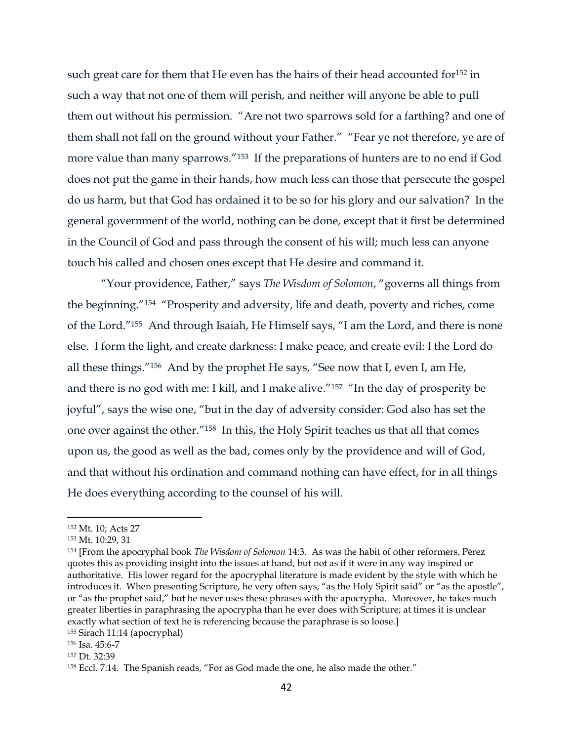such great care for them that He even has the hairs of their head accounted for<sup>152</sup> in such a way that not one of them will perish, and neither will anyone be able to pull them out without his permission. "Are not two sparrows sold for a farthing? and one of them shall not fall on the ground without your Father." "Fear ye not therefore, ye are of more value than many sparrows."153 If the preparations of hunters are to no end if God does not put the game in their hands, how much less can those that persecute the gospel do us harm, but that God has ordained it to be so for his glory and our salvation? In the general government of the world, nothing can be done, except that it first be determined in the Council of God and pass through the consent of his will; much less can anyone touch his called and chosen ones except that He desire and command it.

"Your providence, Father," says *The Wisdom of Solomon*, "governs all things from the beginning."<sup>154</sup> "Prosperity and adversity, life and death, poverty and riches, come of the Lord."155 And through Isaiah, He Himself says, "I am the Lord, and there is none else. I form the light, and create darkness: I make peace, and create evil: I the Lord do all these things."156 And by the prophet He says, "See now that I, even I, am He, and there is no god with me: I kill, and I make alive."<sup>157</sup> "In the day of prosperity be joyful", says the wise one, "but in the day of adversity consider: God also has set the one over against the other."158 In this, the Holy Spirit teaches us that all that comes upon us, the good as well as the bad, comes only by the providence and will of God, and that without his ordination and command nothing can have effect, for in all things He does everything according to the counsel of his will.

<sup>152</sup> Mt. 10; Acts 27

<sup>153</sup> Mt. 10:29, 31

<sup>154</sup> [From the apocryphal book *The Wisdom of Solomon* 14:3. As was the habit of other reformers, Pérez quotes this as providing insight into the issues at hand, but not as if it were in any way inspired or authoritative. His lower regard for the apocryphal literature is made evident by the style with which he introduces it. When presenting Scripture, he very often says, "as the Holy Spirit said" or "as the apostle", or "as the prophet said," but he never uses these phrases with the apocrypha. Moreover, he takes much greater liberties in paraphrasing the apocrypha than he ever does with Scripture; at times it is unclear exactly what section of text he is referencing because the paraphrase is so loose.]

<sup>155</sup> Sirach 11:14 (apocryphal)

<sup>156</sup> Isa. 45:6-7

<sup>157</sup> Dt. 32:39

<sup>158</sup> Eccl. 7:14. The Spanish reads, "For as God made the one, he also made the other."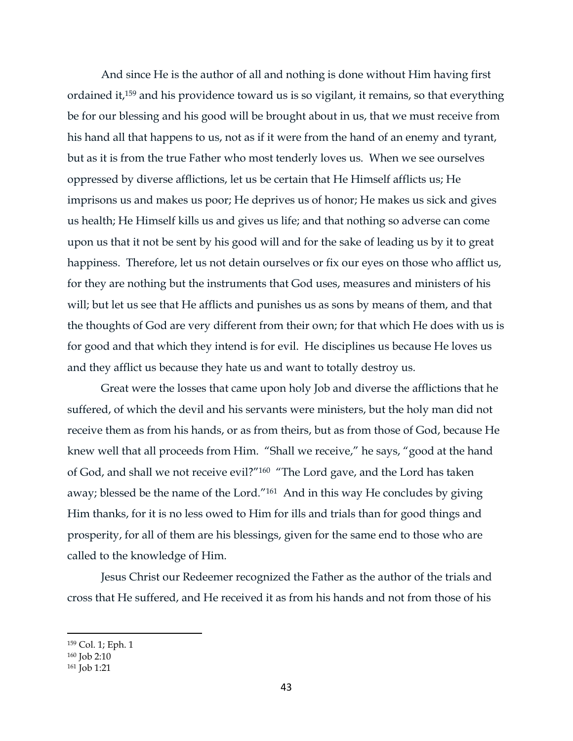And since He is the author of all and nothing is done without Him having first ordained it,<sup>159</sup> and his providence toward us is so vigilant, it remains, so that everything be for our blessing and his good will be brought about in us, that we must receive from his hand all that happens to us, not as if it were from the hand of an enemy and tyrant, but as it is from the true Father who most tenderly loves us. When we see ourselves oppressed by diverse afflictions, let us be certain that He Himself afflicts us; He imprisons us and makes us poor; He deprives us of honor; He makes us sick and gives us health; He Himself kills us and gives us life; and that nothing so adverse can come upon us that it not be sent by his good will and for the sake of leading us by it to great happiness. Therefore, let us not detain ourselves or fix our eyes on those who afflict us, for they are nothing but the instruments that God uses, measures and ministers of his will; but let us see that He afflicts and punishes us as sons by means of them, and that the thoughts of God are very different from their own; for that which He does with us is for good and that which they intend is for evil. He disciplines us because He loves us and they afflict us because they hate us and want to totally destroy us.

Great were the losses that came upon holy Job and diverse the afflictions that he suffered, of which the devil and his servants were ministers, but the holy man did not receive them as from his hands, or as from theirs, but as from those of God, because He knew well that all proceeds from Him. "Shall we receive," he says, "good at the hand of God, and shall we not receive evil?"<sup>160</sup> "The Lord gave, and the Lord has taken away; blessed be the name of the Lord."161 And in this way He concludes by giving Him thanks, for it is no less owed to Him for ills and trials than for good things and prosperity, for all of them are his blessings, given for the same end to those who are called to the knowledge of Him.

Jesus Christ our Redeemer recognized the Father as the author of the trials and cross that He suffered, and He received it as from his hands and not from those of his

<sup>159</sup> Col. 1; Eph. 1

<sup>160</sup> Job 2:10

<sup>161</sup> Job 1:21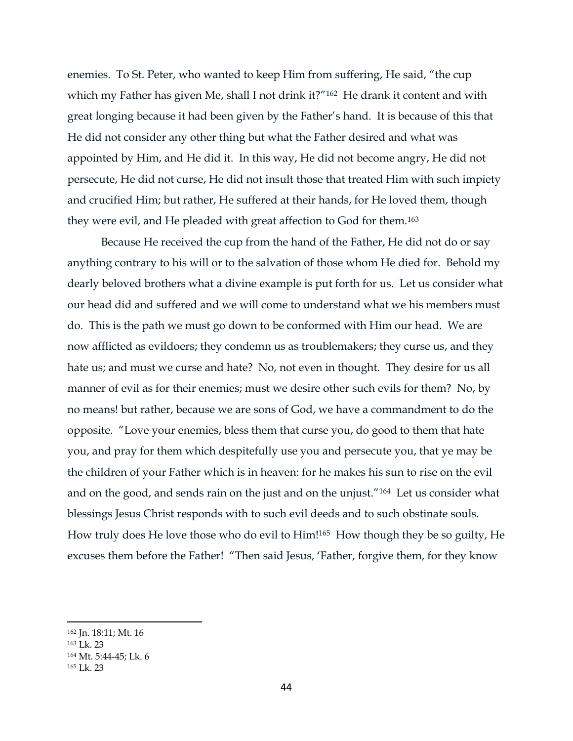enemies. To St. Peter, who wanted to keep Him from suffering, He said, "the cup which my Father has given Me, shall I not drink it?"<sup>162</sup> He drank it content and with great longing because it had been given by the Father's hand. It is because of this that He did not consider any other thing but what the Father desired and what was appointed by Him, and He did it. In this way, He did not become angry, He did not persecute, He did not curse, He did not insult those that treated Him with such impiety and crucified Him; but rather, He suffered at their hands, for He loved them, though they were evil, and He pleaded with great affection to God for them.<sup>163</sup>

Because He received the cup from the hand of the Father, He did not do or say anything contrary to his will or to the salvation of those whom He died for. Behold my dearly beloved brothers what a divine example is put forth for us. Let us consider what our head did and suffered and we will come to understand what we his members must do. This is the path we must go down to be conformed with Him our head. We are now afflicted as evildoers; they condemn us as troublemakers; they curse us, and they hate us; and must we curse and hate? No, not even in thought. They desire for us all manner of evil as for their enemies; must we desire other such evils for them? No, by no means! but rather, because we are sons of God, we have a commandment to do the opposite. "Love your enemies, bless them that curse you, do good to them that hate you, and pray for them which despitefully use you and persecute you, that ye may be the children of your Father which is in heaven: for he makes his sun to rise on the evil and on the good, and sends rain on the just and on the unjust."164 Let us consider what blessings Jesus Christ responds with to such evil deeds and to such obstinate souls. How truly does He love those who do evil to Him!165 How though they be so guilty, He excuses them before the Father! "Then said Jesus, 'Father, forgive them, for they know

<sup>162</sup> Jn. 18:11; Mt. 16

<sup>163</sup> Lk. 23

<sup>164</sup> Mt. 5:44-45; Lk. 6

<sup>165</sup> Lk. 23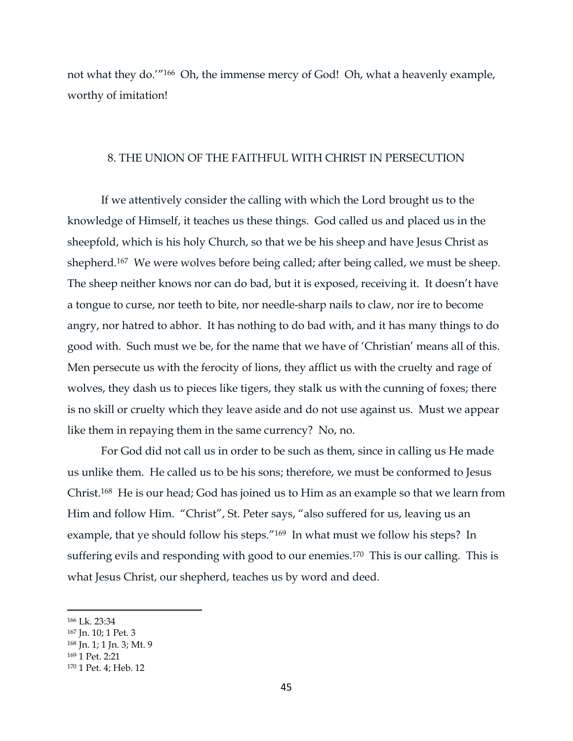not what they do.'"166 Oh, the immense mercy of God! Oh, what a heavenly example, worthy of imitation!

#### 8. THE UNION OF THE FAITHFUL WITH CHRIST IN PERSECUTION

If we attentively consider the calling with which the Lord brought us to the knowledge of Himself, it teaches us these things. God called us and placed us in the sheepfold, which is his holy Church, so that we be his sheep and have Jesus Christ as shepherd.167 We were wolves before being called; after being called, we must be sheep. The sheep neither knows nor can do bad, but it is exposed, receiving it. It doesn't have a tongue to curse, nor teeth to bite, nor needle-sharp nails to claw, nor ire to become angry, nor hatred to abhor. It has nothing to do bad with, and it has many things to do good with. Such must we be, for the name that we have of 'Christian' means all of this. Men persecute us with the ferocity of lions, they afflict us with the cruelty and rage of wolves, they dash us to pieces like tigers, they stalk us with the cunning of foxes; there is no skill or cruelty which they leave aside and do not use against us. Must we appear like them in repaying them in the same currency? No, no.

For God did not call us in order to be such as them, since in calling us He made us unlike them. He called us to be his sons; therefore, we must be conformed to Jesus Christ.168 He is our head; God has joined us to Him as an example so that we learn from Him and follow Him. "Christ", St. Peter says, "also suffered for us, leaving us an example, that ye should follow his steps."169 In what must we follow his steps? In suffering evils and responding with good to our enemies.170 This is our calling. This is what Jesus Christ, our shepherd, teaches us by word and deed.

<sup>166</sup> Lk. 23:34

<sup>167</sup> Jn. 10; 1 Pet. 3

<sup>168</sup> Jn. 1; 1 Jn. 3; Mt. 9

<sup>169</sup> 1 Pet. 2:21

<sup>170</sup> 1 Pet. 4; Heb. 12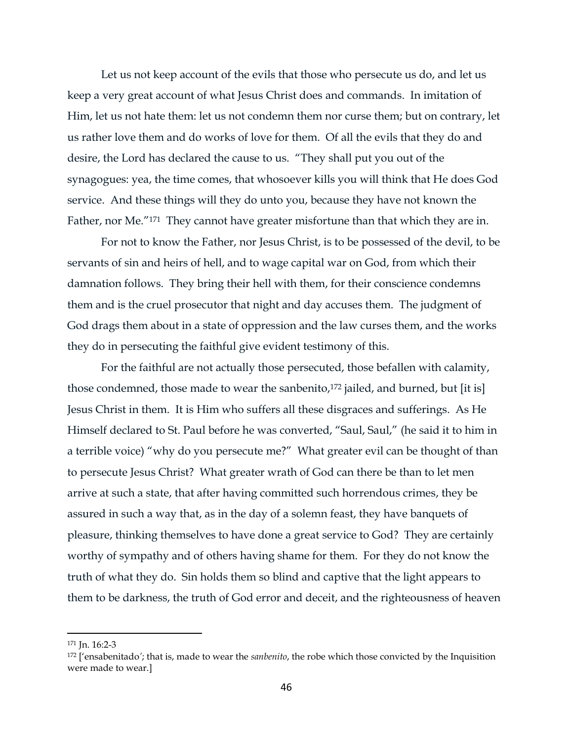Let us not keep account of the evils that those who persecute us do, and let us keep a very great account of what Jesus Christ does and commands. In imitation of Him, let us not hate them: let us not condemn them nor curse them; but on contrary, let us rather love them and do works of love for them. Of all the evils that they do and desire, the Lord has declared the cause to us. "They shall put you out of the synagogues: yea, the time comes, that whosoever kills you will think that He does God service. And these things will they do unto you, because they have not known the Father, nor Me."171 They cannot have greater misfortune than that which they are in.

For not to know the Father, nor Jesus Christ, is to be possessed of the devil, to be servants of sin and heirs of hell, and to wage capital war on God, from which their damnation follows. They bring their hell with them, for their conscience condemns them and is the cruel prosecutor that night and day accuses them. The judgment of God drags them about in a state of oppression and the law curses them, and the works they do in persecuting the faithful give evident testimony of this.

For the faithful are not actually those persecuted, those befallen with calamity, those condemned, those made to wear the sanbenito, <sup>172</sup> jailed, and burned, but [it is] Jesus Christ in them. It is Him who suffers all these disgraces and sufferings. As He Himself declared to St. Paul before he was converted, "Saul, Saul," (he said it to him in a terrible voice) "why do you persecute me?" What greater evil can be thought of than to persecute Jesus Christ? What greater wrath of God can there be than to let men arrive at such a state, that after having committed such horrendous crimes, they be assured in such a way that, as in the day of a solemn feast, they have banquets of pleasure, thinking themselves to have done a great service to God? They are certainly worthy of sympathy and of others having shame for them. For they do not know the truth of what they do. Sin holds them so blind and captive that the light appears to them to be darkness, the truth of God error and deceit, and the righteousness of heaven

<sup>171</sup> Jn. 16:2-3

<sup>172</sup> ['ensabenitado*'*; that is, made to wear the *sanbenito*, the robe which those convicted by the Inquisition were made to wear.]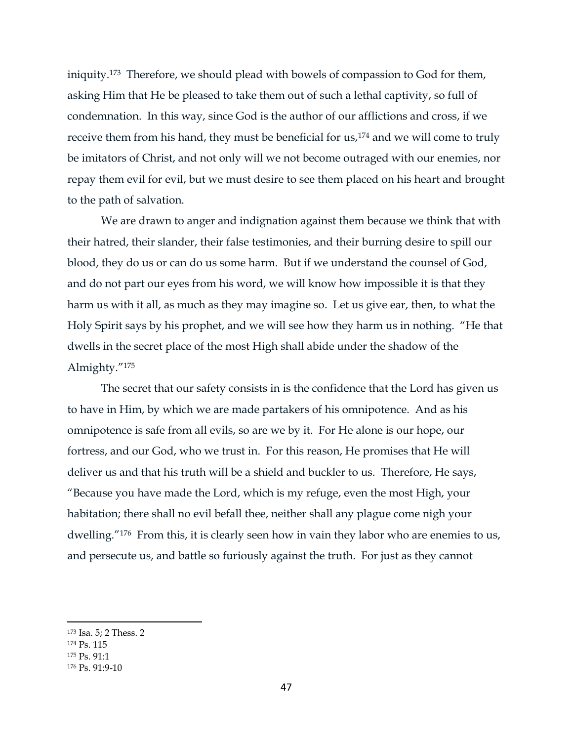iniquity.173 Therefore, we should plead with bowels of compassion to God for them, asking Him that He be pleased to take them out of such a lethal captivity, so full of condemnation. In this way, since God is the author of our afflictions and cross, if we receive them from his hand, they must be beneficial for us,<sup>174</sup> and we will come to truly be imitators of Christ, and not only will we not become outraged with our enemies, nor repay them evil for evil, but we must desire to see them placed on his heart and brought to the path of salvation.

We are drawn to anger and indignation against them because we think that with their hatred, their slander, their false testimonies, and their burning desire to spill our blood, they do us or can do us some harm. But if we understand the counsel of God, and do not part our eyes from his word, we will know how impossible it is that they harm us with it all, as much as they may imagine so. Let us give ear, then, to what the Holy Spirit says by his prophet, and we will see how they harm us in nothing. "He that dwells in the secret place of the most High shall abide under the shadow of the Almighty."<sup>175</sup>

The secret that our safety consists in is the confidence that the Lord has given us to have in Him, by which we are made partakers of his omnipotence. And as his omnipotence is safe from all evils, so are we by it. For He alone is our hope, our fortress, and our God, who we trust in. For this reason, He promises that He will deliver us and that his truth will be a shield and buckler to us. Therefore, He says, "Because you have made the Lord, which is my refuge, even the most High, your habitation; there shall no evil befall thee, neither shall any plague come nigh your dwelling."<sup>176</sup> From this, it is clearly seen how in vain they labor who are enemies to us, and persecute us, and battle so furiously against the truth. For just as they cannot

<sup>175</sup> Ps. 91:1

<sup>173</sup> Isa. 5; 2 Thess. 2

<sup>174</sup> Ps. 115

<sup>176</sup> Ps. 91:9-10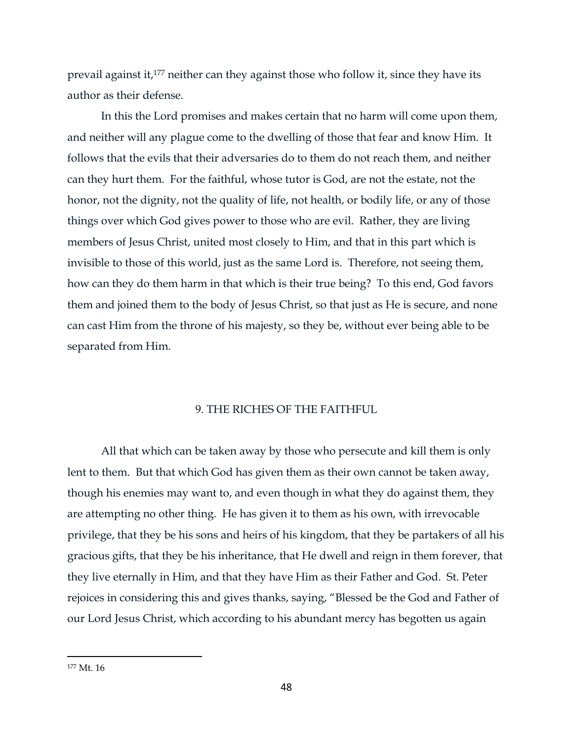prevail against it,<sup>177</sup> neither can they against those who follow it, since they have its author as their defense.

In this the Lord promises and makes certain that no harm will come upon them, and neither will any plague come to the dwelling of those that fear and know Him. It follows that the evils that their adversaries do to them do not reach them, and neither can they hurt them. For the faithful, whose tutor is God, are not the estate, not the honor, not the dignity, not the quality of life, not health, or bodily life, or any of those things over which God gives power to those who are evil. Rather, they are living members of Jesus Christ, united most closely to Him, and that in this part which is invisible to those of this world, just as the same Lord is. Therefore, not seeing them, how can they do them harm in that which is their true being? To this end, God favors them and joined them to the body of Jesus Christ, so that just as He is secure, and none can cast Him from the throne of his majesty, so they be, without ever being able to be separated from Him.

### 9. THE RICHES OF THE FAITHFUL

All that which can be taken away by those who persecute and kill them is only lent to them. But that which God has given them as their own cannot be taken away, though his enemies may want to, and even though in what they do against them, they are attempting no other thing. He has given it to them as his own, with irrevocable privilege, that they be his sons and heirs of his kingdom, that they be partakers of all his gracious gifts, that they be his inheritance, that He dwell and reign in them forever, that they live eternally in Him, and that they have Him as their Father and God. St. Peter rejoices in considering this and gives thanks, saying, "Blessed be the God and Father of our Lord Jesus Christ, which according to his abundant mercy has begotten us again

<sup>177</sup> Mt. 16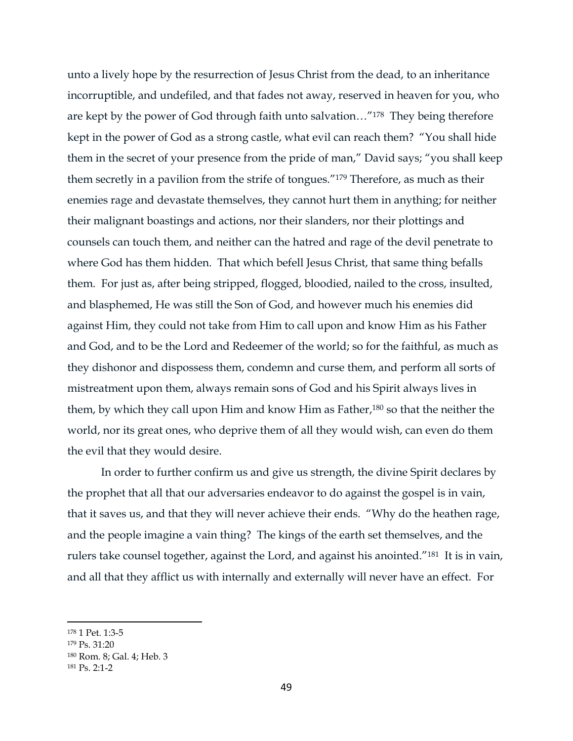unto a lively hope by the resurrection of Jesus Christ from the dead, to an inheritance incorruptible, and undefiled, and that fades not away, reserved in heaven for you, who are kept by the power of God through faith unto salvation…"178 They being therefore kept in the power of God as a strong castle, what evil can reach them? "You shall hide them in the secret of your presence from the pride of man," David says; "you shall keep them secretly in a pavilion from the strife of tongues."<sup>179</sup> Therefore, as much as their enemies rage and devastate themselves, they cannot hurt them in anything; for neither their malignant boastings and actions, nor their slanders, nor their plottings and counsels can touch them, and neither can the hatred and rage of the devil penetrate to where God has them hidden. That which befell Jesus Christ, that same thing befalls them. For just as, after being stripped, flogged, bloodied, nailed to the cross, insulted, and blasphemed, He was still the Son of God, and however much his enemies did against Him, they could not take from Him to call upon and know Him as his Father and God, and to be the Lord and Redeemer of the world; so for the faithful, as much as they dishonor and dispossess them, condemn and curse them, and perform all sorts of mistreatment upon them, always remain sons of God and his Spirit always lives in them, by which they call upon Him and know Him as Father,<sup>180</sup> so that the neither the world, nor its great ones, who deprive them of all they would wish, can even do them the evil that they would desire.

In order to further confirm us and give us strength, the divine Spirit declares by the prophet that all that our adversaries endeavor to do against the gospel is in vain, that it saves us, and that they will never achieve their ends. "Why do the heathen rage, and the people imagine a vain thing? The kings of the earth set themselves, and the rulers take counsel together, against the Lord, and against his anointed."181 It is in vain, and all that they afflict us with internally and externally will never have an effect. For

<sup>178</sup> 1 Pet. 1:3-5

<sup>179</sup> Ps. 31:20

<sup>180</sup> Rom. 8; Gal. 4; Heb. 3

<sup>181</sup> Ps. 2:1-2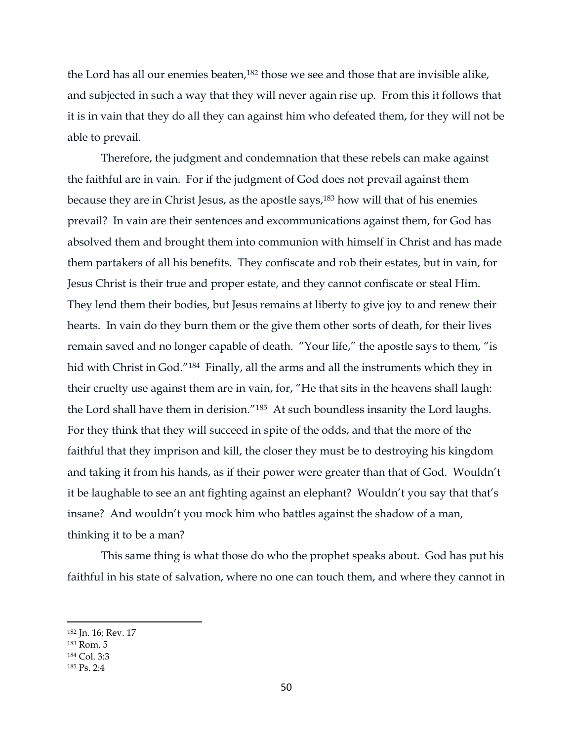the Lord has all our enemies beaten,<sup>182</sup> those we see and those that are invisible alike, and subjected in such a way that they will never again rise up. From this it follows that it is in vain that they do all they can against him who defeated them, for they will not be able to prevail.

Therefore, the judgment and condemnation that these rebels can make against the faithful are in vain. For if the judgment of God does not prevail against them because they are in Christ Jesus, as the apostle says,<sup>183</sup> how will that of his enemies prevail? In vain are their sentences and excommunications against them, for God has absolved them and brought them into communion with himself in Christ and has made them partakers of all his benefits. They confiscate and rob their estates, but in vain, for Jesus Christ is their true and proper estate, and they cannot confiscate or steal Him. They lend them their bodies, but Jesus remains at liberty to give joy to and renew their hearts. In vain do they burn them or the give them other sorts of death, for their lives remain saved and no longer capable of death. "Your life," the apostle says to them, "is hid with Christ in God."<sup>184</sup> Finally, all the arms and all the instruments which they in their cruelty use against them are in vain, for, "He that sits in the heavens shall laugh: the Lord shall have them in derision."185 At such boundless insanity the Lord laughs. For they think that they will succeed in spite of the odds, and that the more of the faithful that they imprison and kill, the closer they must be to destroying his kingdom and taking it from his hands, as if their power were greater than that of God. Wouldn't it be laughable to see an ant fighting against an elephant? Wouldn't you say that that's insane? And wouldn't you mock him who battles against the shadow of a man, thinking it to be a man?

This same thing is what those do who the prophet speaks about. God has put his faithful in his state of salvation, where no one can touch them, and where they cannot in

<sup>182</sup> Jn. 16; Rev. 17

<sup>183</sup> Rom. 5

<sup>184</sup> Col. 3:3

<sup>185</sup> Ps. 2:4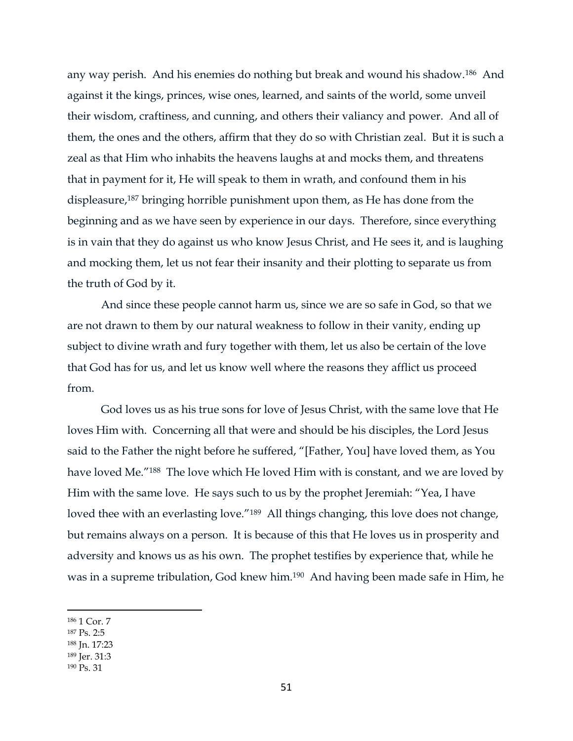any way perish. And his enemies do nothing but break and wound his shadow.186 And against it the kings, princes, wise ones, learned, and saints of the world, some unveil their wisdom, craftiness, and cunning, and others their valiancy and power. And all of them, the ones and the others, affirm that they do so with Christian zeal. But it is such a zeal as that Him who inhabits the heavens laughs at and mocks them, and threatens that in payment for it, He will speak to them in wrath, and confound them in his displeasure,<sup>187</sup> bringing horrible punishment upon them, as He has done from the beginning and as we have seen by experience in our days. Therefore, since everything is in vain that they do against us who know Jesus Christ, and He sees it, and is laughing and mocking them, let us not fear their insanity and their plotting to separate us from the truth of God by it.

And since these people cannot harm us, since we are so safe in God, so that we are not drawn to them by our natural weakness to follow in their vanity, ending up subject to divine wrath and fury together with them, let us also be certain of the love that God has for us, and let us know well where the reasons they afflict us proceed from.

God loves us as his true sons for love of Jesus Christ, with the same love that He loves Him with. Concerning all that were and should be his disciples, the Lord Jesus said to the Father the night before he suffered, "[Father, You] have loved them, as You have loved Me."188 The love which He loved Him with is constant, and we are loved by Him with the same love. He says such to us by the prophet Jeremiah: "Yea, I have loved thee with an everlasting love."<sup>189</sup> All things changing, this love does not change, but remains always on a person. It is because of this that He loves us in prosperity and adversity and knows us as his own. The prophet testifies by experience that, while he was in a supreme tribulation, God knew him.190 And having been made safe in Him, he

- <sup>187</sup> Ps. 2:5
- <sup>188</sup> Jn. 17:23
- <sup>189</sup> Jer. 31:3
- <sup>190</sup> Ps. 31

<sup>186</sup> 1 Cor. 7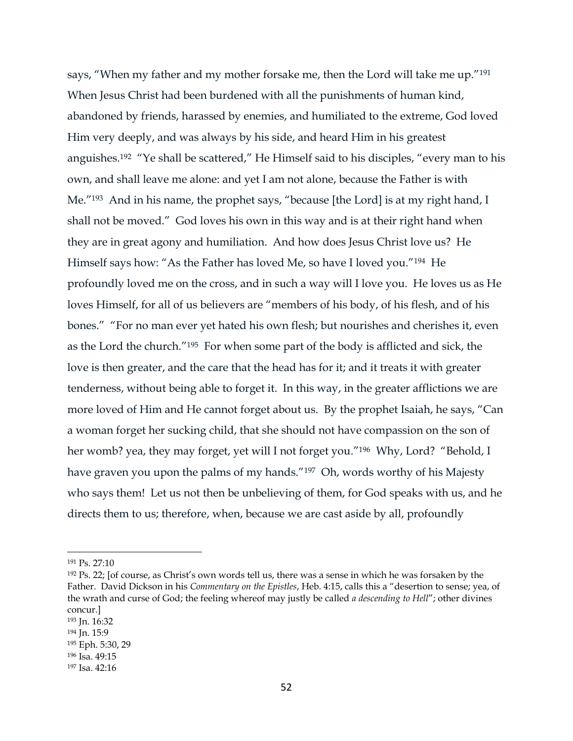says, "When my father and my mother forsake me, then the Lord will take me up."<sup>191</sup> When Jesus Christ had been burdened with all the punishments of human kind, abandoned by friends, harassed by enemies, and humiliated to the extreme, God loved Him very deeply, and was always by his side, and heard Him in his greatest anguishes.<sup>192</sup> "Ye shall be scattered," He Himself said to his disciples, "every man to his own, and shall leave me alone: and yet I am not alone, because the Father is with Me."<sup>193</sup> And in his name, the prophet says, "because [the Lord] is at my right hand, I shall not be moved." God loves his own in this way and is at their right hand when they are in great agony and humiliation. And how does Jesus Christ love us? He Himself says how: "As the Father has loved Me, so have I loved you."194 He profoundly loved me on the cross, and in such a way will I love you. He loves us as He loves Himself, for all of us believers are "members of his body, of his flesh, and of his bones." "For no man ever yet hated his own flesh; but nourishes and cherishes it, even as the Lord the church."195 For when some part of the body is afflicted and sick, the love is then greater, and the care that the head has for it; and it treats it with greater tenderness, without being able to forget it. In this way, in the greater afflictions we are more loved of Him and He cannot forget about us. By the prophet Isaiah, he says, "Can a woman forget her sucking child, that she should not have compassion on the son of her womb? yea, they may forget, yet will I not forget you."196 Why, Lord? "Behold, I have graven you upon the palms of my hands."197 Oh, words worthy of his Majesty who says them! Let us not then be unbelieving of them, for God speaks with us, and he directs them to us; therefore, when, because we are cast aside by all, profoundly

<sup>191</sup> Ps. 27:10

<sup>192</sup> Ps. 22; [of course, as Christ's own words tell us, there was a sense in which he was forsaken by the Father. David Dickson in his *Commentary on the Epistles*, Heb. 4:15, calls this a "desertion to sense; yea, of the wrath and curse of God; the feeling whereof may justly be called *a descending to Hell*"; other divines concur.]

<sup>193</sup> Jn. 16:32

<sup>194</sup> Jn. 15:9

<sup>195</sup> Eph. 5:30, 29

<sup>196</sup> Isa. 49:15

<sup>197</sup> Isa. 42:16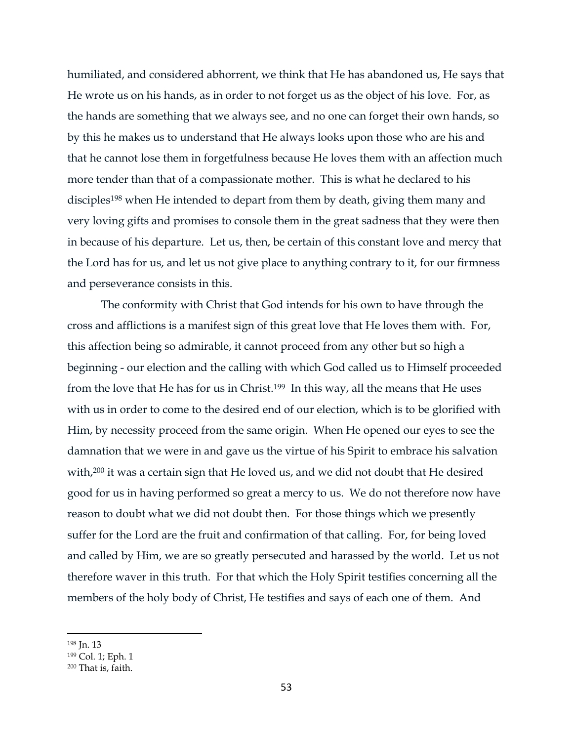humiliated, and considered abhorrent, we think that He has abandoned us, He says that He wrote us on his hands, as in order to not forget us as the object of his love. For, as the hands are something that we always see, and no one can forget their own hands, so by this he makes us to understand that He always looks upon those who are his and that he cannot lose them in forgetfulness because He loves them with an affection much more tender than that of a compassionate mother. This is what he declared to his disciples<sup>198</sup> when He intended to depart from them by death, giving them many and very loving gifts and promises to console them in the great sadness that they were then in because of his departure. Let us, then, be certain of this constant love and mercy that the Lord has for us, and let us not give place to anything contrary to it, for our firmness and perseverance consists in this.

The conformity with Christ that God intends for his own to have through the cross and afflictions is a manifest sign of this great love that He loves them with. For, this affection being so admirable, it cannot proceed from any other but so high a beginning - our election and the calling with which God called us to Himself proceeded from the love that He has for us in Christ.199 In this way, all the means that He uses with us in order to come to the desired end of our election, which is to be glorified with Him, by necessity proceed from the same origin. When He opened our eyes to see the damnation that we were in and gave us the virtue of his Spirit to embrace his salvation with, <sup>200</sup> it was a certain sign that He loved us, and we did not doubt that He desired good for us in having performed so great a mercy to us. We do not therefore now have reason to doubt what we did not doubt then. For those things which we presently suffer for the Lord are the fruit and confirmation of that calling. For, for being loved and called by Him, we are so greatly persecuted and harassed by the world. Let us not therefore waver in this truth. For that which the Holy Spirit testifies concerning all the members of the holy body of Christ, He testifies and says of each one of them. And

<sup>198</sup> Jn. 13

<sup>199</sup> Col. 1; Eph. 1

<sup>200</sup> That is, faith.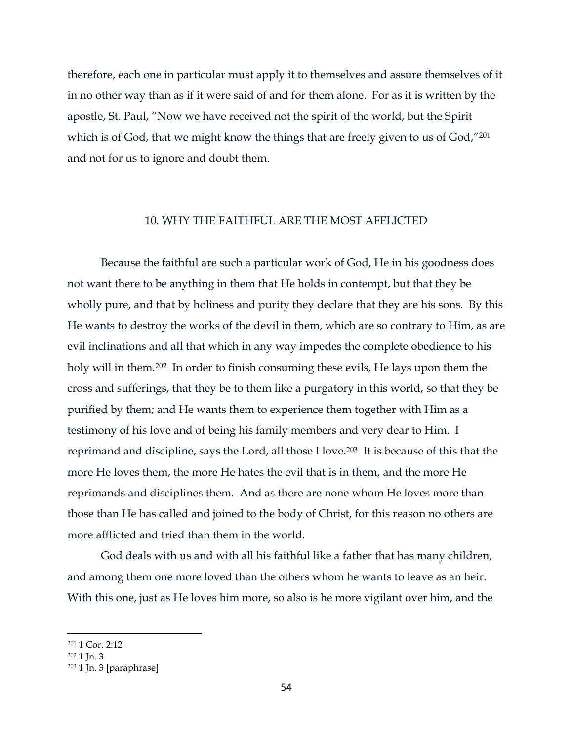therefore, each one in particular must apply it to themselves and assure themselves of it in no other way than as if it were said of and for them alone. For as it is written by the apostle, St. Paul, "Now we have received not the spirit of the world, but the Spirit which is of God, that we might know the things that are freely given to us of God,"201 and not for us to ignore and doubt them.

# 10. WHY THE FAITHFUL ARE THE MOST AFFLICTED

Because the faithful are such a particular work of God, He in his goodness does not want there to be anything in them that He holds in contempt, but that they be wholly pure, and that by holiness and purity they declare that they are his sons. By this He wants to destroy the works of the devil in them, which are so contrary to Him, as are evil inclinations and all that which in any way impedes the complete obedience to his holy will in them.<sup>202</sup> In order to finish consuming these evils, He lays upon them the cross and sufferings, that they be to them like a purgatory in this world, so that they be purified by them; and He wants them to experience them together with Him as a testimony of his love and of being his family members and very dear to Him. I reprimand and discipline, says the Lord, all those I love.203 It is because of this that the more He loves them, the more He hates the evil that is in them, and the more He reprimands and disciplines them. And as there are none whom He loves more than those than He has called and joined to the body of Christ, for this reason no others are more afflicted and tried than them in the world.

God deals with us and with all his faithful like a father that has many children, and among them one more loved than the others whom he wants to leave as an heir. With this one, just as He loves him more, so also is he more vigilant over him, and the

<sup>201</sup> 1 Cor. 2:12

 $202$  1 In. 3

 $203$  1 Jn. 3 [paraphrase]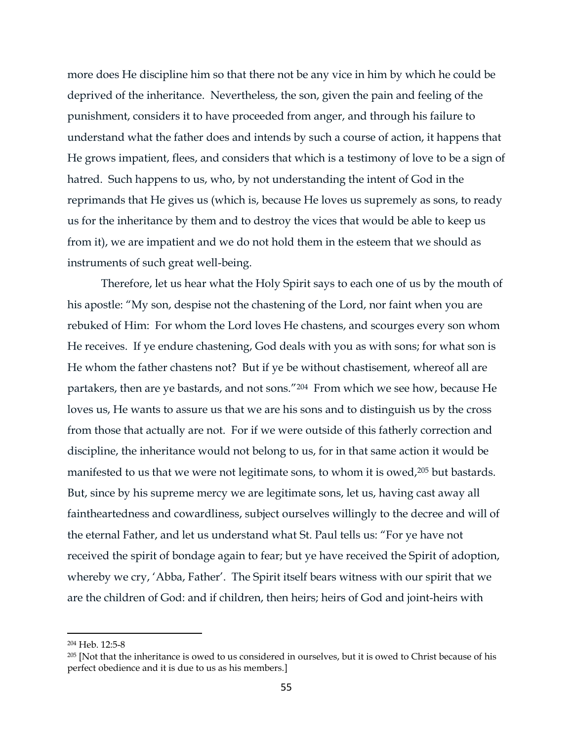more does He discipline him so that there not be any vice in him by which he could be deprived of the inheritance. Nevertheless, the son, given the pain and feeling of the punishment, considers it to have proceeded from anger, and through his failure to understand what the father does and intends by such a course of action, it happens that He grows impatient, flees, and considers that which is a testimony of love to be a sign of hatred. Such happens to us, who, by not understanding the intent of God in the reprimands that He gives us (which is, because He loves us supremely as sons, to ready us for the inheritance by them and to destroy the vices that would be able to keep us from it), we are impatient and we do not hold them in the esteem that we should as instruments of such great well-being.

Therefore, let us hear what the Holy Spirit says to each one of us by the mouth of his apostle: "My son, despise not the chastening of the Lord, nor faint when you are rebuked of Him: For whom the Lord loves He chastens, and scourges every son whom He receives. If ye endure chastening, God deals with you as with sons; for what son is He whom the father chastens not? But if ye be without chastisement, whereof all are partakers, then are ye bastards, and not sons."204 From which we see how, because He loves us, He wants to assure us that we are his sons and to distinguish us by the cross from those that actually are not. For if we were outside of this fatherly correction and discipline, the inheritance would not belong to us, for in that same action it would be manifested to us that we were not legitimate sons, to whom it is owed,<sup>205</sup> but bastards. But, since by his supreme mercy we are legitimate sons, let us, having cast away all faintheartedness and cowardliness, subject ourselves willingly to the decree and will of the eternal Father, and let us understand what St. Paul tells us: "For ye have not received the spirit of bondage again to fear; but ye have received the Spirit of adoption, whereby we cry, 'Abba, Father'. The Spirit itself bears witness with our spirit that we are the children of God: and if children, then heirs; heirs of God and joint-heirs with

<sup>204</sup> Heb. 12:5-8

<sup>&</sup>lt;sup>205</sup> [Not that the inheritance is owed to us considered in ourselves, but it is owed to Christ because of his perfect obedience and it is due to us as his members.]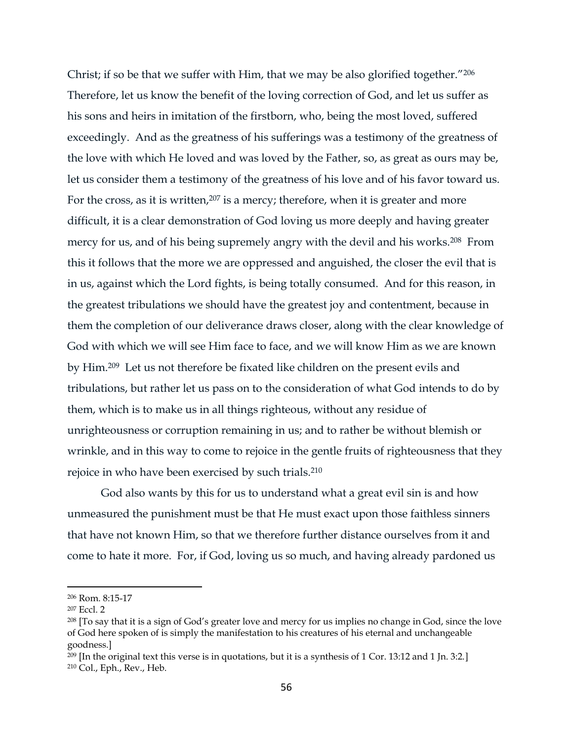Christ; if so be that we suffer with Him, that we may be also glorified together."<sup>206</sup> Therefore, let us know the benefit of the loving correction of God, and let us suffer as his sons and heirs in imitation of the firstborn, who, being the most loved, suffered exceedingly. And as the greatness of his sufferings was a testimony of the greatness of the love with which He loved and was loved by the Father, so, as great as ours may be, let us consider them a testimony of the greatness of his love and of his favor toward us. For the cross, as it is written,<sup>207</sup> is a mercy; therefore, when it is greater and more difficult, it is a clear demonstration of God loving us more deeply and having greater mercy for us, and of his being supremely angry with the devil and his works.208 From this it follows that the more we are oppressed and anguished, the closer the evil that is in us, against which the Lord fights, is being totally consumed. And for this reason, in the greatest tribulations we should have the greatest joy and contentment, because in them the completion of our deliverance draws closer, along with the clear knowledge of God with which we will see Him face to face, and we will know Him as we are known by Him.209 Let us not therefore be fixated like children on the present evils and tribulations, but rather let us pass on to the consideration of what God intends to do by them, which is to make us in all things righteous, without any residue of unrighteousness or corruption remaining in us; and to rather be without blemish or wrinkle, and in this way to come to rejoice in the gentle fruits of righteousness that they rejoice in who have been exercised by such trials.<sup>210</sup>

God also wants by this for us to understand what a great evil sin is and how unmeasured the punishment must be that He must exact upon those faithless sinners that have not known Him, so that we therefore further distance ourselves from it and come to hate it more. For, if God, loving us so much, and having already pardoned us

<sup>206</sup> Rom. 8:15-17

<sup>207</sup> Eccl. 2

<sup>208</sup> [To say that it is a sign of God's greater love and mercy for us implies no change in God, since the love of God here spoken of is simply the manifestation to his creatures of his eternal and unchangeable goodness.]

 $209$  [In the original text this verse is in quotations, but it is a synthesis of 1 Cor. 13:12 and 1 Jn. 3:2.] <sup>210</sup> Col., Eph., Rev., Heb.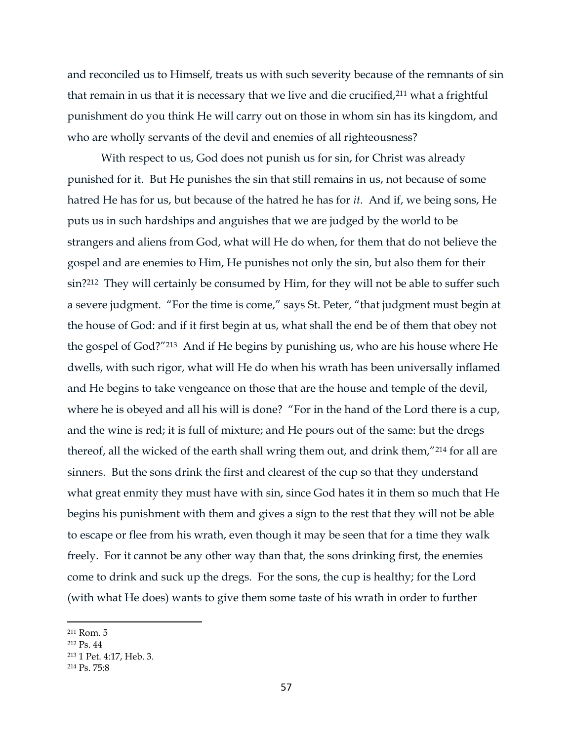and reconciled us to Himself, treats us with such severity because of the remnants of sin that remain in us that it is necessary that we live and die crucified,<sup>211</sup> what a frightful punishment do you think He will carry out on those in whom sin has its kingdom, and who are wholly servants of the devil and enemies of all righteousness?

With respect to us, God does not punish us for sin, for Christ was already punished for it. But He punishes the sin that still remains in us, not because of some hatred He has for us, but because of the hatred he has for *it*. And if, we being sons, He puts us in such hardships and anguishes that we are judged by the world to be strangers and aliens from God, what will He do when, for them that do not believe the gospel and are enemies to Him, He punishes not only the sin, but also them for their sin?212 They will certainly be consumed by Him, for they will not be able to suffer such a severe judgment. "For the time is come," says St. Peter, "that judgment must begin at the house of God: and if it first begin at us, what shall the end be of them that obey not the gospel of God?"213 And if He begins by punishing us, who are his house where He dwells, with such rigor, what will He do when his wrath has been universally inflamed and He begins to take vengeance on those that are the house and temple of the devil, where he is obeyed and all his will is done? "For in the hand of the Lord there is a cup, and the wine is red; it is full of mixture; and He pours out of the same: but the dregs thereof, all the wicked of the earth shall wring them out, and drink them,"<sup>214</sup> for all are sinners. But the sons drink the first and clearest of the cup so that they understand what great enmity they must have with sin, since God hates it in them so much that He begins his punishment with them and gives a sign to the rest that they will not be able to escape or flee from his wrath, even though it may be seen that for a time they walk freely. For it cannot be any other way than that, the sons drinking first, the enemies come to drink and suck up the dregs. For the sons, the cup is healthy; for the Lord (with what He does) wants to give them some taste of his wrath in order to further

<sup>211</sup> Rom. 5

<sup>212</sup> Ps. 44

<sup>213</sup> 1 Pet. 4:17, Heb. 3.

<sup>214</sup> Ps. 75:8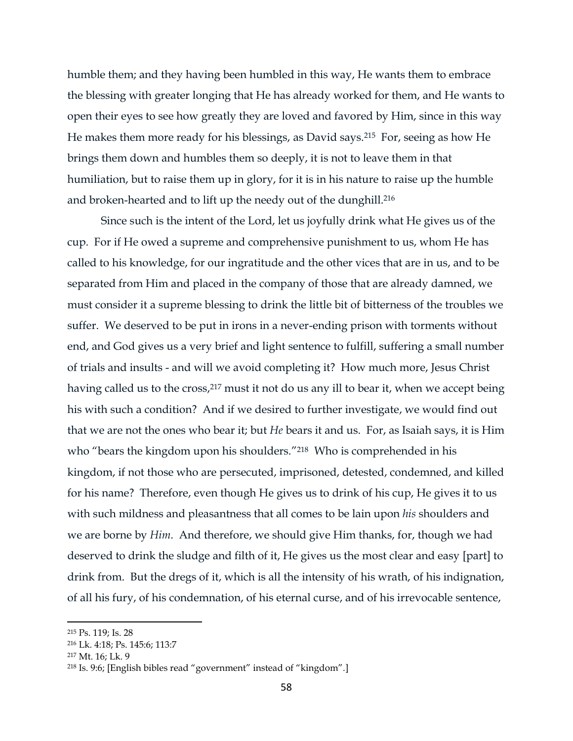humble them; and they having been humbled in this way, He wants them to embrace the blessing with greater longing that He has already worked for them, and He wants to open their eyes to see how greatly they are loved and favored by Him, since in this way He makes them more ready for his blessings, as David says.215 For, seeing as how He brings them down and humbles them so deeply, it is not to leave them in that humiliation, but to raise them up in glory, for it is in his nature to raise up the humble and broken-hearted and to lift up the needy out of the dunghill. 216

Since such is the intent of the Lord, let us joyfully drink what He gives us of the cup. For if He owed a supreme and comprehensive punishment to us, whom He has called to his knowledge, for our ingratitude and the other vices that are in us, and to be separated from Him and placed in the company of those that are already damned, we must consider it a supreme blessing to drink the little bit of bitterness of the troubles we suffer. We deserved to be put in irons in a never-ending prison with torments without end, and God gives us a very brief and light sentence to fulfill, suffering a small number of trials and insults - and will we avoid completing it? How much more, Jesus Christ having called us to the cross,<sup>217</sup> must it not do us any ill to bear it, when we accept being his with such a condition? And if we desired to further investigate, we would find out that we are not the ones who bear it; but *He* bears it and us. For, as Isaiah says, it is Him who "bears the kingdom upon his shoulders."218 Who is comprehended in his kingdom, if not those who are persecuted, imprisoned, detested, condemned, and killed for his name? Therefore, even though He gives us to drink of his cup, He gives it to us with such mildness and pleasantness that all comes to be lain upon *his* shoulders and we are borne by *Him*. And therefore, we should give Him thanks, for, though we had deserved to drink the sludge and filth of it, He gives us the most clear and easy [part] to drink from. But the dregs of it, which is all the intensity of his wrath, of his indignation, of all his fury, of his condemnation, of his eternal curse, and of his irrevocable sentence,

<sup>215</sup> Ps. 119; Is. 28

<sup>216</sup> Lk. 4:18; Ps. 145:6; 113:7

<sup>217</sup> Mt. 16; Lk. 9

<sup>218</sup> Is. 9:6; [English bibles read "government" instead of "kingdom".]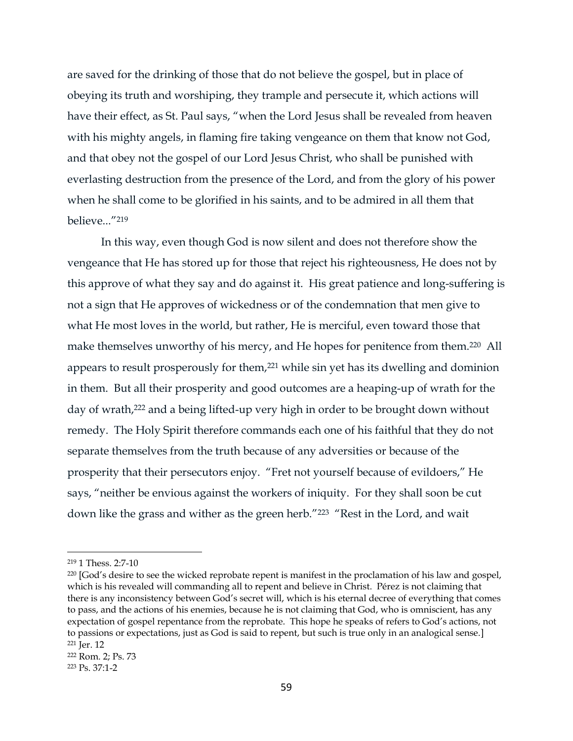are saved for the drinking of those that do not believe the gospel, but in place of obeying its truth and worshiping, they trample and persecute it, which actions will have their effect, as St. Paul says, "when the Lord Jesus shall be revealed from heaven with his mighty angels, in flaming fire taking vengeance on them that know not God, and that obey not the gospel of our Lord Jesus Christ, who shall be punished with everlasting destruction from the presence of the Lord, and from the glory of his power when he shall come to be glorified in his saints, and to be admired in all them that believe..."<sup>219</sup>

In this way, even though God is now silent and does not therefore show the vengeance that He has stored up for those that reject his righteousness, He does not by this approve of what they say and do against it. His great patience and long-suffering is not a sign that He approves of wickedness or of the condemnation that men give to what He most loves in the world, but rather, He is merciful, even toward those that make themselves unworthy of his mercy, and He hopes for penitence from them.<sup>220</sup> All appears to result prosperously for them,<sup>221</sup> while sin yet has its dwelling and dominion in them. But all their prosperity and good outcomes are a heaping-up of wrath for the day of wrath,<sup>222</sup> and a being lifted-up very high in order to be brought down without remedy. The Holy Spirit therefore commands each one of his faithful that they do not separate themselves from the truth because of any adversities or because of the prosperity that their persecutors enjoy. "Fret not yourself because of evildoers," He says, "neither be envious against the workers of iniquity. For they shall soon be cut down like the grass and wither as the green herb."<sup>223</sup> "Rest in the Lord, and wait

<sup>219</sup> 1 Thess. 2:7-10

<sup>220</sup> [God's desire to see the wicked reprobate repent is manifest in the proclamation of his law and gospel, which is his revealed will commanding all to repent and believe in Christ. Pérez is not claiming that there is any inconsistency between God's secret will, which is his eternal decree of everything that comes to pass, and the actions of his enemies, because he is not claiming that God, who is omniscient, has any expectation of gospel repentance from the reprobate. This hope he speaks of refers to God's actions, not to passions or expectations, just as God is said to repent, but such is true only in an analogical sense.] <sup>221</sup> Jer. 12

<sup>222</sup> Rom. 2; Ps. 73

<sup>223</sup> Ps. 37:1-2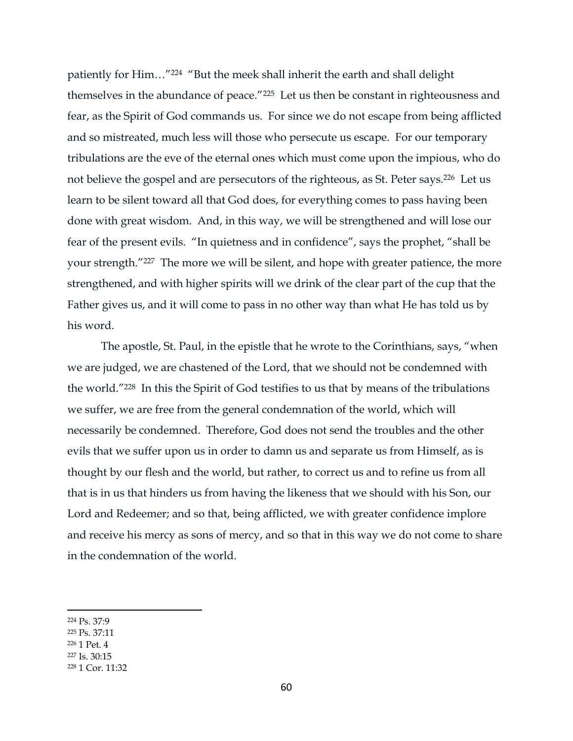patiently for Him…"<sup>224</sup> "But the meek shall inherit the earth and shall delight themselves in the abundance of peace."225 Let us then be constant in righteousness and fear, as the Spirit of God commands us. For since we do not escape from being afflicted and so mistreated, much less will those who persecute us escape. For our temporary tribulations are the eve of the eternal ones which must come upon the impious, who do not believe the gospel and are persecutors of the righteous, as St. Peter says.226 Let us learn to be silent toward all that God does, for everything comes to pass having been done with great wisdom. And, in this way, we will be strengthened and will lose our fear of the present evils. "In quietness and in confidence", says the prophet, "shall be your strength."227 The more we will be silent, and hope with greater patience, the more strengthened, and with higher spirits will we drink of the clear part of the cup that the Father gives us, and it will come to pass in no other way than what He has told us by his word.

The apostle, St. Paul, in the epistle that he wrote to the Corinthians, says, "when we are judged, we are chastened of the Lord, that we should not be condemned with the world."228 In this the Spirit of God testifies to us that by means of the tribulations we suffer, we are free from the general condemnation of the world, which will necessarily be condemned. Therefore, God does not send the troubles and the other evils that we suffer upon us in order to damn us and separate us from Himself, as is thought by our flesh and the world, but rather, to correct us and to refine us from all that is in us that hinders us from having the likeness that we should with his Son, our Lord and Redeemer; and so that, being afflicted, we with greater confidence implore and receive his mercy as sons of mercy, and so that in this way we do not come to share in the condemnation of the world.

- <sup>225</sup> Ps. 37:11
- <sup>226</sup> 1 Pet. 4

<sup>224</sup> Ps. 37:9

<sup>227</sup> Is. 30:15

<sup>228</sup> 1 Cor. 11:32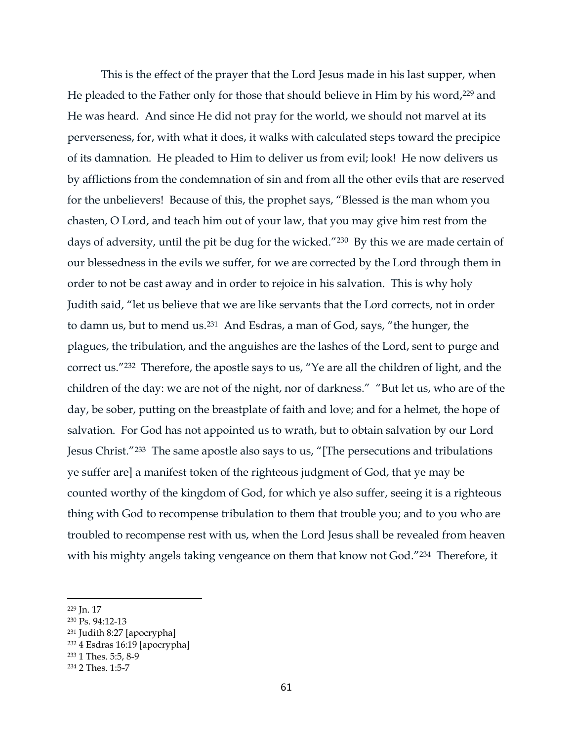This is the effect of the prayer that the Lord Jesus made in his last supper, when He pleaded to the Father only for those that should believe in Him by his word,<sup>229</sup> and He was heard. And since He did not pray for the world, we should not marvel at its perverseness, for, with what it does, it walks with calculated steps toward the precipice of its damnation. He pleaded to Him to deliver us from evil; look! He now delivers us by afflictions from the condemnation of sin and from all the other evils that are reserved for the unbelievers! Because of this, the prophet says, "Blessed is the man whom you chasten, O Lord, and teach him out of your law, that you may give him rest from the days of adversity, until the pit be dug for the wicked."230 By this we are made certain of our blessedness in the evils we suffer, for we are corrected by the Lord through them in order to not be cast away and in order to rejoice in his salvation. This is why holy Judith said, "let us believe that we are like servants that the Lord corrects, not in order to damn us, but to mend us. <sup>231</sup> And Esdras, a man of God, says, "the hunger, the plagues, the tribulation, and the anguishes are the lashes of the Lord, sent to purge and correct us."232 Therefore, the apostle says to us, "Ye are all the children of light, and the children of the day: we are not of the night, nor of darkness." "But let us, who are of the day, be sober, putting on the breastplate of faith and love; and for a helmet, the hope of salvation. For God has not appointed us to wrath, but to obtain salvation by our Lord Jesus Christ."<sup>233</sup> The same apostle also says to us, "[The persecutions and tribulations ye suffer are] a manifest token of the righteous judgment of God, that ye may be counted worthy of the kingdom of God, for which ye also suffer, seeing it is a righteous thing with God to recompense tribulation to them that trouble you; and to you who are troubled to recompense rest with us, when the Lord Jesus shall be revealed from heaven with his mighty angels taking vengeance on them that know not God."<sup>234</sup> Therefore, it

<sup>229</sup> Jn. 17

<sup>230</sup> Ps. 94:12-13

<sup>231</sup> Judith 8:27 [apocrypha]

<sup>232</sup> 4 Esdras 16:19 [apocrypha]

<sup>233</sup> 1 Thes. 5:5, 8-9 <sup>234</sup> 2 Thes. 1:5-7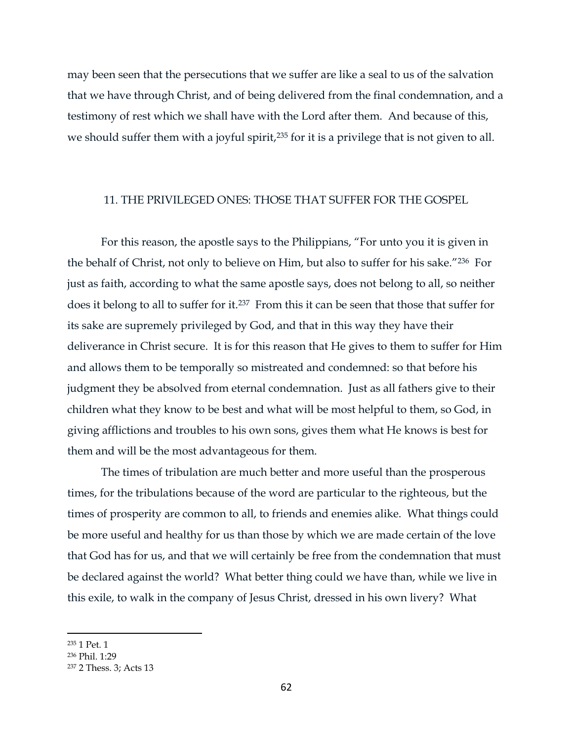may been seen that the persecutions that we suffer are like a seal to us of the salvation that we have through Christ, and of being delivered from the final condemnation, and a testimony of rest which we shall have with the Lord after them. And because of this, we should suffer them with a joyful spirit,<sup>235</sup> for it is a privilege that is not given to all.

#### 11. THE PRIVILEGED ONES: THOSE THAT SUFFER FOR THE GOSPEL

For this reason, the apostle says to the Philippians, "For unto you it is given in the behalf of Christ, not only to believe on Him, but also to suffer for his sake."236 For just as faith, according to what the same apostle says, does not belong to all, so neither does it belong to all to suffer for it.237 From this it can be seen that those that suffer for its sake are supremely privileged by God, and that in this way they have their deliverance in Christ secure. It is for this reason that He gives to them to suffer for Him and allows them to be temporally so mistreated and condemned: so that before his judgment they be absolved from eternal condemnation. Just as all fathers give to their children what they know to be best and what will be most helpful to them, so God, in giving afflictions and troubles to his own sons, gives them what He knows is best for them and will be the most advantageous for them.

The times of tribulation are much better and more useful than the prosperous times, for the tribulations because of the word are particular to the righteous, but the times of prosperity are common to all, to friends and enemies alike. What things could be more useful and healthy for us than those by which we are made certain of the love that God has for us, and that we will certainly be free from the condemnation that must be declared against the world? What better thing could we have than, while we live in this exile, to walk in the company of Jesus Christ, dressed in his own livery? What

<sup>235</sup> 1 Pet. 1

<sup>236</sup> Phil. 1:29

<sup>237</sup> 2 Thess. 3; Acts 13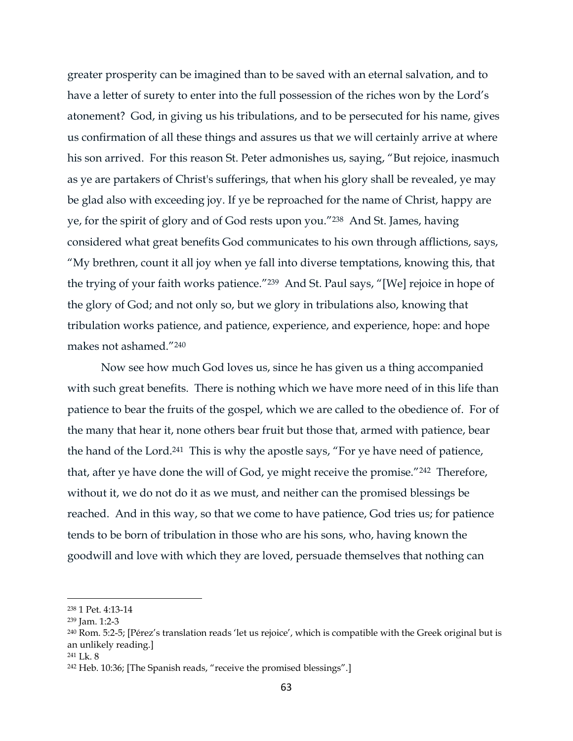greater prosperity can be imagined than to be saved with an eternal salvation, and to have a letter of surety to enter into the full possession of the riches won by the Lord's atonement? God, in giving us his tribulations, and to be persecuted for his name, gives us confirmation of all these things and assures us that we will certainly arrive at where his son arrived. For this reason St. Peter admonishes us, saying, "But rejoice, inasmuch as ye are partakers of Christ's sufferings, that when his glory shall be revealed, ye may be glad also with exceeding joy. If ye be reproached for the name of Christ, happy are ye, for the spirit of glory and of God rests upon you."238 And St. James, having considered what great benefits God communicates to his own through afflictions, says, "My brethren, count it all joy when ye fall into diverse temptations, knowing this, that the trying of your faith works patience."239 And St. Paul says, "[We] rejoice in hope of the glory of God; and not only so, but we glory in tribulations also, knowing that tribulation works patience, and patience, experience, and experience, hope: and hope makes not ashamed."<sup>240</sup>

Now see how much God loves us, since he has given us a thing accompanied with such great benefits. There is nothing which we have more need of in this life than patience to bear the fruits of the gospel, which we are called to the obedience of. For of the many that hear it, none others bear fruit but those that, armed with patience, bear the hand of the Lord.<sup>241</sup> This is why the apostle says, "For ye have need of patience, that, after ye have done the will of God, ye might receive the promise."242 Therefore, without it, we do not do it as we must, and neither can the promised blessings be reached. And in this way, so that we come to have patience, God tries us; for patience tends to be born of tribulation in those who are his sons, who, having known the goodwill and love with which they are loved, persuade themselves that nothing can

<sup>238</sup> 1 Pet. 4:13-14

<sup>239</sup> Jam. 1:2-3

<sup>240</sup> Rom. 5:2-5; [Pérez's translation reads 'let us rejoice', which is compatible with the Greek original but is an unlikely reading.]

<sup>241</sup> Lk. 8

<sup>242</sup> Heb. 10:36; [The Spanish reads, "receive the promised blessings".]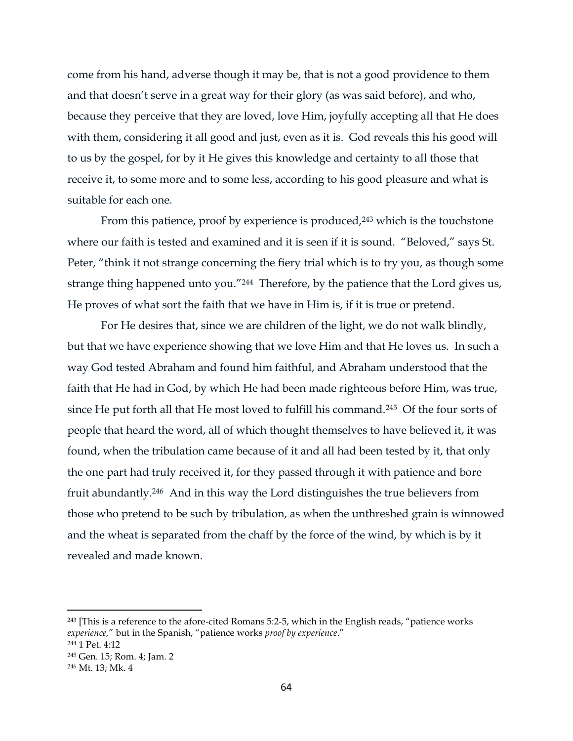come from his hand, adverse though it may be, that is not a good providence to them and that doesn't serve in a great way for their glory (as was said before), and who, because they perceive that they are loved, love Him, joyfully accepting all that He does with them, considering it all good and just, even as it is. God reveals this his good will to us by the gospel, for by it He gives this knowledge and certainty to all those that receive it, to some more and to some less, according to his good pleasure and what is suitable for each one.

From this patience, proof by experience is produced,<sup>243</sup> which is the touchstone where our faith is tested and examined and it is seen if it is sound. "Beloved," says St. Peter, "think it not strange concerning the fiery trial which is to try you, as though some strange thing happened unto you."244 Therefore, by the patience that the Lord gives us, He proves of what sort the faith that we have in Him is, if it is true or pretend.

For He desires that, since we are children of the light, we do not walk blindly, but that we have experience showing that we love Him and that He loves us. In such a way God tested Abraham and found him faithful, and Abraham understood that the faith that He had in God, by which He had been made righteous before Him, was true, since He put forth all that He most loved to fulfill his command. <sup>245</sup> Of the four sorts of people that heard the word, all of which thought themselves to have believed it, it was found, when the tribulation came because of it and all had been tested by it, that only the one part had truly received it, for they passed through it with patience and bore fruit abundantly.246 And in this way the Lord distinguishes the true believers from those who pretend to be such by tribulation, as when the unthreshed grain is winnowed and the wheat is separated from the chaff by the force of the wind, by which is by it revealed and made known.

<sup>&</sup>lt;sup>243</sup> [This is a reference to the afore-cited Romans 5:2-5, which in the English reads, "patience works *experience,*" but in the Spanish, "patience works *proof by experience*."

<sup>244</sup> 1 Pet. 4:12

<sup>245</sup> Gen. 15; Rom. 4; Jam. 2

<sup>246</sup> Mt. 13; Mk. 4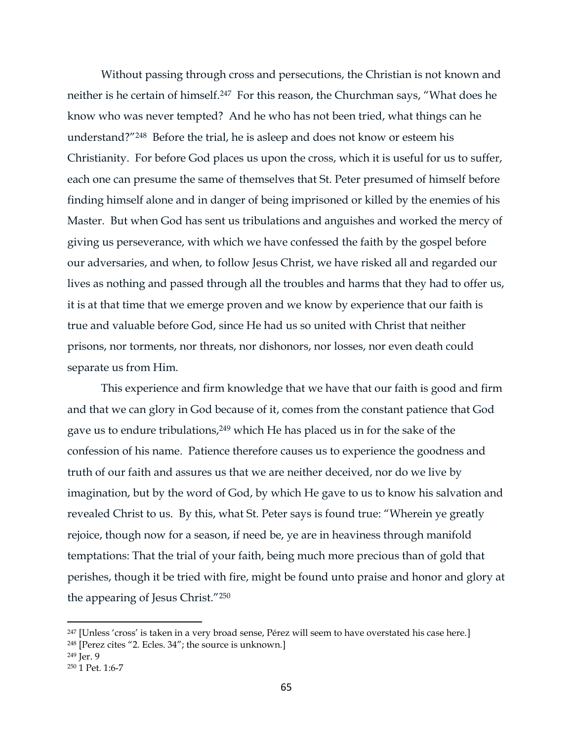Without passing through cross and persecutions, the Christian is not known and neither is he certain of himself.247 For this reason, the Churchman says, "What does he know who was never tempted? And he who has not been tried, what things can he understand?"248 Before the trial, he is asleep and does not know or esteem his Christianity. For before God places us upon the cross, which it is useful for us to suffer, each one can presume the same of themselves that St. Peter presumed of himself before finding himself alone and in danger of being imprisoned or killed by the enemies of his Master. But when God has sent us tribulations and anguishes and worked the mercy of giving us perseverance, with which we have confessed the faith by the gospel before our adversaries, and when, to follow Jesus Christ, we have risked all and regarded our lives as nothing and passed through all the troubles and harms that they had to offer us, it is at that time that we emerge proven and we know by experience that our faith is true and valuable before God, since He had us so united with Christ that neither prisons, nor torments, nor threats, nor dishonors, nor losses, nor even death could separate us from Him.

This experience and firm knowledge that we have that our faith is good and firm and that we can glory in God because of it, comes from the constant patience that God gave us to endure tribulations,<sup>249</sup> which He has placed us in for the sake of the confession of his name. Patience therefore causes us to experience the goodness and truth of our faith and assures us that we are neither deceived, nor do we live by imagination, but by the word of God, by which He gave to us to know his salvation and revealed Christ to us. By this, what St. Peter says is found true: "Wherein ye greatly rejoice, though now for a season, if need be, ye are in heaviness through manifold temptations: That the trial of your faith, being much more precious than of gold that perishes, though it be tried with fire, might be found unto praise and honor and glory at the appearing of Jesus Christ."<sup>250</sup>

<sup>&</sup>lt;sup>247</sup> [Unless 'cross' is taken in a very broad sense, Pérez will seem to have overstated his case here.]

<sup>248</sup> [Perez cites "2. Ecles. 34"; the source is unknown.]

<sup>249</sup> Jer. 9

<sup>250</sup> 1 Pet. 1:6-7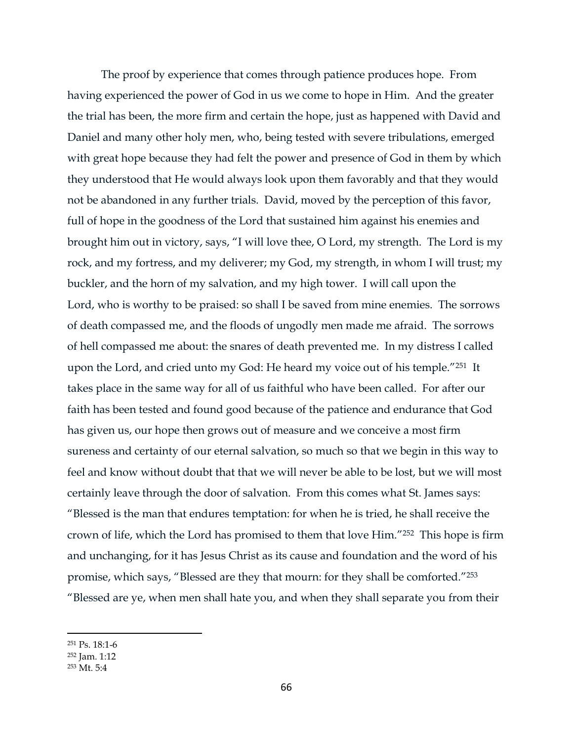The proof by experience that comes through patience produces hope. From having experienced the power of God in us we come to hope in Him. And the greater the trial has been, the more firm and certain the hope, just as happened with David and Daniel and many other holy men, who, being tested with severe tribulations, emerged with great hope because they had felt the power and presence of God in them by which they understood that He would always look upon them favorably and that they would not be abandoned in any further trials. David, moved by the perception of this favor, full of hope in the goodness of the Lord that sustained him against his enemies and brought him out in victory, says, "I will love thee, O Lord, my strength. The Lord is my rock, and my fortress, and my deliverer; my God, my strength, in whom I will trust; my buckler, and the horn of my salvation, and my high tower. I will call upon the Lord, who is worthy to be praised: so shall I be saved from mine enemies. The sorrows of death compassed me, and the floods of ungodly men made me afraid. The sorrows of hell compassed me about: the snares of death prevented me. In my distress I called upon the Lord, and cried unto my God: He heard my voice out of his temple."251 It takes place in the same way for all of us faithful who have been called. For after our faith has been tested and found good because of the patience and endurance that God has given us, our hope then grows out of measure and we conceive a most firm sureness and certainty of our eternal salvation, so much so that we begin in this way to feel and know without doubt that that we will never be able to be lost, but we will most certainly leave through the door of salvation. From this comes what St. James says: "Blessed is the man that endures temptation: for when he is tried, he shall receive the crown of life, which the Lord has promised to them that love Him."252 This hope is firm and unchanging, for it has Jesus Christ as its cause and foundation and the word of his promise, which says, "Blessed are they that mourn: for they shall be comforted."<sup>253</sup> "Blessed are ye, when men shall hate you, and when they shall separate you from their

<sup>251</sup> Ps. 18:1-6

<sup>252</sup> Jam. 1:12

<sup>253</sup> Mt. 5:4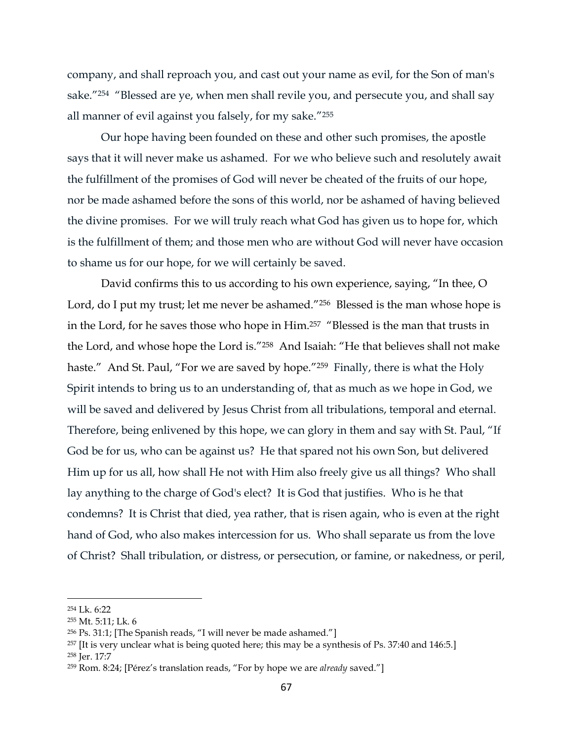company, and shall reproach you, and cast out your name as evil, for the Son of man's sake."<sup>254</sup> "Blessed are ye, when men shall revile you, and persecute you, and shall say all manner of evil against you falsely, for my sake."<sup>255</sup>

Our hope having been founded on these and other such promises, the apostle says that it will never make us ashamed. For we who believe such and resolutely await the fulfillment of the promises of God will never be cheated of the fruits of our hope, nor be made ashamed before the sons of this world, nor be ashamed of having believed the divine promises. For we will truly reach what God has given us to hope for, which is the fulfillment of them; and those men who are without God will never have occasion to shame us for our hope, for we will certainly be saved.

David confirms this to us according to his own experience, saying, "In thee, O Lord, do I put my trust; let me never be ashamed."<sup>256</sup> Blessed is the man whose hope is in the Lord, for he saves those who hope in Him. <sup>257</sup> "Blessed is the man that trusts in the Lord, and whose hope the Lord is."<sup>258</sup> And Isaiah: "He that believes shall not make haste." And St. Paul, "For we are saved by hope."259 Finally, there is what the Holy Spirit intends to bring us to an understanding of, that as much as we hope in God, we will be saved and delivered by Jesus Christ from all tribulations, temporal and eternal. Therefore, being enlivened by this hope, we can glory in them and say with St. Paul, "If God be for us, who can be against us? He that spared not his own Son, but delivered Him up for us all, how shall He not with Him also freely give us all things? Who shall lay anything to the charge of God's elect? It is God that justifies. Who is he that condemns? It is Christ that died, yea rather, that is risen again, who is even at the right hand of God, who also makes intercession for us. Who shall separate us from the love of Christ? Shall tribulation, or distress, or persecution, or famine, or nakedness, or peril,

<sup>254</sup> Lk. 6:22

<sup>255</sup> Mt. 5:11; Lk. 6

<sup>256</sup> Ps. 31:1; [The Spanish reads, "I will never be made ashamed."]

<sup>257</sup> [It is very unclear what is being quoted here; this may be a synthesis of Ps. 37:40 and 146:5.]

<sup>258</sup> Jer. 17:7

<sup>259</sup> Rom. 8:24; [Pérez's translation reads, "For by hope we are *already* saved."]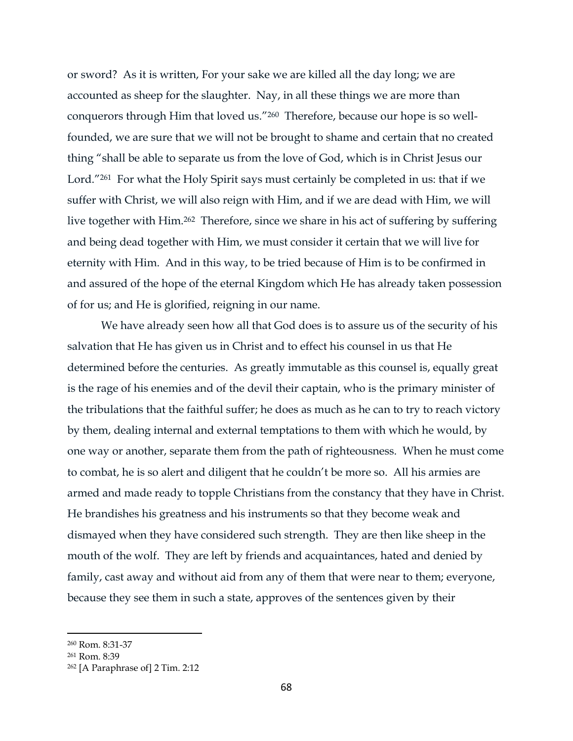or sword? As it is written, For your sake we are killed all the day long; we are accounted as sheep for the slaughter. Nay, in all these things we are more than conquerors through Him that loved us."260 Therefore, because our hope is so wellfounded, we are sure that we will not be brought to shame and certain that no created thing "shall be able to separate us from the love of God, which is in Christ Jesus our Lord."<sup>261</sup> For what the Holy Spirit says must certainly be completed in us: that if we suffer with Christ, we will also reign with Him, and if we are dead with Him, we will live together with Him.<sup>262</sup> Therefore, since we share in his act of suffering by suffering and being dead together with Him, we must consider it certain that we will live for eternity with Him. And in this way, to be tried because of Him is to be confirmed in and assured of the hope of the eternal Kingdom which He has already taken possession of for us; and He is glorified, reigning in our name.

We have already seen how all that God does is to assure us of the security of his salvation that He has given us in Christ and to effect his counsel in us that He determined before the centuries. As greatly immutable as this counsel is, equally great is the rage of his enemies and of the devil their captain, who is the primary minister of the tribulations that the faithful suffer; he does as much as he can to try to reach victory by them, dealing internal and external temptations to them with which he would, by one way or another, separate them from the path of righteousness. When he must come to combat, he is so alert and diligent that he couldn't be more so. All his armies are armed and made ready to topple Christians from the constancy that they have in Christ. He brandishes his greatness and his instruments so that they become weak and dismayed when they have considered such strength. They are then like sheep in the mouth of the wolf. They are left by friends and acquaintances, hated and denied by family, cast away and without aid from any of them that were near to them; everyone, because they see them in such a state, approves of the sentences given by their

<sup>260</sup> Rom. 8:31-37

<sup>261</sup> Rom. 8:39

<sup>262</sup> [A Paraphrase of] 2 Tim. 2:12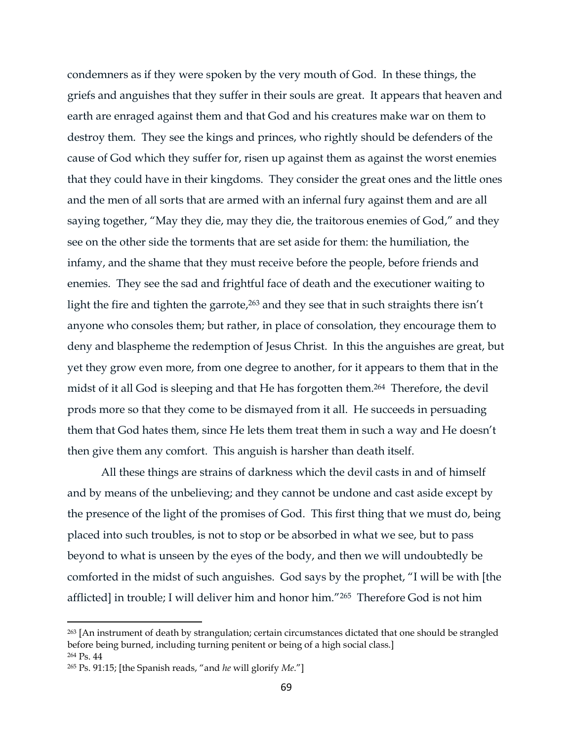condemners as if they were spoken by the very mouth of God. In these things, the griefs and anguishes that they suffer in their souls are great. It appears that heaven and earth are enraged against them and that God and his creatures make war on them to destroy them. They see the kings and princes, who rightly should be defenders of the cause of God which they suffer for, risen up against them as against the worst enemies that they could have in their kingdoms. They consider the great ones and the little ones and the men of all sorts that are armed with an infernal fury against them and are all saying together, "May they die, may they die, the traitorous enemies of God," and they see on the other side the torments that are set aside for them: the humiliation, the infamy, and the shame that they must receive before the people, before friends and enemies. They see the sad and frightful face of death and the executioner waiting to light the fire and tighten the garrote, <sup>263</sup> and they see that in such straights there isn't anyone who consoles them; but rather, in place of consolation, they encourage them to deny and blaspheme the redemption of Jesus Christ. In this the anguishes are great, but yet they grow even more, from one degree to another, for it appears to them that in the midst of it all God is sleeping and that He has forgotten them. <sup>264</sup> Therefore, the devil prods more so that they come to be dismayed from it all. He succeeds in persuading them that God hates them, since He lets them treat them in such a way and He doesn't then give them any comfort. This anguish is harsher than death itself.

All these things are strains of darkness which the devil casts in and of himself and by means of the unbelieving; and they cannot be undone and cast aside except by the presence of the light of the promises of God. This first thing that we must do, being placed into such troubles, is not to stop or be absorbed in what we see, but to pass beyond to what is unseen by the eyes of the body, and then we will undoubtedly be comforted in the midst of such anguishes. God says by the prophet, "I will be with [the afflicted] in trouble; I will deliver him and honor him."265 Therefore God is not him

<sup>263</sup> [An instrument of death by strangulation; certain circumstances dictated that one should be strangled before being burned, including turning penitent or being of a high social class.] <sup>264</sup> Ps. 44

<sup>265</sup> Ps. 91:15; [the Spanish reads, "and *he* will glorify *Me*."]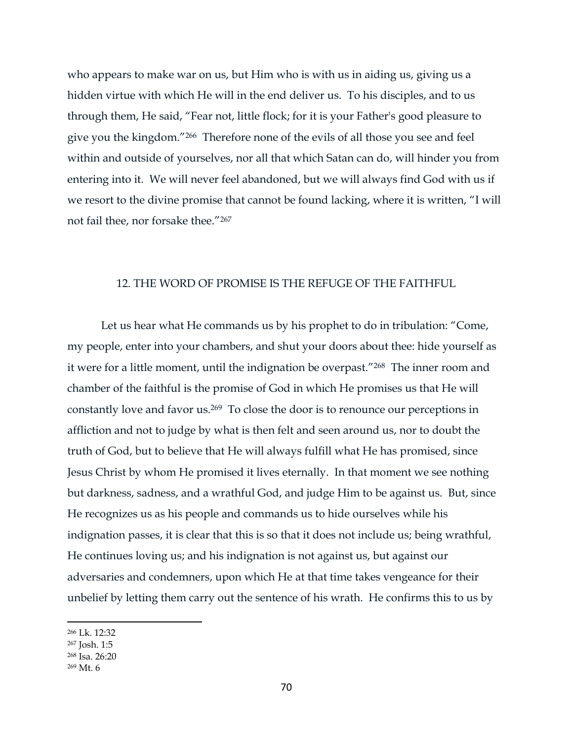who appears to make war on us, but Him who is with us in aiding us, giving us a hidden virtue with which He will in the end deliver us. To his disciples, and to us through them, He said, "Fear not, little flock; for it is your Father's good pleasure to give you the kingdom."266 Therefore none of the evils of all those you see and feel within and outside of yourselves, nor all that which Satan can do, will hinder you from entering into it. We will never feel abandoned, but we will always find God with us if we resort to the divine promise that cannot be found lacking, where it is written, "I will not fail thee, nor forsake thee."<sup>267</sup>

### 12. THE WORD OF PROMISE IS THE REFUGE OF THE FAITHFUL

Let us hear what He commands us by his prophet to do in tribulation: "Come, my people, enter into your chambers, and shut your doors about thee: hide yourself as it were for a little moment, until the indignation be overpast."268 The inner room and chamber of the faithful is the promise of God in which He promises us that He will constantly love and favor us.269 To close the door is to renounce our perceptions in affliction and not to judge by what is then felt and seen around us, nor to doubt the truth of God, but to believe that He will always fulfill what He has promised, since Jesus Christ by whom He promised it lives eternally. In that moment we see nothing but darkness, sadness, and a wrathful God, and judge Him to be against us. But, since He recognizes us as his people and commands us to hide ourselves while his indignation passes, it is clear that this is so that it does not include us; being wrathful, He continues loving us; and his indignation is not against us, but against our adversaries and condemners, upon which He at that time takes vengeance for their unbelief by letting them carry out the sentence of his wrath. He confirms this to us by

<sup>266</sup> Lk. 12:32

<sup>267</sup> Josh. 1:5

<sup>268</sup> Isa. 26:20

<sup>269</sup> Mt. 6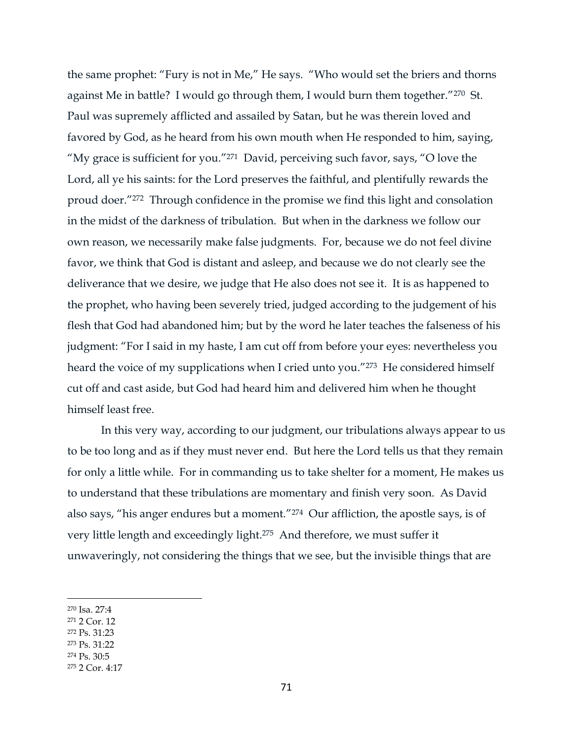the same prophet: "Fury is not in Me," He says. "Who would set the briers and thorns against Me in battle? I would go through them, I would burn them together."270 St. Paul was supremely afflicted and assailed by Satan, but he was therein loved and favored by God, as he heard from his own mouth when He responded to him, saying, "My grace is sufficient for you."271 David, perceiving such favor, says, "O love the Lord, all ye his saints: for the Lord preserves the faithful, and plentifully rewards the proud doer."<sup>272</sup> Through confidence in the promise we find this light and consolation in the midst of the darkness of tribulation. But when in the darkness we follow our own reason, we necessarily make false judgments. For, because we do not feel divine favor, we think that God is distant and asleep, and because we do not clearly see the deliverance that we desire, we judge that He also does not see it. It is as happened to the prophet, who having been severely tried, judged according to the judgement of his flesh that God had abandoned him; but by the word he later teaches the falseness of his judgment: "For I said in my haste, I am cut off from before your eyes: nevertheless you heard the voice of my supplications when I cried unto you."<sup>273</sup> He considered himself cut off and cast aside, but God had heard him and delivered him when he thought himself least free.

In this very way, according to our judgment, our tribulations always appear to us to be too long and as if they must never end. But here the Lord tells us that they remain for only a little while. For in commanding us to take shelter for a moment, He makes us to understand that these tribulations are momentary and finish very soon. As David also says, "his anger endures but a moment."274 Our affliction, the apostle says, is of very little length and exceedingly light.275 And therefore, we must suffer it unwaveringly, not considering the things that we see, but the invisible things that are

- <sup>271</sup> 2 Cor. 12
- <sup>272</sup> Ps. 31:23
- <sup>273</sup> Ps. 31:22
- <sup>274</sup> Ps. 30:5

<sup>270</sup> Isa. 27:4

<sup>275</sup> 2 Cor. 4:17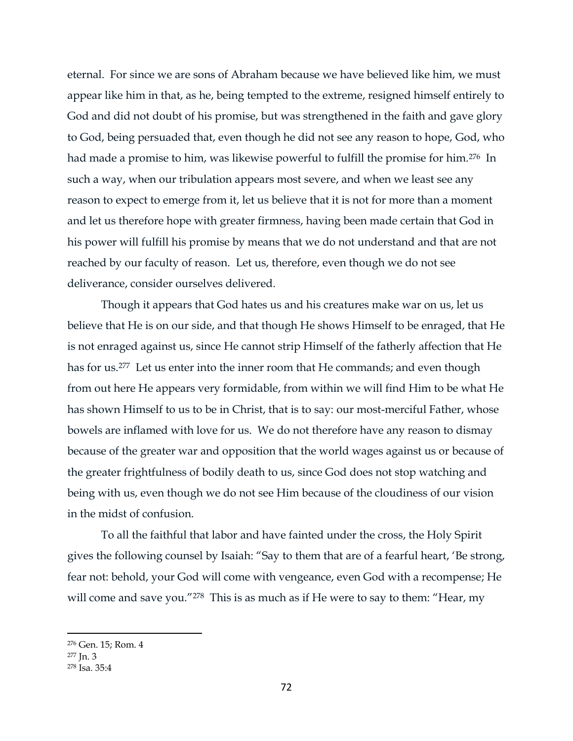eternal. For since we are sons of Abraham because we have believed like him, we must appear like him in that, as he, being tempted to the extreme, resigned himself entirely to God and did not doubt of his promise, but was strengthened in the faith and gave glory to God, being persuaded that, even though he did not see any reason to hope, God, who had made a promise to him, was likewise powerful to fulfill the promise for him. <sup>276</sup> In such a way, when our tribulation appears most severe, and when we least see any reason to expect to emerge from it, let us believe that it is not for more than a moment and let us therefore hope with greater firmness, having been made certain that God in his power will fulfill his promise by means that we do not understand and that are not reached by our faculty of reason. Let us, therefore, even though we do not see deliverance, consider ourselves delivered.

Though it appears that God hates us and his creatures make war on us, let us believe that He is on our side, and that though He shows Himself to be enraged, that He is not enraged against us, since He cannot strip Himself of the fatherly affection that He has for us.<sup>277</sup> Let us enter into the inner room that He commands; and even though from out here He appears very formidable, from within we will find Him to be what He has shown Himself to us to be in Christ, that is to say: our most-merciful Father, whose bowels are inflamed with love for us. We do not therefore have any reason to dismay because of the greater war and opposition that the world wages against us or because of the greater frightfulness of bodily death to us, since God does not stop watching and being with us, even though we do not see Him because of the cloudiness of our vision in the midst of confusion.

To all the faithful that labor and have fainted under the cross, the Holy Spirit gives the following counsel by Isaiah: "Say to them that are of a fearful heart, 'Be strong, fear not: behold, your God will come with vengeance, even God with a recompense; He will come and save you."<sup>278</sup> This is as much as if He were to say to them: "Hear, my

<sup>276</sup> Gen. 15; Rom. 4

 $277$  In. 3

<sup>278</sup> Isa. 35:4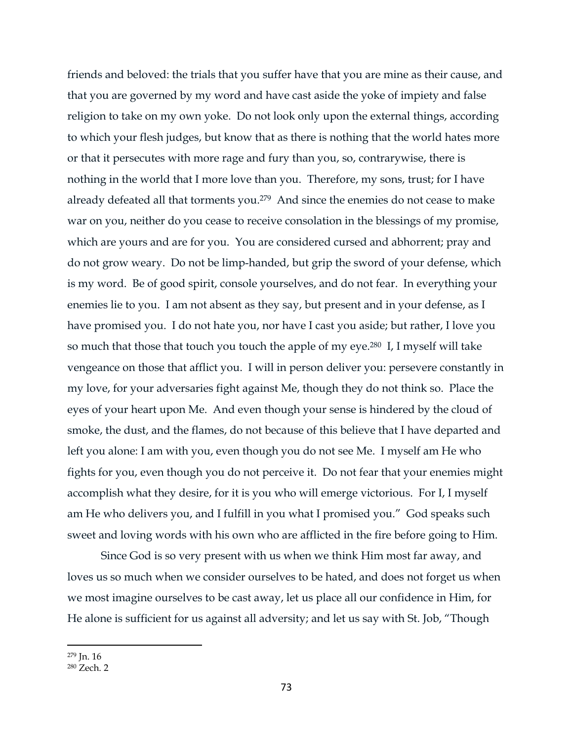friends and beloved: the trials that you suffer have that you are mine as their cause, and that you are governed by my word and have cast aside the yoke of impiety and false religion to take on my own yoke. Do not look only upon the external things, according to which your flesh judges, but know that as there is nothing that the world hates more or that it persecutes with more rage and fury than you, so, contrarywise, there is nothing in the world that I more love than you. Therefore, my sons, trust; for I have already defeated all that torments you.<sup>279</sup> And since the enemies do not cease to make war on you, neither do you cease to receive consolation in the blessings of my promise, which are yours and are for you. You are considered cursed and abhorrent; pray and do not grow weary. Do not be limp-handed, but grip the sword of your defense, which is my word. Be of good spirit, console yourselves, and do not fear. In everything your enemies lie to you. I am not absent as they say, but present and in your defense, as I have promised you. I do not hate you, nor have I cast you aside; but rather, I love you so much that those that touch you touch the apple of my eye.<sup>280</sup> I, I myself will take vengeance on those that afflict you. I will in person deliver you: persevere constantly in my love, for your adversaries fight against Me, though they do not think so. Place the eyes of your heart upon Me. And even though your sense is hindered by the cloud of smoke, the dust, and the flames, do not because of this believe that I have departed and left you alone: I am with you, even though you do not see Me. I myself am He who fights for you, even though you do not perceive it. Do not fear that your enemies might accomplish what they desire, for it is you who will emerge victorious. For I, I myself am He who delivers you, and I fulfill in you what I promised you." God speaks such sweet and loving words with his own who are afflicted in the fire before going to Him.

Since God is so very present with us when we think Him most far away, and loves us so much when we consider ourselves to be hated, and does not forget us when we most imagine ourselves to be cast away, let us place all our confidence in Him, for He alone is sufficient for us against all adversity; and let us say with St. Job, "Though

<sup>279</sup> Jn. 16

<sup>280</sup> Zech. 2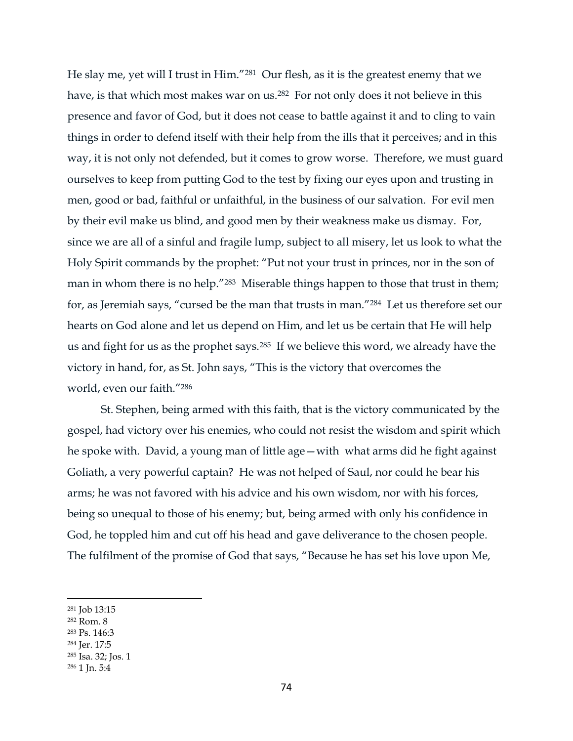He slay me, yet will I trust in Him."281 Our flesh, as it is the greatest enemy that we have, is that which most makes war on us.<sup>282</sup> For not only does it not believe in this presence and favor of God, but it does not cease to battle against it and to cling to vain things in order to defend itself with their help from the ills that it perceives; and in this way, it is not only not defended, but it comes to grow worse. Therefore, we must guard ourselves to keep from putting God to the test by fixing our eyes upon and trusting in men, good or bad, faithful or unfaithful, in the business of our salvation. For evil men by their evil make us blind, and good men by their weakness make us dismay. For, since we are all of a sinful and fragile lump, subject to all misery, let us look to what the Holy Spirit commands by the prophet: "Put not your trust in princes, nor in the son of man in whom there is no help."<sup>283</sup> Miserable things happen to those that trust in them; for, as Jeremiah says, "cursed be the man that trusts in man."284 Let us therefore set our hearts on God alone and let us depend on Him, and let us be certain that He will help us and fight for us as the prophet says.285 If we believe this word, we already have the victory in hand, for, as St. John says, "This is the victory that overcomes the world, even our faith."<sup>286</sup>

St. Stephen, being armed with this faith, that is the victory communicated by the gospel, had victory over his enemies, who could not resist the wisdom and spirit which he spoke with. David, a young man of little age—with what arms did he fight against Goliath, a very powerful captain? He was not helped of Saul, nor could he bear his arms; he was not favored with his advice and his own wisdom, nor with his forces, being so unequal to those of his enemy; but, being armed with only his confidence in God, he toppled him and cut off his head and gave deliverance to the chosen people. The fulfilment of the promise of God that says, "Because he has set his love upon Me,

- <sup>283</sup> Ps. 146:3
- <sup>284</sup> Jer. 17:5

<sup>281</sup> Job 13:15

<sup>282</sup> Rom. 8

<sup>285</sup> Isa. 32; Jos. 1

<sup>286</sup> 1 Jn. 5:4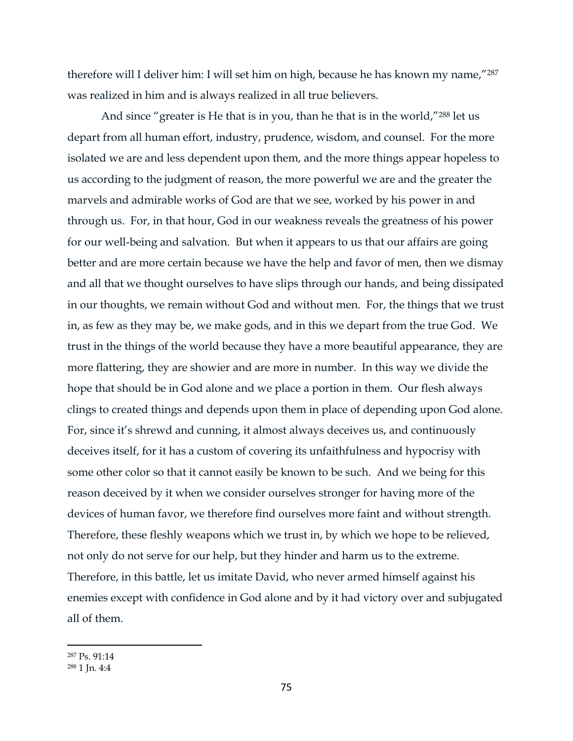therefore will I deliver him: I will set him on high, because he has known my name,"<sup>287</sup> was realized in him and is always realized in all true believers.

And since "greater is He that is in you, than he that is in the world,"<sup>288</sup> let us depart from all human effort, industry, prudence, wisdom, and counsel. For the more isolated we are and less dependent upon them, and the more things appear hopeless to us according to the judgment of reason, the more powerful we are and the greater the marvels and admirable works of God are that we see, worked by his power in and through us. For, in that hour, God in our weakness reveals the greatness of his power for our well-being and salvation. But when it appears to us that our affairs are going better and are more certain because we have the help and favor of men, then we dismay and all that we thought ourselves to have slips through our hands, and being dissipated in our thoughts, we remain without God and without men. For, the things that we trust in, as few as they may be, we make gods, and in this we depart from the true God. We trust in the things of the world because they have a more beautiful appearance, they are more flattering, they are showier and are more in number. In this way we divide the hope that should be in God alone and we place a portion in them. Our flesh always clings to created things and depends upon them in place of depending upon God alone. For, since it's shrewd and cunning, it almost always deceives us, and continuously deceives itself, for it has a custom of covering its unfaithfulness and hypocrisy with some other color so that it cannot easily be known to be such. And we being for this reason deceived by it when we consider ourselves stronger for having more of the devices of human favor, we therefore find ourselves more faint and without strength. Therefore, these fleshly weapons which we trust in, by which we hope to be relieved, not only do not serve for our help, but they hinder and harm us to the extreme. Therefore, in this battle, let us imitate David, who never armed himself against his enemies except with confidence in God alone and by it had victory over and subjugated all of them.

<sup>287</sup> Ps. 91:14

<sup>288</sup> 1 Jn. 4:4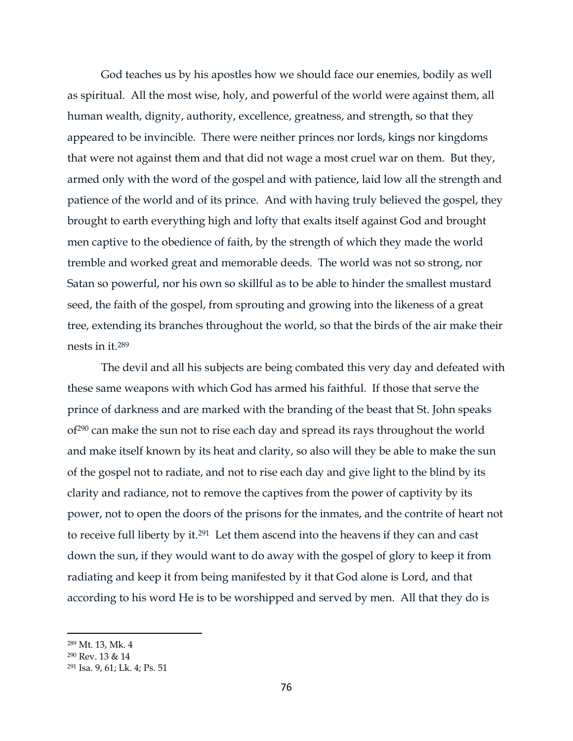God teaches us by his apostles how we should face our enemies, bodily as well as spiritual. All the most wise, holy, and powerful of the world were against them, all human wealth, dignity, authority, excellence, greatness, and strength, so that they appeared to be invincible. There were neither princes nor lords, kings nor kingdoms that were not against them and that did not wage a most cruel war on them. But they, armed only with the word of the gospel and with patience, laid low all the strength and patience of the world and of its prince. And with having truly believed the gospel, they brought to earth everything high and lofty that exalts itself against God and brought men captive to the obedience of faith, by the strength of which they made the world tremble and worked great and memorable deeds. The world was not so strong, nor Satan so powerful, nor his own so skillful as to be able to hinder the smallest mustard seed, the faith of the gospel, from sprouting and growing into the likeness of a great tree, extending its branches throughout the world, so that the birds of the air make their nests in it.<sup>289</sup>

The devil and all his subjects are being combated this very day and defeated with these same weapons with which God has armed his faithful. If those that serve the prince of darkness and are marked with the branding of the beast that St. John speaks of<sup>290</sup> can make the sun not to rise each day and spread its rays throughout the world and make itself known by its heat and clarity, so also will they be able to make the sun of the gospel not to radiate, and not to rise each day and give light to the blind by its clarity and radiance, not to remove the captives from the power of captivity by its power, not to open the doors of the prisons for the inmates, and the contrite of heart not to receive full liberty by it.291 Let them ascend into the heavens if they can and cast down the sun, if they would want to do away with the gospel of glory to keep it from radiating and keep it from being manifested by it that God alone is Lord, and that according to his word He is to be worshipped and served by men. All that they do is

<sup>289</sup> Mt. 13, Mk. 4

<sup>290</sup> Rev. 13 & 14

<sup>291</sup> Isa. 9, 61; Lk. 4; Ps. 51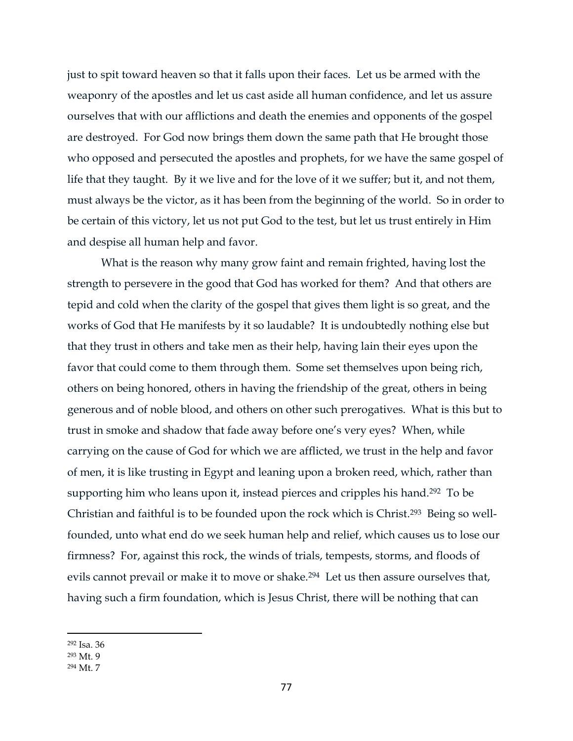just to spit toward heaven so that it falls upon their faces. Let us be armed with the weaponry of the apostles and let us cast aside all human confidence, and let us assure ourselves that with our afflictions and death the enemies and opponents of the gospel are destroyed. For God now brings them down the same path that He brought those who opposed and persecuted the apostles and prophets, for we have the same gospel of life that they taught. By it we live and for the love of it we suffer; but it, and not them, must always be the victor, as it has been from the beginning of the world. So in order to be certain of this victory, let us not put God to the test, but let us trust entirely in Him and despise all human help and favor.

What is the reason why many grow faint and remain frighted, having lost the strength to persevere in the good that God has worked for them? And that others are tepid and cold when the clarity of the gospel that gives them light is so great, and the works of God that He manifests by it so laudable? It is undoubtedly nothing else but that they trust in others and take men as their help, having lain their eyes upon the favor that could come to them through them. Some set themselves upon being rich, others on being honored, others in having the friendship of the great, others in being generous and of noble blood, and others on other such prerogatives. What is this but to trust in smoke and shadow that fade away before one's very eyes? When, while carrying on the cause of God for which we are afflicted, we trust in the help and favor of men, it is like trusting in Egypt and leaning upon a broken reed, which, rather than supporting him who leans upon it, instead pierces and cripples his hand.<sup>292</sup> To be Christian and faithful is to be founded upon the rock which is Christ.293 Being so wellfounded, unto what end do we seek human help and relief, which causes us to lose our firmness? For, against this rock, the winds of trials, tempests, storms, and floods of evils cannot prevail or make it to move or shake.<sup>294</sup> Let us then assure ourselves that, having such a firm foundation, which is Jesus Christ, there will be nothing that can

<sup>292</sup> Isa. 36

<sup>293</sup> Mt. 9

<sup>294</sup> Mt. 7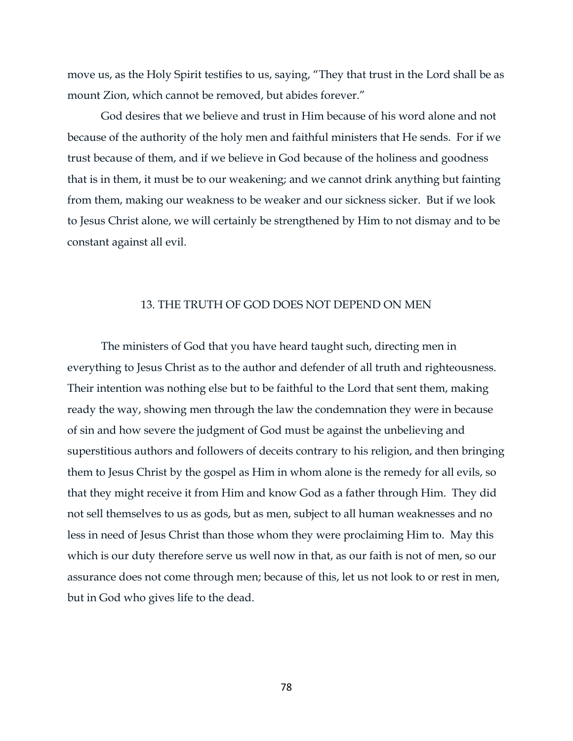move us, as the Holy Spirit testifies to us, saying, "They that trust in the Lord shall be as mount Zion, which cannot be removed, but abides forever."

God desires that we believe and trust in Him because of his word alone and not because of the authority of the holy men and faithful ministers that He sends. For if we trust because of them, and if we believe in God because of the holiness and goodness that is in them, it must be to our weakening; and we cannot drink anything but fainting from them, making our weakness to be weaker and our sickness sicker. But if we look to Jesus Christ alone, we will certainly be strengthened by Him to not dismay and to be constant against all evil.

### 13. THE TRUTH OF GOD DOES NOT DEPEND ON MEN

The ministers of God that you have heard taught such, directing men in everything to Jesus Christ as to the author and defender of all truth and righteousness. Their intention was nothing else but to be faithful to the Lord that sent them, making ready the way, showing men through the law the condemnation they were in because of sin and how severe the judgment of God must be against the unbelieving and superstitious authors and followers of deceits contrary to his religion, and then bringing them to Jesus Christ by the gospel as Him in whom alone is the remedy for all evils, so that they might receive it from Him and know God as a father through Him. They did not sell themselves to us as gods, but as men, subject to all human weaknesses and no less in need of Jesus Christ than those whom they were proclaiming Him to. May this which is our duty therefore serve us well now in that, as our faith is not of men, so our assurance does not come through men; because of this, let us not look to or rest in men, but in God who gives life to the dead.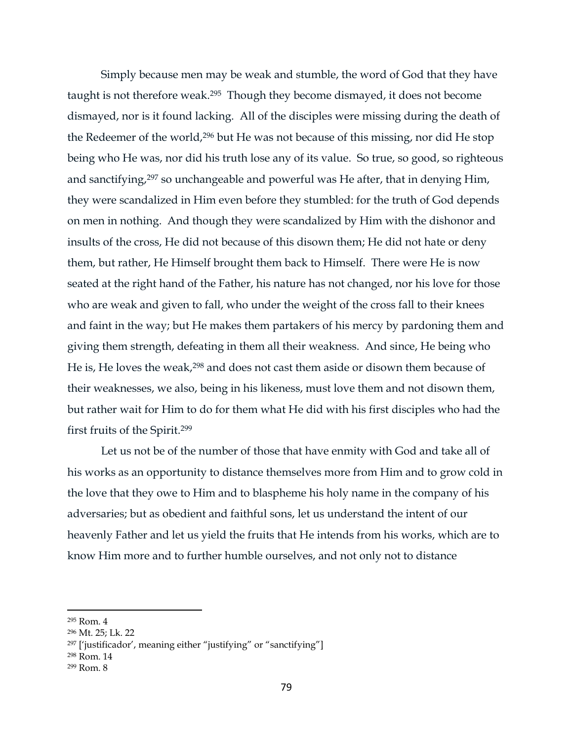Simply because men may be weak and stumble, the word of God that they have taught is not therefore weak.295 Though they become dismayed, it does not become dismayed, nor is it found lacking. All of the disciples were missing during the death of the Redeemer of the world,<sup>296</sup> but He was not because of this missing, nor did He stop being who He was, nor did his truth lose any of its value. So true, so good, so righteous and sanctifying, <sup>297</sup> so unchangeable and powerful was He after, that in denying Him, they were scandalized in Him even before they stumbled: for the truth of God depends on men in nothing. And though they were scandalized by Him with the dishonor and insults of the cross, He did not because of this disown them; He did not hate or deny them, but rather, He Himself brought them back to Himself. There were He is now seated at the right hand of the Father, his nature has not changed, nor his love for those who are weak and given to fall, who under the weight of the cross fall to their knees and faint in the way; but He makes them partakers of his mercy by pardoning them and giving them strength, defeating in them all their weakness. And since, He being who He is, He loves the weak,<sup>298</sup> and does not cast them aside or disown them because of their weaknesses, we also, being in his likeness, must love them and not disown them, but rather wait for Him to do for them what He did with his first disciples who had the first fruits of the Spirit.<sup>299</sup>

Let us not be of the number of those that have enmity with God and take all of his works as an opportunity to distance themselves more from Him and to grow cold in the love that they owe to Him and to blaspheme his holy name in the company of his adversaries; but as obedient and faithful sons, let us understand the intent of our heavenly Father and let us yield the fruits that He intends from his works, which are to know Him more and to further humble ourselves, and not only not to distance

 $\overline{a}$ 

<sup>298</sup> Rom. 14

<sup>295</sup> Rom. 4

<sup>296</sup> Mt. 25; Lk. 22

<sup>297</sup> ['justificador', meaning either "justifying" or "sanctifying"]

<sup>299</sup> Rom. 8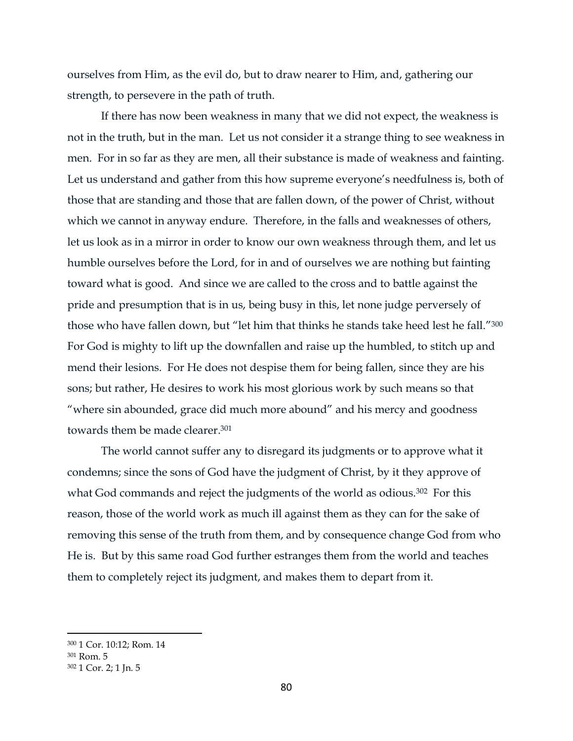ourselves from Him, as the evil do, but to draw nearer to Him, and, gathering our strength, to persevere in the path of truth.

If there has now been weakness in many that we did not expect, the weakness is not in the truth, but in the man. Let us not consider it a strange thing to see weakness in men. For in so far as they are men, all their substance is made of weakness and fainting. Let us understand and gather from this how supreme everyone's needfulness is, both of those that are standing and those that are fallen down, of the power of Christ, without which we cannot in anyway endure. Therefore, in the falls and weaknesses of others, let us look as in a mirror in order to know our own weakness through them, and let us humble ourselves before the Lord, for in and of ourselves we are nothing but fainting toward what is good. And since we are called to the cross and to battle against the pride and presumption that is in us, being busy in this, let none judge perversely of those who have fallen down, but "let him that thinks he stands take heed lest he fall."<sup>300</sup> For God is mighty to lift up the downfallen and raise up the humbled, to stitch up and mend their lesions. For He does not despise them for being fallen, since they are his sons; but rather, He desires to work his most glorious work by such means so that "where sin abounded, grace did much more abound" and his mercy and goodness towards them be made clearer. 301

The world cannot suffer any to disregard its judgments or to approve what it condemns; since the sons of God have the judgment of Christ, by it they approve of what God commands and reject the judgments of the world as odious.<sup>302</sup> For this reason, those of the world work as much ill against them as they can for the sake of removing this sense of the truth from them, and by consequence change God from who He is. But by this same road God further estranges them from the world and teaches them to completely reject its judgment, and makes them to depart from it.

<sup>300</sup> 1 Cor. 10:12; Rom. 14

<sup>301</sup> Rom. 5

<sup>302</sup> 1 Cor. 2; 1 Jn. 5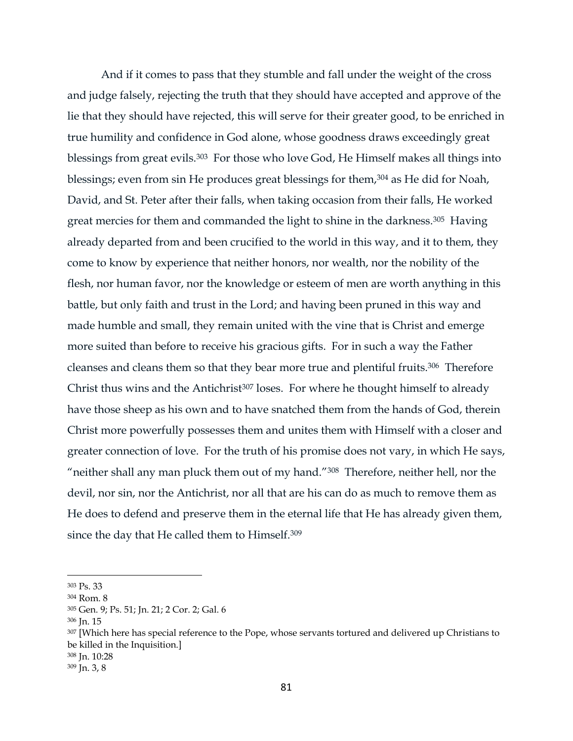And if it comes to pass that they stumble and fall under the weight of the cross and judge falsely, rejecting the truth that they should have accepted and approve of the lie that they should have rejected, this will serve for their greater good, to be enriched in true humility and confidence in God alone, whose goodness draws exceedingly great blessings from great evils. <sup>303</sup> For those who love God, He Himself makes all things into blessings; even from sin He produces great blessings for them,<sup>304</sup> as He did for Noah, David, and St. Peter after their falls, when taking occasion from their falls, He worked great mercies for them and commanded the light to shine in the darkness.<sup>305</sup> Having already departed from and been crucified to the world in this way, and it to them, they come to know by experience that neither honors, nor wealth, nor the nobility of the flesh, nor human favor, nor the knowledge or esteem of men are worth anything in this battle, but only faith and trust in the Lord; and having been pruned in this way and made humble and small, they remain united with the vine that is Christ and emerge more suited than before to receive his gracious gifts. For in such a way the Father cleanses and cleans them so that they bear more true and plentiful fruits.306 Therefore Christ thus wins and the Antichrist<sup>307</sup> loses. For where he thought himself to already have those sheep as his own and to have snatched them from the hands of God, therein Christ more powerfully possesses them and unites them with Himself with a closer and greater connection of love. For the truth of his promise does not vary, in which He says, "neither shall any man pluck them out of my hand."<sup>308</sup> Therefore, neither hell, nor the devil, nor sin, nor the Antichrist, nor all that are his can do as much to remove them as He does to defend and preserve them in the eternal life that He has already given them, since the day that He called them to Himself.<sup>309</sup>

<sup>303</sup> Ps. 33

<sup>304</sup> Rom. 8

<sup>305</sup> Gen. 9; Ps. 51; Jn. 21; 2 Cor. 2; Gal. 6

<sup>306</sup> Jn. 15

<sup>&</sup>lt;sup>307</sup> [Which here has special reference to the Pope, whose servants tortured and delivered up Christians to be killed in the Inquisition.]

<sup>308</sup> Jn. 10:28

<sup>309</sup> Jn. 3, 8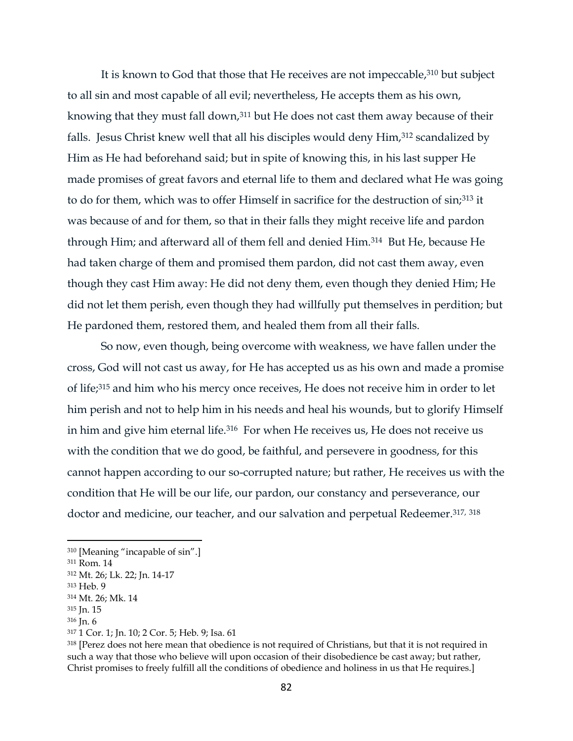It is known to God that those that He receives are not impeccable, <sup>310</sup> but subject to all sin and most capable of all evil; nevertheless, He accepts them as his own, knowing that they must fall down,<sup>311</sup> but He does not cast them away because of their falls. Jesus Christ knew well that all his disciples would deny Him,<sup>312</sup> scandalized by Him as He had beforehand said; but in spite of knowing this, in his last supper He made promises of great favors and eternal life to them and declared what He was going to do for them, which was to offer Himself in sacrifice for the destruction of sin;<sup>313</sup> it was because of and for them, so that in their falls they might receive life and pardon through Him; and afterward all of them fell and denied Him.314 But He, because He had taken charge of them and promised them pardon, did not cast them away, even though they cast Him away: He did not deny them, even though they denied Him; He did not let them perish, even though they had willfully put themselves in perdition; but He pardoned them, restored them, and healed them from all their falls.

So now, even though, being overcome with weakness, we have fallen under the cross, God will not cast us away, for He has accepted us as his own and made a promise of life; <sup>315</sup> and him who his mercy once receives, He does not receive him in order to let him perish and not to help him in his needs and heal his wounds, but to glorify Himself in him and give him eternal life.<sup>316</sup> For when He receives us, He does not receive us with the condition that we do good, be faithful, and persevere in goodness, for this cannot happen according to our so-corrupted nature; but rather, He receives us with the condition that He will be our life, our pardon, our constancy and perseverance, our doctor and medicine, our teacher, and our salvation and perpetual Redeemer.<sup>317, 318</sup>

<sup>310</sup> [Meaning "incapable of sin".]

<sup>311</sup> Rom. 14

<sup>312</sup> Mt. 26; Lk. 22; Jn. 14-17

<sup>313</sup> Heb. 9

<sup>314</sup> Mt. 26; Mk. 14

<sup>315</sup> Jn. 15

<sup>316</sup> Jn. 6

<sup>317</sup> 1 Cor. 1; Jn. 10; 2 Cor. 5; Heb. 9; Isa. 61

<sup>318</sup> [Perez does not here mean that obedience is not required of Christians, but that it is not required in such a way that those who believe will upon occasion of their disobedience be cast away; but rather, Christ promises to freely fulfill all the conditions of obedience and holiness in us that He requires.]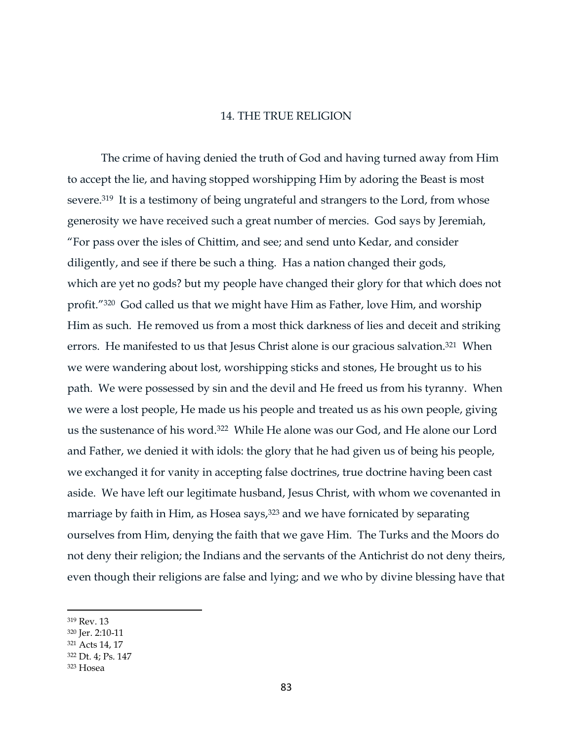#### 14. THE TRUE RELIGION

The crime of having denied the truth of God and having turned away from Him to accept the lie, and having stopped worshipping Him by adoring the Beast is most severe.<sup>319</sup> It is a testimony of being ungrateful and strangers to the Lord, from whose generosity we have received such a great number of mercies. God says by Jeremiah, "For pass over the isles of Chittim, and see; and send unto Kedar, and consider diligently, and see if there be such a thing. Has a nation changed their gods, which are yet no gods? but my people have changed their glory for that which does not profit."320 God called us that we might have Him as Father, love Him, and worship Him as such. He removed us from a most thick darkness of lies and deceit and striking errors. He manifested to us that Jesus Christ alone is our gracious salvation.<sup>321</sup> When we were wandering about lost, worshipping sticks and stones, He brought us to his path. We were possessed by sin and the devil and He freed us from his tyranny. When we were a lost people, He made us his people and treated us as his own people, giving us the sustenance of his word.322 While He alone was our God, and He alone our Lord and Father, we denied it with idols: the glory that he had given us of being his people, we exchanged it for vanity in accepting false doctrines, true doctrine having been cast aside. We have left our legitimate husband, Jesus Christ, with whom we covenanted in marriage by faith in Him, as Hosea says,<sup>323</sup> and we have fornicated by separating ourselves from Him, denying the faith that we gave Him. The Turks and the Moors do not deny their religion; the Indians and the servants of the Antichrist do not deny theirs, even though their religions are false and lying; and we who by divine blessing have that

<sup>319</sup> Rev. 13

<sup>320</sup> Jer. 2:10-11

<sup>321</sup> Acts 14, 17

<sup>322</sup> Dt. 4; Ps. 147

<sup>323</sup> Hosea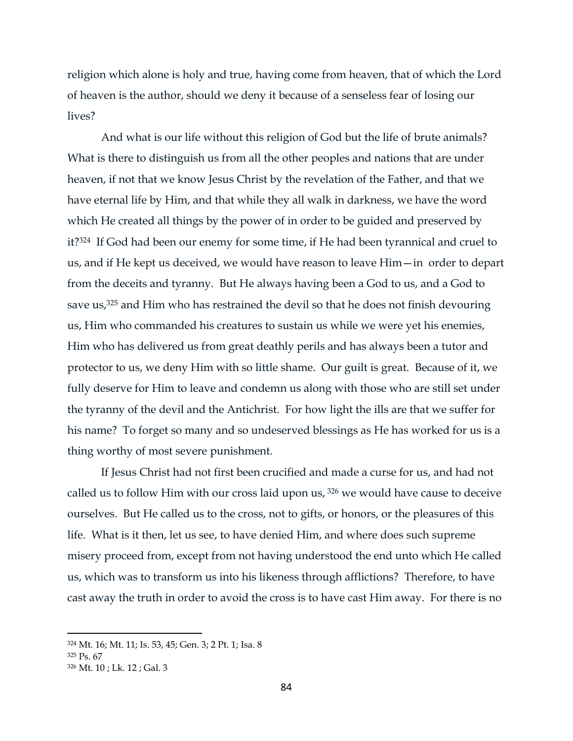religion which alone is holy and true, having come from heaven, that of which the Lord of heaven is the author, should we deny it because of a senseless fear of losing our lives?

And what is our life without this religion of God but the life of brute animals? What is there to distinguish us from all the other peoples and nations that are under heaven, if not that we know Jesus Christ by the revelation of the Father, and that we have eternal life by Him, and that while they all walk in darkness, we have the word which He created all things by the power of in order to be guided and preserved by it?324 If God had been our enemy for some time, if He had been tyrannical and cruel to us, and if He kept us deceived, we would have reason to leave Him—in order to depart from the deceits and tyranny. But He always having been a God to us, and a God to save us,<sup>325</sup> and Him who has restrained the devil so that he does not finish devouring us, Him who commanded his creatures to sustain us while we were yet his enemies, Him who has delivered us from great deathly perils and has always been a tutor and protector to us, we deny Him with so little shame. Our guilt is great. Because of it, we fully deserve for Him to leave and condemn us along with those who are still set under the tyranny of the devil and the Antichrist. For how light the ills are that we suffer for his name? To forget so many and so undeserved blessings as He has worked for us is a thing worthy of most severe punishment.

If Jesus Christ had not first been crucified and made a curse for us, and had not called us to follow Him with our cross laid upon us, <sup>326</sup> we would have cause to deceive ourselves. But He called us to the cross, not to gifts, or honors, or the pleasures of this life. What is it then, let us see, to have denied Him, and where does such supreme misery proceed from, except from not having understood the end unto which He called us, which was to transform us into his likeness through afflictions? Therefore, to have cast away the truth in order to avoid the cross is to have cast Him away. For there is no

<sup>324</sup> Mt. 16; Mt. 11; Is. 53, 45; Gen. 3; 2 Pt. 1; Isa. 8

<sup>325</sup> Ps. 67

<sup>326</sup> Mt. 10 ; Lk. 12 ; Gal. 3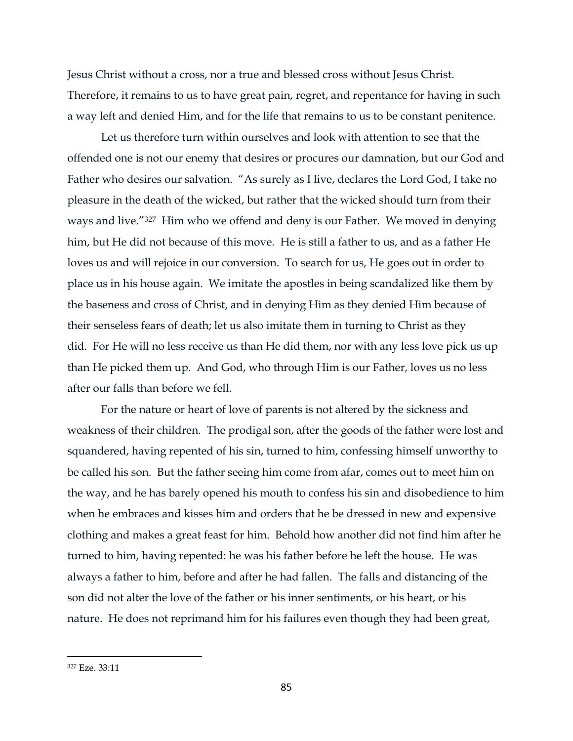Jesus Christ without a cross, nor a true and blessed cross without Jesus Christ. Therefore, it remains to us to have great pain, regret, and repentance for having in such a way left and denied Him, and for the life that remains to us to be constant penitence.

Let us therefore turn within ourselves and look with attention to see that the offended one is not our enemy that desires or procures our damnation, but our God and Father who desires our salvation. "As surely as I live, declares the Lord God, I take no pleasure in the death of the wicked, but rather that the wicked should turn from their ways and live."327 Him who we offend and deny is our Father. We moved in denying him, but He did not because of this move. He is still a father to us, and as a father He loves us and will rejoice in our conversion. To search for us, He goes out in order to place us in his house again. We imitate the apostles in being scandalized like them by the baseness and cross of Christ, and in denying Him as they denied Him because of their senseless fears of death; let us also imitate them in turning to Christ as they did. For He will no less receive us than He did them, nor with any less love pick us up than He picked them up. And God, who through Him is our Father, loves us no less after our falls than before we fell.

For the nature or heart of love of parents is not altered by the sickness and weakness of their children. The prodigal son, after the goods of the father were lost and squandered, having repented of his sin, turned to him, confessing himself unworthy to be called his son. But the father seeing him come from afar, comes out to meet him on the way, and he has barely opened his mouth to confess his sin and disobedience to him when he embraces and kisses him and orders that he be dressed in new and expensive clothing and makes a great feast for him. Behold how another did not find him after he turned to him, having repented: he was his father before he left the house. He was always a father to him, before and after he had fallen. The falls and distancing of the son did not alter the love of the father or his inner sentiments, or his heart, or his nature. He does not reprimand him for his failures even though they had been great,

<sup>327</sup> Eze. 33:11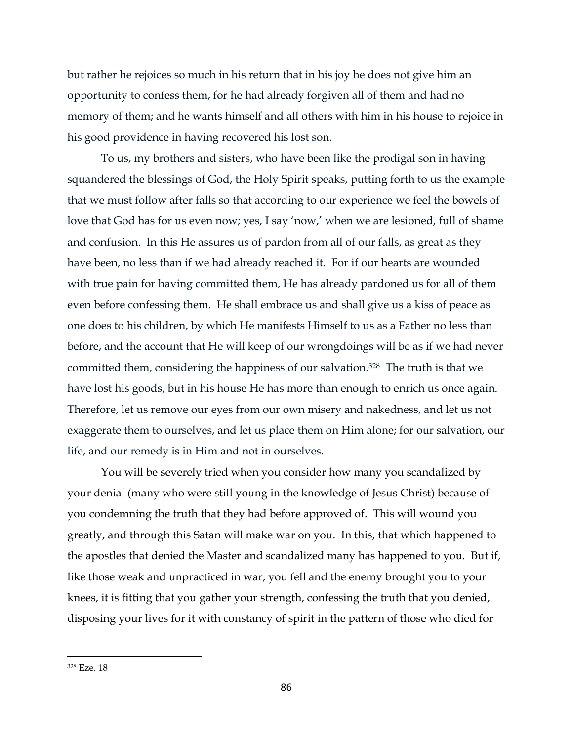but rather he rejoices so much in his return that in his joy he does not give him an opportunity to confess them, for he had already forgiven all of them and had no memory of them; and he wants himself and all others with him in his house to rejoice in his good providence in having recovered his lost son.

To us, my brothers and sisters, who have been like the prodigal son in having squandered the blessings of God, the Holy Spirit speaks, putting forth to us the example that we must follow after falls so that according to our experience we feel the bowels of love that God has for us even now; yes, I say 'now,' when we are lesioned, full of shame and confusion. In this He assures us of pardon from all of our falls, as great as they have been, no less than if we had already reached it. For if our hearts are wounded with true pain for having committed them, He has already pardoned us for all of them even before confessing them. He shall embrace us and shall give us a kiss of peace as one does to his children, by which He manifests Himself to us as a Father no less than before, and the account that He will keep of our wrongdoings will be as if we had never committed them, considering the happiness of our salvation.328 The truth is that we have lost his goods, but in his house He has more than enough to enrich us once again. Therefore, let us remove our eyes from our own misery and nakedness, and let us not exaggerate them to ourselves, and let us place them on Him alone; for our salvation, our life, and our remedy is in Him and not in ourselves.

You will be severely tried when you consider how many you scandalized by your denial (many who were still young in the knowledge of Jesus Christ) because of you condemning the truth that they had before approved of. This will wound you greatly, and through this Satan will make war on you. In this, that which happened to the apostles that denied the Master and scandalized many has happened to you. But if, like those weak and unpracticed in war, you fell and the enemy brought you to your knees, it is fitting that you gather your strength, confessing the truth that you denied, disposing your lives for it with constancy of spirit in the pattern of those who died for

<sup>328</sup> Eze. 18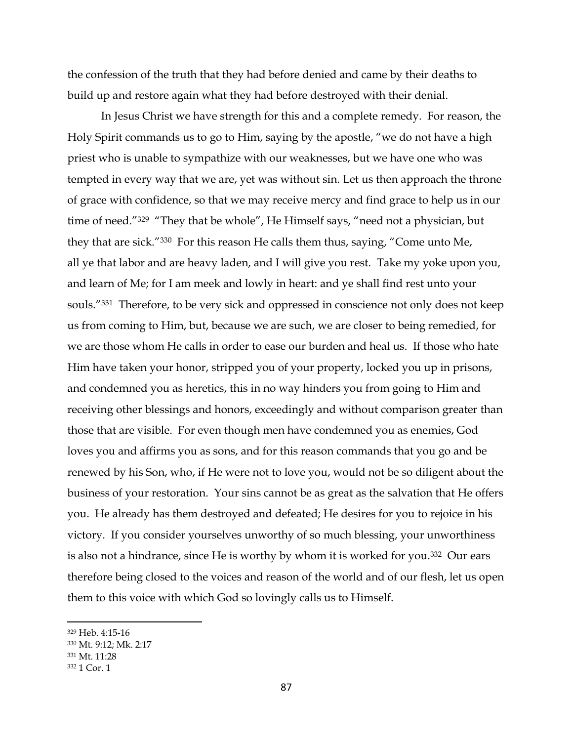the confession of the truth that they had before denied and came by their deaths to build up and restore again what they had before destroyed with their denial.

In Jesus Christ we have strength for this and a complete remedy. For reason, the Holy Spirit commands us to go to Him, saying by the apostle, "we do not have a high priest who is unable to sympathize with our weaknesses, but we have one who was tempted in every way that we are, yet was without sin. Let us then approach the throne of grace with confidence, so that we may receive mercy and find grace to help us in our time of need."<sup>329</sup> "They that be whole", He Himself says, "need not a physician, but they that are sick."330 For this reason He calls them thus, saying, "Come unto Me, all ye that labor and are heavy laden, and I will give you rest. Take my yoke upon you, and learn of Me; for I am meek and lowly in heart: and ye shall find rest unto your souls."331 Therefore, to be very sick and oppressed in conscience not only does not keep us from coming to Him, but, because we are such, we are closer to being remedied, for we are those whom He calls in order to ease our burden and heal us. If those who hate Him have taken your honor, stripped you of your property, locked you up in prisons, and condemned you as heretics, this in no way hinders you from going to Him and receiving other blessings and honors, exceedingly and without comparison greater than those that are visible. For even though men have condemned you as enemies, God loves you and affirms you as sons, and for this reason commands that you go and be renewed by his Son, who, if He were not to love you, would not be so diligent about the business of your restoration. Your sins cannot be as great as the salvation that He offers you. He already has them destroyed and defeated; He desires for you to rejoice in his victory. If you consider yourselves unworthy of so much blessing, your unworthiness is also not a hindrance, since He is worthy by whom it is worked for you.332 Our ears therefore being closed to the voices and reason of the world and of our flesh, let us open them to this voice with which God so lovingly calls us to Himself.

<sup>329</sup> Heb. 4:15-16

<sup>330</sup> Mt. 9:12; Mk. 2:17

<sup>331</sup> Mt. 11:28

<sup>332</sup> 1 Cor. 1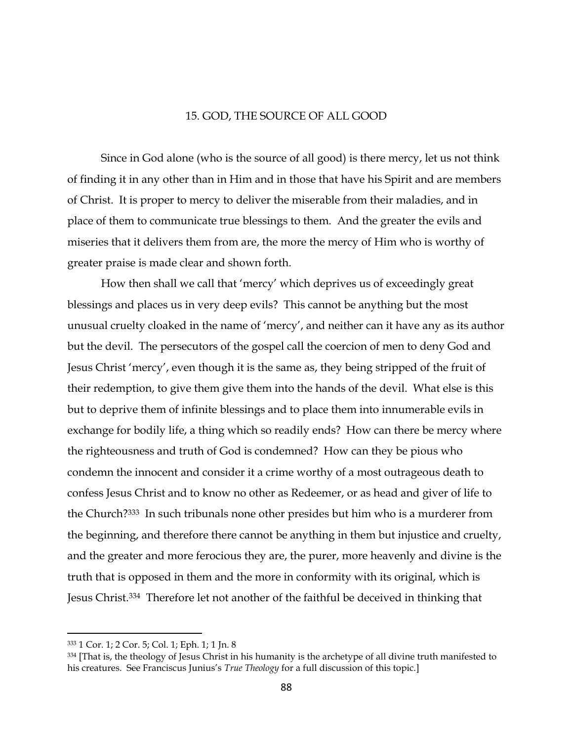### 15. GOD, THE SOURCE OF ALL GOOD

Since in God alone (who is the source of all good) is there mercy, let us not think of finding it in any other than in Him and in those that have his Spirit and are members of Christ. It is proper to mercy to deliver the miserable from their maladies, and in place of them to communicate true blessings to them. And the greater the evils and miseries that it delivers them from are, the more the mercy of Him who is worthy of greater praise is made clear and shown forth.

How then shall we call that 'mercy' which deprives us of exceedingly great blessings and places us in very deep evils? This cannot be anything but the most unusual cruelty cloaked in the name of 'mercy', and neither can it have any as its author but the devil. The persecutors of the gospel call the coercion of men to deny God and Jesus Christ 'mercy', even though it is the same as, they being stripped of the fruit of their redemption, to give them give them into the hands of the devil. What else is this but to deprive them of infinite blessings and to place them into innumerable evils in exchange for bodily life, a thing which so readily ends? How can there be mercy where the righteousness and truth of God is condemned? How can they be pious who condemn the innocent and consider it a crime worthy of a most outrageous death to confess Jesus Christ and to know no other as Redeemer, or as head and giver of life to the Church?333 In such tribunals none other presides but him who is a murderer from the beginning, and therefore there cannot be anything in them but injustice and cruelty, and the greater and more ferocious they are, the purer, more heavenly and divine is the truth that is opposed in them and the more in conformity with its original, which is Jesus Christ.334 Therefore let not another of the faithful be deceived in thinking that

<sup>333</sup> 1 Cor. 1; 2 Cor. 5; Col. 1; Eph. 1; 1 Jn. 8

<sup>334 [</sup>That is, the theology of Jesus Christ in his humanity is the archetype of all divine truth manifested to his creatures. See Franciscus Junius's *True Theology* for a full discussion of this topic.]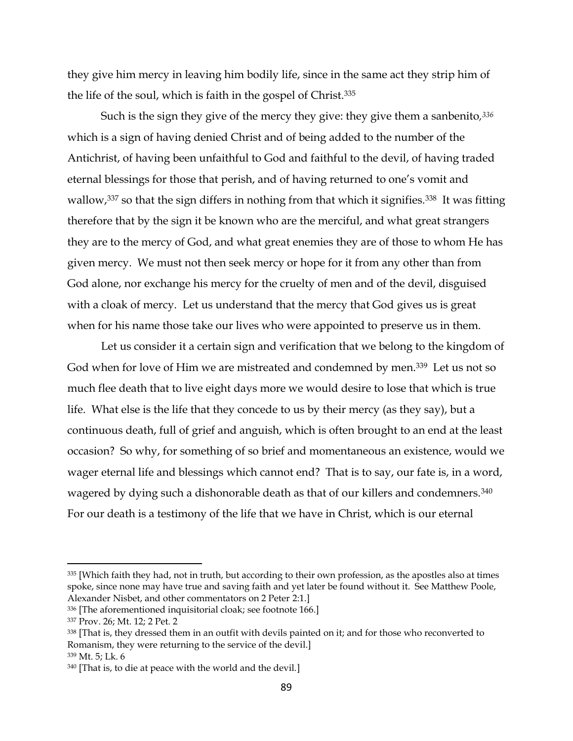they give him mercy in leaving him bodily life, since in the same act they strip him of the life of the soul, which is faith in the gospel of Christ.<sup>335</sup>

Such is the sign they give of the mercy they give: they give them a sanbenito*, 336* which is a sign of having denied Christ and of being added to the number of the Antichrist, of having been unfaithful to God and faithful to the devil, of having traded eternal blessings for those that perish, and of having returned to one's vomit and wallow,<sup>337</sup> so that the sign differs in nothing from that which it signifies.<sup>338</sup> It was fitting therefore that by the sign it be known who are the merciful, and what great strangers they are to the mercy of God, and what great enemies they are of those to whom He has given mercy. We must not then seek mercy or hope for it from any other than from God alone, nor exchange his mercy for the cruelty of men and of the devil, disguised with a cloak of mercy. Let us understand that the mercy that God gives us is great when for his name those take our lives who were appointed to preserve us in them.

Let us consider it a certain sign and verification that we belong to the kingdom of God when for love of Him we are mistreated and condemned by men.<sup>339</sup> Let us not so much flee death that to live eight days more we would desire to lose that which is true life. What else is the life that they concede to us by their mercy (as they say), but a continuous death, full of grief and anguish, which is often brought to an end at the least occasion? So why, for something of so brief and momentaneous an existence, would we wager eternal life and blessings which cannot end? That is to say, our fate is, in a word, wagered by dying such a dishonorable death as that of our killers and condemners.<sup>340</sup> For our death is a testimony of the life that we have in Christ, which is our eternal

<sup>&</sup>lt;sup>335</sup> [Which faith they had, not in truth, but according to their own profession, as the apostles also at times spoke, since none may have true and saving faith and yet later be found without it. See Matthew Poole, Alexander Nisbet, and other commentators on 2 Peter 2:1.]

<sup>336</sup> [The aforementioned inquisitorial cloak; see footnote 166.]

<sup>337</sup> Prov. 26; Mt. 12; 2 Pet. 2

<sup>338</sup> [That is, they dressed them in an outfit with devils painted on it; and for those who reconverted to Romanism, they were returning to the service of the devil.]

<sup>339</sup> Mt. 5; Lk. 6

<sup>340</sup> [That is, to die at peace with the world and the devil.]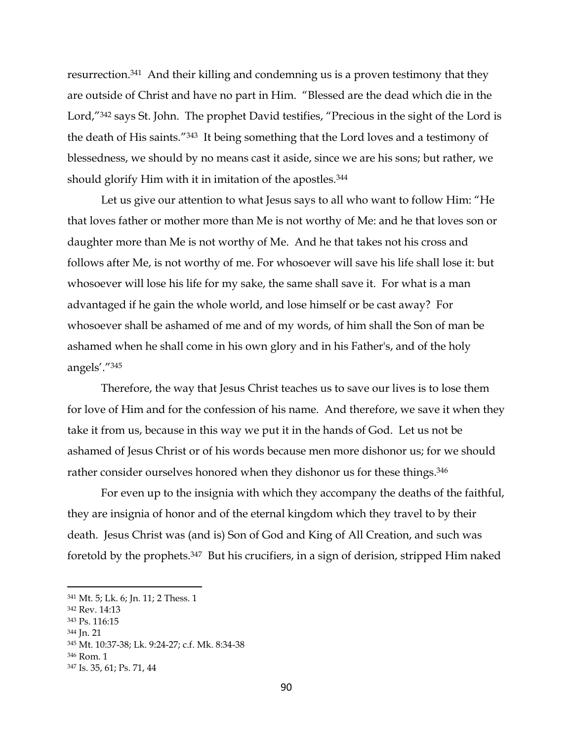resurrection.341 And their killing and condemning us is a proven testimony that they are outside of Christ and have no part in Him. "Blessed are the dead which die in the Lord,"<sup>342</sup> says St. John. The prophet David testifies, "Precious in the sight of the Lord is the death of His saints."343 It being something that the Lord loves and a testimony of blessedness, we should by no means cast it aside, since we are his sons; but rather, we should glorify Him with it in imitation of the apostles.<sup>344</sup>

Let us give our attention to what Jesus says to all who want to follow Him: "He that loves father or mother more than Me is not worthy of Me: and he that loves son or daughter more than Me is not worthy of Me. And he that takes not his cross and follows after Me, is not worthy of me. For whosoever will save his life shall lose it: but whosoever will lose his life for my sake, the same shall save it. For what is a man advantaged if he gain the whole world, and lose himself or be cast away? For whosoever shall be ashamed of me and of my words, of him shall the Son of man be ashamed when he shall come in his own glory and in his Father's, and of the holy angels'."<sup>345</sup>

Therefore, the way that Jesus Christ teaches us to save our lives is to lose them for love of Him and for the confession of his name. And therefore, we save it when they take it from us, because in this way we put it in the hands of God. Let us not be ashamed of Jesus Christ or of his words because men more dishonor us; for we should rather consider ourselves honored when they dishonor us for these things. 346

For even up to the insignia with which they accompany the deaths of the faithful, they are insignia of honor and of the eternal kingdom which they travel to by their death. Jesus Christ was (and is) Son of God and King of All Creation, and such was foretold by the prophets.347 But his crucifiers, in a sign of derision, stripped Him naked

<sup>344</sup> Jn. 21

 $\overline{a}$ 

<sup>346</sup> Rom. 1

<sup>341</sup> Mt. 5; Lk. 6; Jn. 11; 2 Thess. 1

<sup>342</sup> Rev. 14:13

<sup>343</sup> Ps. 116:15

<sup>345</sup> Mt. 10:37-38; Lk. 9:24-27; c.f. Mk. 8:34-38

<sup>347</sup> Is. 35, 61; Ps. 71, 44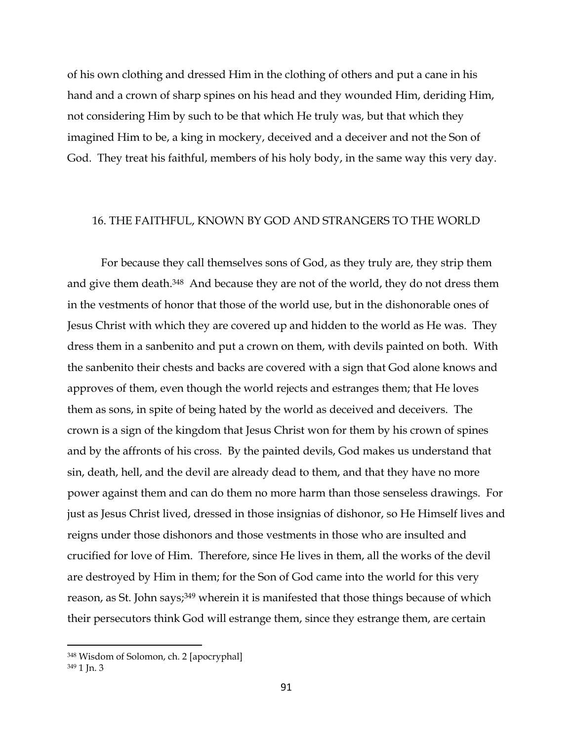of his own clothing and dressed Him in the clothing of others and put a cane in his hand and a crown of sharp spines on his head and they wounded Him, deriding Him, not considering Him by such to be that which He truly was, but that which they imagined Him to be, a king in mockery, deceived and a deceiver and not the Son of God. They treat his faithful, members of his holy body, in the same way this very day.

# 16. THE FAITHFUL, KNOWN BY GOD AND STRANGERS TO THE WORLD

For because they call themselves sons of God, as they truly are, they strip them and give them death.<sup>348</sup> And because they are not of the world, they do not dress them in the vestments of honor that those of the world use, but in the dishonorable ones of Jesus Christ with which they are covered up and hidden to the world as He was. They dress them in a sanbenito and put a crown on them, with devils painted on both. With the sanbenito their chests and backs are covered with a sign that God alone knows and approves of them, even though the world rejects and estranges them; that He loves them as sons, in spite of being hated by the world as deceived and deceivers. The crown is a sign of the kingdom that Jesus Christ won for them by his crown of spines and by the affronts of his cross. By the painted devils, God makes us understand that sin, death, hell, and the devil are already dead to them, and that they have no more power against them and can do them no more harm than those senseless drawings. For just as Jesus Christ lived, dressed in those insignias of dishonor, so He Himself lives and reigns under those dishonors and those vestments in those who are insulted and crucified for love of Him. Therefore, since He lives in them, all the works of the devil are destroyed by Him in them; for the Son of God came into the world for this very reason, as St. John says;<sup>349</sup> wherein it is manifested that those things because of which their persecutors think God will estrange them, since they estrange them, are certain

<sup>348</sup> Wisdom of Solomon, ch. 2 [apocryphal]

<sup>349</sup> 1 Jn. 3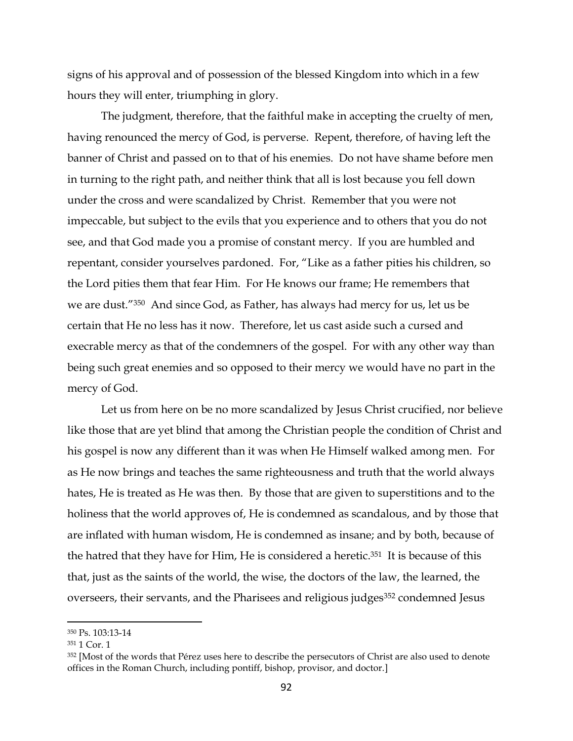signs of his approval and of possession of the blessed Kingdom into which in a few hours they will enter, triumphing in glory.

The judgment, therefore, that the faithful make in accepting the cruelty of men, having renounced the mercy of God, is perverse. Repent, therefore, of having left the banner of Christ and passed on to that of his enemies. Do not have shame before men in turning to the right path, and neither think that all is lost because you fell down under the cross and were scandalized by Christ. Remember that you were not impeccable, but subject to the evils that you experience and to others that you do not see, and that God made you a promise of constant mercy. If you are humbled and repentant, consider yourselves pardoned. For, "Like as a father pities his children, so the Lord pities them that fear Him. For He knows our frame; He remembers that we are dust."350 And since God, as Father, has always had mercy for us, let us be certain that He no less has it now. Therefore, let us cast aside such a cursed and execrable mercy as that of the condemners of the gospel. For with any other way than being such great enemies and so opposed to their mercy we would have no part in the mercy of God.

Let us from here on be no more scandalized by Jesus Christ crucified, nor believe like those that are yet blind that among the Christian people the condition of Christ and his gospel is now any different than it was when He Himself walked among men. For as He now brings and teaches the same righteousness and truth that the world always hates, He is treated as He was then. By those that are given to superstitions and to the holiness that the world approves of, He is condemned as scandalous, and by those that are inflated with human wisdom, He is condemned as insane; and by both, because of the hatred that they have for Him, He is considered a heretic.351 It is because of this that, just as the saints of the world, the wise, the doctors of the law, the learned, the overseers, their servants, and the Pharisees and religious judges<sup>352</sup> condemned Jesus

<sup>350</sup> Ps. 103:13-14

<sup>351</sup> 1 Cor. 1

<sup>&</sup>lt;sup>352</sup> [Most of the words that Pérez uses here to describe the persecutors of Christ are also used to denote offices in the Roman Church, including pontiff, bishop, provisor, and doctor.]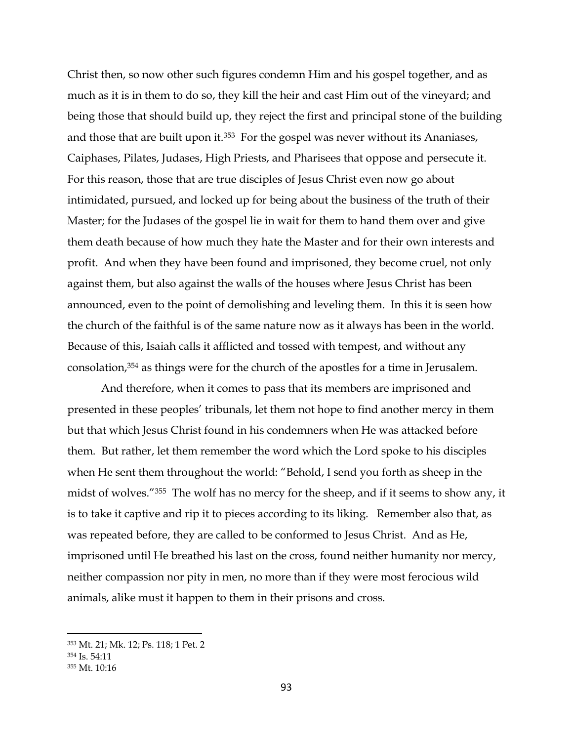Christ then, so now other such figures condemn Him and his gospel together, and as much as it is in them to do so, they kill the heir and cast Him out of the vineyard; and being those that should build up, they reject the first and principal stone of the building and those that are built upon it.<sup>353</sup> For the gospel was never without its Ananiases, Caiphases, Pilates, Judases, High Priests, and Pharisees that oppose and persecute it. For this reason, those that are true disciples of Jesus Christ even now go about intimidated, pursued, and locked up for being about the business of the truth of their Master; for the Judases of the gospel lie in wait for them to hand them over and give them death because of how much they hate the Master and for their own interests and profit. And when they have been found and imprisoned, they become cruel, not only against them, but also against the walls of the houses where Jesus Christ has been announced, even to the point of demolishing and leveling them. In this it is seen how the church of the faithful is of the same nature now as it always has been in the world. Because of this, Isaiah calls it afflicted and tossed with tempest, and without any consolation,<sup>354</sup> as things were for the church of the apostles for a time in Jerusalem.

And therefore, when it comes to pass that its members are imprisoned and presented in these peoples' tribunals, let them not hope to find another mercy in them but that which Jesus Christ found in his condemners when He was attacked before them. But rather, let them remember the word which the Lord spoke to his disciples when He sent them throughout the world: "Behold, I send you forth as sheep in the midst of wolves."355 The wolf has no mercy for the sheep, and if it seems to show any, it is to take it captive and rip it to pieces according to its liking. Remember also that, as was repeated before, they are called to be conformed to Jesus Christ. And as He, imprisoned until He breathed his last on the cross, found neither humanity nor mercy, neither compassion nor pity in men, no more than if they were most ferocious wild animals, alike must it happen to them in their prisons and cross.

<sup>353</sup> Mt. 21; Mk. 12; Ps. 118; 1 Pet. 2

<sup>354</sup> Is. 54:11

<sup>355</sup> Mt. 10:16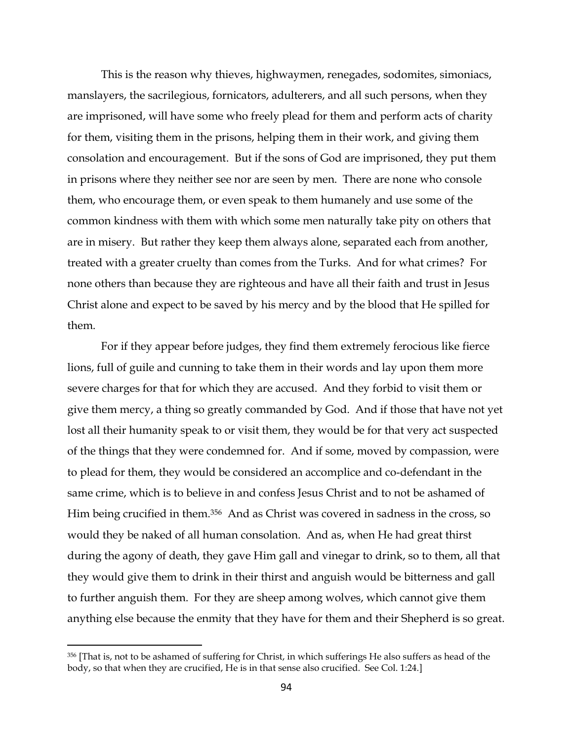This is the reason why thieves, highwaymen, renegades, sodomites, simoniacs, manslayers, the sacrilegious, fornicators, adulterers, and all such persons, when they are imprisoned, will have some who freely plead for them and perform acts of charity for them, visiting them in the prisons, helping them in their work, and giving them consolation and encouragement. But if the sons of God are imprisoned, they put them in prisons where they neither see nor are seen by men. There are none who console them, who encourage them, or even speak to them humanely and use some of the common kindness with them with which some men naturally take pity on others that are in misery. But rather they keep them always alone, separated each from another, treated with a greater cruelty than comes from the Turks. And for what crimes? For none others than because they are righteous and have all their faith and trust in Jesus Christ alone and expect to be saved by his mercy and by the blood that He spilled for them.

For if they appear before judges, they find them extremely ferocious like fierce lions, full of guile and cunning to take them in their words and lay upon them more severe charges for that for which they are accused. And they forbid to visit them or give them mercy, a thing so greatly commanded by God. And if those that have not yet lost all their humanity speak to or visit them, they would be for that very act suspected of the things that they were condemned for. And if some, moved by compassion, were to plead for them, they would be considered an accomplice and co-defendant in the same crime, which is to believe in and confess Jesus Christ and to not be ashamed of Him being crucified in them.356 And as Christ was covered in sadness in the cross, so would they be naked of all human consolation. And as, when He had great thirst during the agony of death, they gave Him gall and vinegar to drink, so to them, all that they would give them to drink in their thirst and anguish would be bitterness and gall to further anguish them. For they are sheep among wolves, which cannot give them anything else because the enmity that they have for them and their Shepherd is so great.

<sup>356</sup> [That is, not to be ashamed of suffering for Christ, in which sufferings He also suffers as head of the body, so that when they are crucified, He is in that sense also crucified. See Col. 1:24.]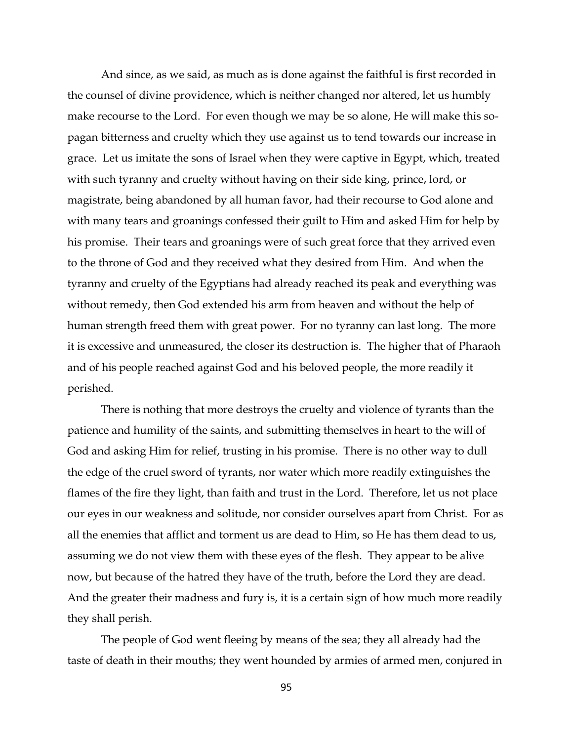And since, as we said, as much as is done against the faithful is first recorded in the counsel of divine providence, which is neither changed nor altered, let us humbly make recourse to the Lord. For even though we may be so alone, He will make this sopagan bitterness and cruelty which they use against us to tend towards our increase in grace. Let us imitate the sons of Israel when they were captive in Egypt, which, treated with such tyranny and cruelty without having on their side king, prince, lord, or magistrate, being abandoned by all human favor, had their recourse to God alone and with many tears and groanings confessed their guilt to Him and asked Him for help by his promise. Their tears and groanings were of such great force that they arrived even to the throne of God and they received what they desired from Him. And when the tyranny and cruelty of the Egyptians had already reached its peak and everything was without remedy, then God extended his arm from heaven and without the help of human strength freed them with great power. For no tyranny can last long. The more it is excessive and unmeasured, the closer its destruction is. The higher that of Pharaoh and of his people reached against God and his beloved people, the more readily it perished.

There is nothing that more destroys the cruelty and violence of tyrants than the patience and humility of the saints, and submitting themselves in heart to the will of God and asking Him for relief, trusting in his promise. There is no other way to dull the edge of the cruel sword of tyrants, nor water which more readily extinguishes the flames of the fire they light, than faith and trust in the Lord. Therefore, let us not place our eyes in our weakness and solitude, nor consider ourselves apart from Christ. For as all the enemies that afflict and torment us are dead to Him, so He has them dead to us, assuming we do not view them with these eyes of the flesh. They appear to be alive now, but because of the hatred they have of the truth, before the Lord they are dead. And the greater their madness and fury is, it is a certain sign of how much more readily they shall perish.

The people of God went fleeing by means of the sea; they all already had the taste of death in their mouths; they went hounded by armies of armed men, conjured in

95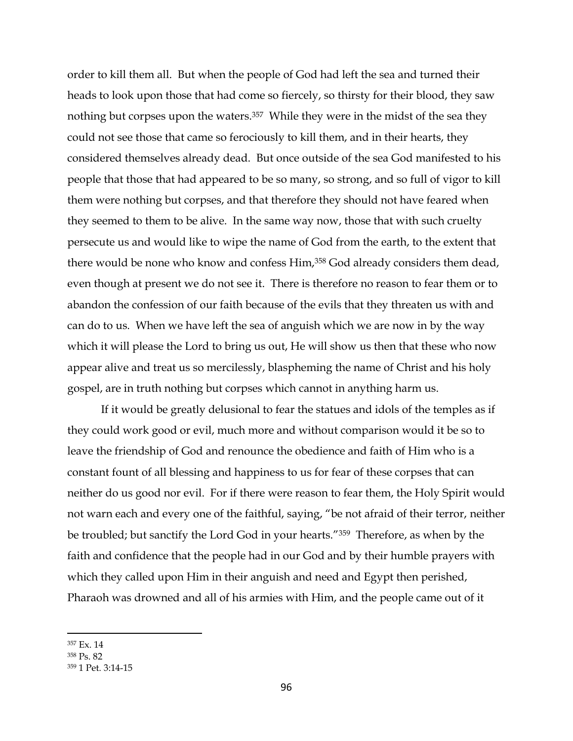order to kill them all. But when the people of God had left the sea and turned their heads to look upon those that had come so fiercely, so thirsty for their blood, they saw nothing but corpses upon the waters.<sup>357</sup> While they were in the midst of the sea they could not see those that came so ferociously to kill them, and in their hearts, they considered themselves already dead. But once outside of the sea God manifested to his people that those that had appeared to be so many, so strong, and so full of vigor to kill them were nothing but corpses, and that therefore they should not have feared when they seemed to them to be alive. In the same way now, those that with such cruelty persecute us and would like to wipe the name of God from the earth, to the extent that there would be none who know and confess Him,<sup>358</sup> God already considers them dead, even though at present we do not see it. There is therefore no reason to fear them or to abandon the confession of our faith because of the evils that they threaten us with and can do to us. When we have left the sea of anguish which we are now in by the way which it will please the Lord to bring us out, He will show us then that these who now appear alive and treat us so mercilessly, blaspheming the name of Christ and his holy gospel, are in truth nothing but corpses which cannot in anything harm us.

If it would be greatly delusional to fear the statues and idols of the temples as if they could work good or evil, much more and without comparison would it be so to leave the friendship of God and renounce the obedience and faith of Him who is a constant fount of all blessing and happiness to us for fear of these corpses that can neither do us good nor evil. For if there were reason to fear them, the Holy Spirit would not warn each and every one of the faithful, saying, "be not afraid of their terror, neither be troubled; but sanctify the Lord God in your hearts."359 Therefore, as when by the faith and confidence that the people had in our God and by their humble prayers with which they called upon Him in their anguish and need and Egypt then perished, Pharaoh was drowned and all of his armies with Him, and the people came out of it

<sup>357</sup> Ex. 14

<sup>358</sup> Ps. 82

<sup>359</sup> 1 Pet. 3:14-15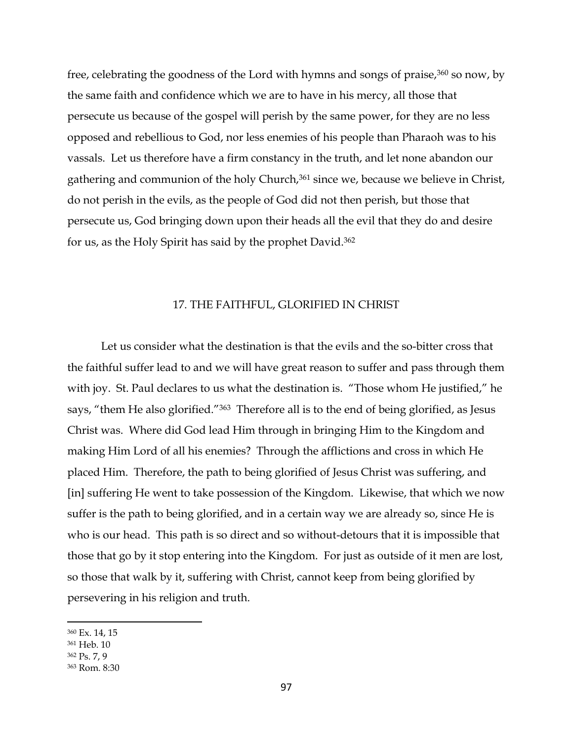free, celebrating the goodness of the Lord with hymns and songs of praise,<sup>360</sup> so now, by the same faith and confidence which we are to have in his mercy, all those that persecute us because of the gospel will perish by the same power, for they are no less opposed and rebellious to God, nor less enemies of his people than Pharaoh was to his vassals. Let us therefore have a firm constancy in the truth, and let none abandon our gathering and communion of the holy Church,<sup>361</sup> since we, because we believe in Christ, do not perish in the evils, as the people of God did not then perish, but those that persecute us, God bringing down upon their heads all the evil that they do and desire for us, as the Holy Spirit has said by the prophet David.<sup>362</sup>

# 17. THE FAITHFUL, GLORIFIED IN CHRIST

Let us consider what the destination is that the evils and the so-bitter cross that the faithful suffer lead to and we will have great reason to suffer and pass through them with joy. St. Paul declares to us what the destination is. "Those whom He justified," he says, "them He also glorified."<sup>363</sup> Therefore all is to the end of being glorified, as Jesus Christ was. Where did God lead Him through in bringing Him to the Kingdom and making Him Lord of all his enemies? Through the afflictions and cross in which He placed Him. Therefore, the path to being glorified of Jesus Christ was suffering, and [in] suffering He went to take possession of the Kingdom. Likewise, that which we now suffer is the path to being glorified, and in a certain way we are already so, since He is who is our head. This path is so direct and so without-detours that it is impossible that those that go by it stop entering into the Kingdom. For just as outside of it men are lost, so those that walk by it, suffering with Christ, cannot keep from being glorified by persevering in his religion and truth.

<sup>360</sup> Ex. 14, 15

<sup>361</sup> Heb. 10

<sup>362</sup> Ps. 7, 9

<sup>363</sup> Rom. 8:30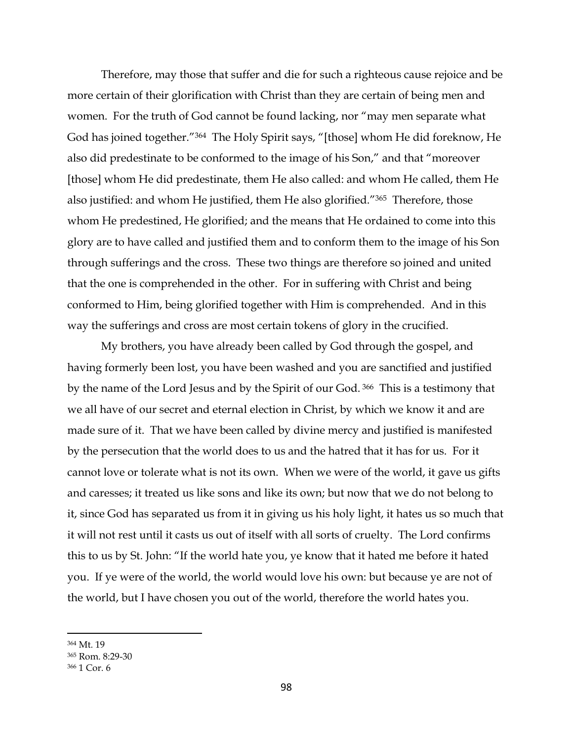Therefore, may those that suffer and die for such a righteous cause rejoice and be more certain of their glorification with Christ than they are certain of being men and women. For the truth of God cannot be found lacking, nor "may men separate what God has joined together."<sup>364</sup> The Holy Spirit says, "[those] whom He did foreknow, He also did predestinate to be conformed to the image of his Son," and that "moreover [those] whom He did predestinate, them He also called: and whom He called, them He also justified: and whom He justified, them He also glorified."<sup>365</sup> Therefore, those whom He predestined, He glorified; and the means that He ordained to come into this glory are to have called and justified them and to conform them to the image of his Son through sufferings and the cross. These two things are therefore so joined and united that the one is comprehended in the other. For in suffering with Christ and being conformed to Him, being glorified together with Him is comprehended. And in this way the sufferings and cross are most certain tokens of glory in the crucified.

My brothers, you have already been called by God through the gospel, and having formerly been lost, you have been washed and you are sanctified and justified by the name of the Lord Jesus and by the Spirit of our God. <sup>366</sup> This is a testimony that we all have of our secret and eternal election in Christ, by which we know it and are made sure of it. That we have been called by divine mercy and justified is manifested by the persecution that the world does to us and the hatred that it has for us. For it cannot love or tolerate what is not its own. When we were of the world, it gave us gifts and caresses; it treated us like sons and like its own; but now that we do not belong to it, since God has separated us from it in giving us his holy light, it hates us so much that it will not rest until it casts us out of itself with all sorts of cruelty. The Lord confirms this to us by St. John: "If the world hate you, ye know that it hated me before it hated you. If ye were of the world, the world would love his own: but because ye are not of the world, but I have chosen you out of the world, therefore the world hates you.

<sup>364</sup> Mt. 19

<sup>365</sup> Rom. 8:29-30

<sup>366</sup> 1 Cor. 6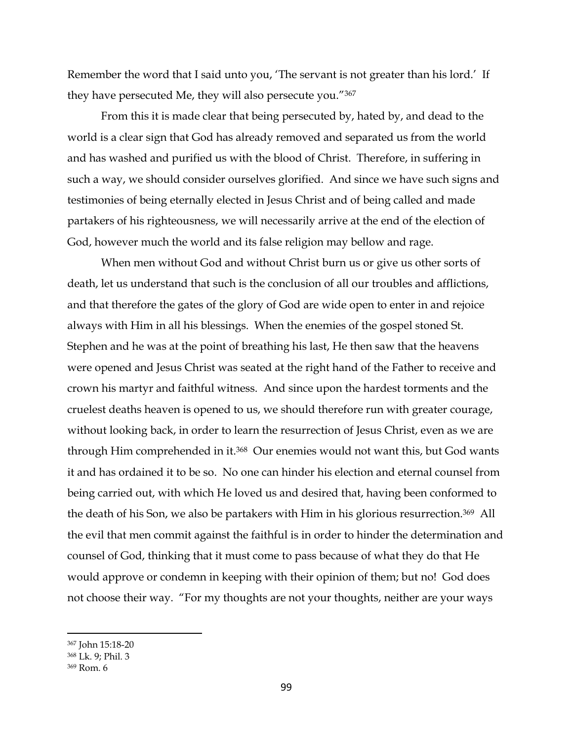Remember the word that I said unto you, 'The servant is not greater than his lord.' If they have persecuted Me, they will also persecute you."<sup>367</sup>

From this it is made clear that being persecuted by, hated by, and dead to the world is a clear sign that God has already removed and separated us from the world and has washed and purified us with the blood of Christ. Therefore, in suffering in such a way, we should consider ourselves glorified. And since we have such signs and testimonies of being eternally elected in Jesus Christ and of being called and made partakers of his righteousness, we will necessarily arrive at the end of the election of God, however much the world and its false religion may bellow and rage.

When men without God and without Christ burn us or give us other sorts of death, let us understand that such is the conclusion of all our troubles and afflictions, and that therefore the gates of the glory of God are wide open to enter in and rejoice always with Him in all his blessings. When the enemies of the gospel stoned St. Stephen and he was at the point of breathing his last, He then saw that the heavens were opened and Jesus Christ was seated at the right hand of the Father to receive and crown his martyr and faithful witness. And since upon the hardest torments and the cruelest deaths heaven is opened to us, we should therefore run with greater courage, without looking back, in order to learn the resurrection of Jesus Christ, even as we are through Him comprehended in it. <sup>368</sup> Our enemies would not want this, but God wants it and has ordained it to be so. No one can hinder his election and eternal counsel from being carried out, with which He loved us and desired that, having been conformed to the death of his Son, we also be partakers with Him in his glorious resurrection.369 All the evil that men commit against the faithful is in order to hinder the determination and counsel of God, thinking that it must come to pass because of what they do that He would approve or condemn in keeping with their opinion of them; but no! God does not choose their way. "For my thoughts are not your thoughts, neither are your ways

<sup>367</sup> John 15:18-20

<sup>368</sup> Lk. 9; Phil. 3

<sup>369</sup> Rom. 6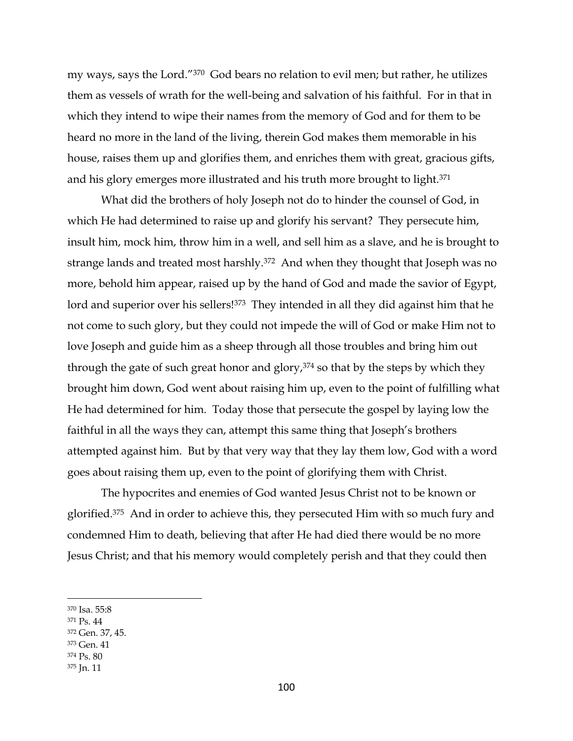my ways, says the Lord."370 God bears no relation to evil men; but rather, he utilizes them as vessels of wrath for the well-being and salvation of his faithful. For in that in which they intend to wipe their names from the memory of God and for them to be heard no more in the land of the living, therein God makes them memorable in his house, raises them up and glorifies them, and enriches them with great, gracious gifts, and his glory emerges more illustrated and his truth more brought to light.<sup>371</sup>

What did the brothers of holy Joseph not do to hinder the counsel of God, in which He had determined to raise up and glorify his servant? They persecute him, insult him, mock him, throw him in a well, and sell him as a slave, and he is brought to strange lands and treated most harshly.<sup>372</sup> And when they thought that Joseph was no more, behold him appear, raised up by the hand of God and made the savior of Egypt, lord and superior over his sellers!<sup>373</sup> They intended in all they did against him that he not come to such glory, but they could not impede the will of God or make Him not to love Joseph and guide him as a sheep through all those troubles and bring him out through the gate of such great honor and glory, $374$  so that by the steps by which they brought him down, God went about raising him up, even to the point of fulfilling what He had determined for him. Today those that persecute the gospel by laying low the faithful in all the ways they can, attempt this same thing that Joseph's brothers attempted against him. But by that very way that they lay them low, God with a word goes about raising them up, even to the point of glorifying them with Christ.

The hypocrites and enemies of God wanted Jesus Christ not to be known or glorified.375 And in order to achieve this, they persecuted Him with so much fury and condemned Him to death, believing that after He had died there would be no more Jesus Christ; and that his memory would completely perish and that they could then

- <sup>373</sup> Gen. 41
- <sup>374</sup> Ps. 80
- <sup>375</sup> Jn. 11

<sup>370</sup> Isa. 55:8

<sup>371</sup> Ps. 44

<sup>372</sup> Gen. 37, 45.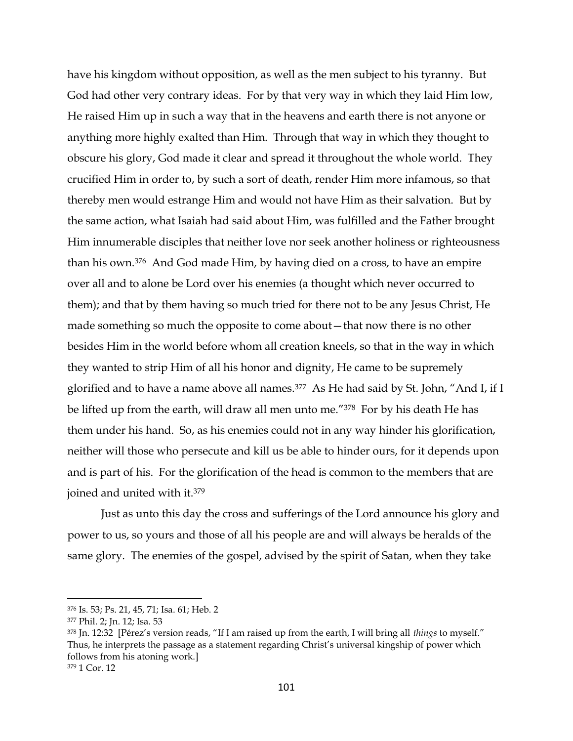have his kingdom without opposition, as well as the men subject to his tyranny. But God had other very contrary ideas. For by that very way in which they laid Him low, He raised Him up in such a way that in the heavens and earth there is not anyone or anything more highly exalted than Him. Through that way in which they thought to obscure his glory, God made it clear and spread it throughout the whole world. They crucified Him in order to, by such a sort of death, render Him more infamous, so that thereby men would estrange Him and would not have Him as their salvation. But by the same action, what Isaiah had said about Him, was fulfilled and the Father brought Him innumerable disciples that neither love nor seek another holiness or righteousness than his own.376 And God made Him, by having died on a cross, to have an empire over all and to alone be Lord over his enemies (a thought which never occurred to them); and that by them having so much tried for there not to be any Jesus Christ, He made something so much the opposite to come about—that now there is no other besides Him in the world before whom all creation kneels, so that in the way in which they wanted to strip Him of all his honor and dignity, He came to be supremely glorified and to have a name above all names.377 As He had said by St. John, "And I, if I be lifted up from the earth, will draw all men unto me."378 For by his death He has them under his hand. So, as his enemies could not in any way hinder his glorification, neither will those who persecute and kill us be able to hinder ours, for it depends upon and is part of his. For the glorification of the head is common to the members that are joined and united with it.<sup>379</sup>

Just as unto this day the cross and sufferings of the Lord announce his glory and power to us, so yours and those of all his people are and will always be heralds of the same glory. The enemies of the gospel, advised by the spirit of Satan, when they take

<sup>376</sup> Is. 53; Ps. 21, 45, 71; Isa. 61; Heb. 2

<sup>377</sup> Phil. 2; Jn. 12; Isa. 53

<sup>378</sup> Jn. 12:32 [Pérez's version reads, "If I am raised up from the earth, I will bring all *things* to myself." Thus, he interprets the passage as a statement regarding Christ's universal kingship of power which follows from his atoning work.] <sup>379</sup> 1 Cor. 12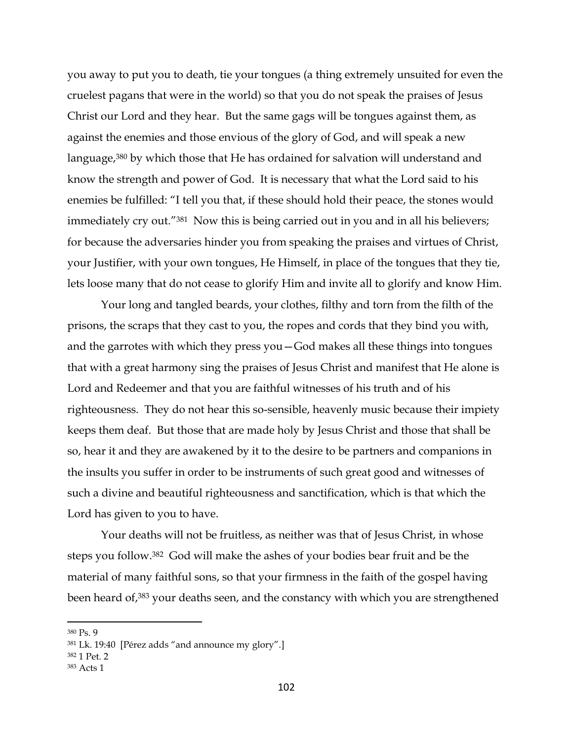you away to put you to death, tie your tongues (a thing extremely unsuited for even the cruelest pagans that were in the world) so that you do not speak the praises of Jesus Christ our Lord and they hear. But the same gags will be tongues against them, as against the enemies and those envious of the glory of God, and will speak a new language,<sup>380</sup> by which those that He has ordained for salvation will understand and know the strength and power of God. It is necessary that what the Lord said to his enemies be fulfilled: "I tell you that, if these should hold their peace, the stones would immediately cry out.<sup>"381</sup> Now this is being carried out in you and in all his believers; for because the adversaries hinder you from speaking the praises and virtues of Christ, your Justifier, with your own tongues, He Himself, in place of the tongues that they tie, lets loose many that do not cease to glorify Him and invite all to glorify and know Him.

Your long and tangled beards, your clothes, filthy and torn from the filth of the prisons, the scraps that they cast to you, the ropes and cords that they bind you with, and the garrotes with which they press you—God makes all these things into tongues that with a great harmony sing the praises of Jesus Christ and manifest that He alone is Lord and Redeemer and that you are faithful witnesses of his truth and of his righteousness. They do not hear this so-sensible, heavenly music because their impiety keeps them deaf. But those that are made holy by Jesus Christ and those that shall be so, hear it and they are awakened by it to the desire to be partners and companions in the insults you suffer in order to be instruments of such great good and witnesses of such a divine and beautiful righteousness and sanctification, which is that which the Lord has given to you to have.

Your deaths will not be fruitless, as neither was that of Jesus Christ, in whose steps you follow.382 God will make the ashes of your bodies bear fruit and be the material of many faithful sons, so that your firmness in the faith of the gospel having been heard of, <sup>383</sup> your deaths seen, and the constancy with which you are strengthened

 $\overline{a}$ 

<sup>382</sup> 1 Pet. 2

<sup>380</sup> Ps. 9

<sup>381</sup> Lk. 19:40 [Pérez adds "and announce my glory".]

<sup>383</sup> Acts 1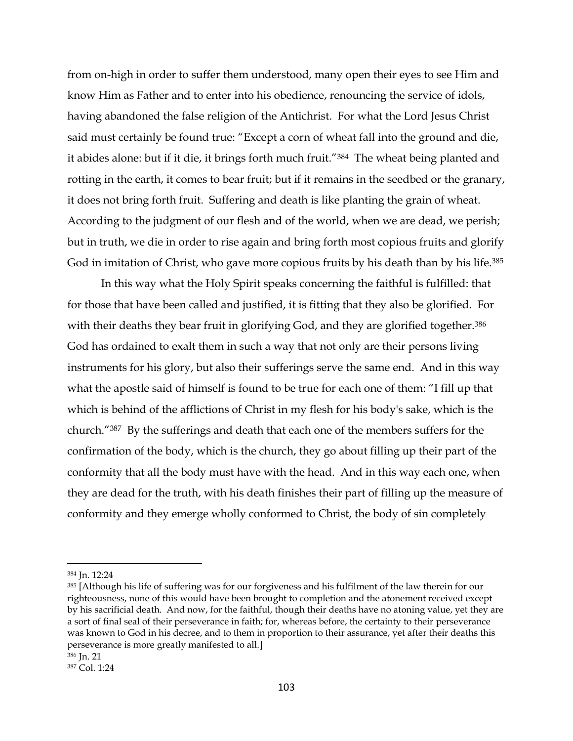from on-high in order to suffer them understood, many open their eyes to see Him and know Him as Father and to enter into his obedience, renouncing the service of idols, having abandoned the false religion of the Antichrist. For what the Lord Jesus Christ said must certainly be found true: "Except a corn of wheat fall into the ground and die, it abides alone: but if it die, it brings forth much fruit."384 The wheat being planted and rotting in the earth, it comes to bear fruit; but if it remains in the seedbed or the granary, it does not bring forth fruit. Suffering and death is like planting the grain of wheat. According to the judgment of our flesh and of the world, when we are dead, we perish; but in truth, we die in order to rise again and bring forth most copious fruits and glorify God in imitation of Christ, who gave more copious fruits by his death than by his life.<sup>385</sup>

In this way what the Holy Spirit speaks concerning the faithful is fulfilled: that for those that have been called and justified, it is fitting that they also be glorified. For with their deaths they bear fruit in glorifying God, and they are glorified together.<sup>386</sup> God has ordained to exalt them in such a way that not only are their persons living instruments for his glory, but also their sufferings serve the same end. And in this way what the apostle said of himself is found to be true for each one of them: "I fill up that which is behind of the afflictions of Christ in my flesh for his body's sake, which is the church."387 By the sufferings and death that each one of the members suffers for the confirmation of the body, which is the church, they go about filling up their part of the conformity that all the body must have with the head. And in this way each one, when they are dead for the truth, with his death finishes their part of filling up the measure of conformity and they emerge wholly conformed to Christ, the body of sin completely

<sup>384</sup> Jn. 12:24

<sup>385 [</sup>Although his life of suffering was for our forgiveness and his fulfilment of the law therein for our righteousness, none of this would have been brought to completion and the atonement received except by his sacrificial death. And now, for the faithful, though their deaths have no atoning value, yet they are a sort of final seal of their perseverance in faith; for, whereas before, the certainty to their perseverance was known to God in his decree, and to them in proportion to their assurance, yet after their deaths this perseverance is more greatly manifested to all.]

<sup>386</sup> Jn. 21

<sup>387</sup> Col. 1:24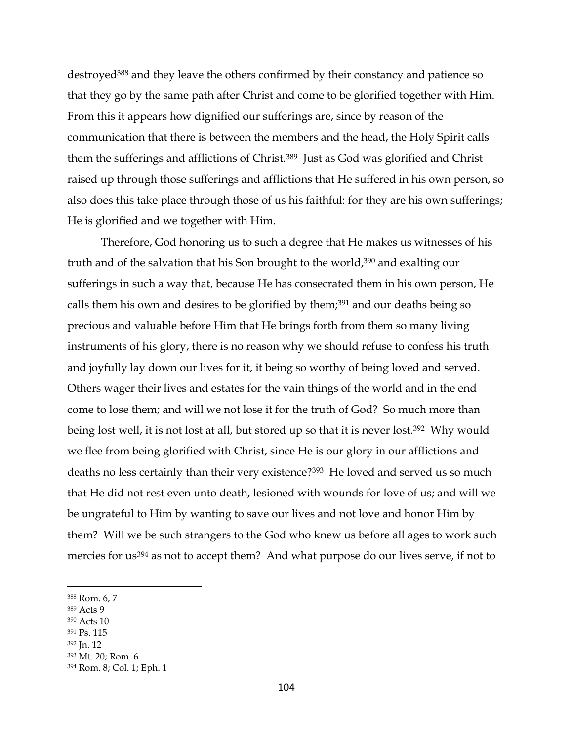destroyed<sup>388</sup> and they leave the others confirmed by their constancy and patience so that they go by the same path after Christ and come to be glorified together with Him. From this it appears how dignified our sufferings are, since by reason of the communication that there is between the members and the head, the Holy Spirit calls them the sufferings and afflictions of Christ.389 Just as God was glorified and Christ raised up through those sufferings and afflictions that He suffered in his own person, so also does this take place through those of us his faithful: for they are his own sufferings; He is glorified and we together with Him.

Therefore, God honoring us to such a degree that He makes us witnesses of his truth and of the salvation that his Son brought to the world, <sup>390</sup> and exalting our sufferings in such a way that, because He has consecrated them in his own person, He calls them his own and desires to be glorified by them;<sup>391</sup> and our deaths being so precious and valuable before Him that He brings forth from them so many living instruments of his glory, there is no reason why we should refuse to confess his truth and joyfully lay down our lives for it, it being so worthy of being loved and served. Others wager their lives and estates for the vain things of the world and in the end come to lose them; and will we not lose it for the truth of God? So much more than being lost well, it is not lost at all, but stored up so that it is never lost.<sup>392</sup> Why would we flee from being glorified with Christ, since He is our glory in our afflictions and deaths no less certainly than their very existence?<sup>393</sup> He loved and served us so much that He did not rest even unto death, lesioned with wounds for love of us; and will we be ungrateful to Him by wanting to save our lives and not love and honor Him by them? Will we be such strangers to the God who knew us before all ages to work such mercies for us<sup>394</sup> as not to accept them? And what purpose do our lives serve, if not to

<sup>389</sup> Acts 9

 $\overline{a}$ 

- <sup>390</sup> Acts 10
- <sup>391</sup> Ps. 115

<sup>393</sup> Mt. 20; Rom. 6

<sup>388</sup> Rom. 6, 7

<sup>392</sup> Jn. 12

<sup>394</sup> Rom. 8; Col. 1; Eph. 1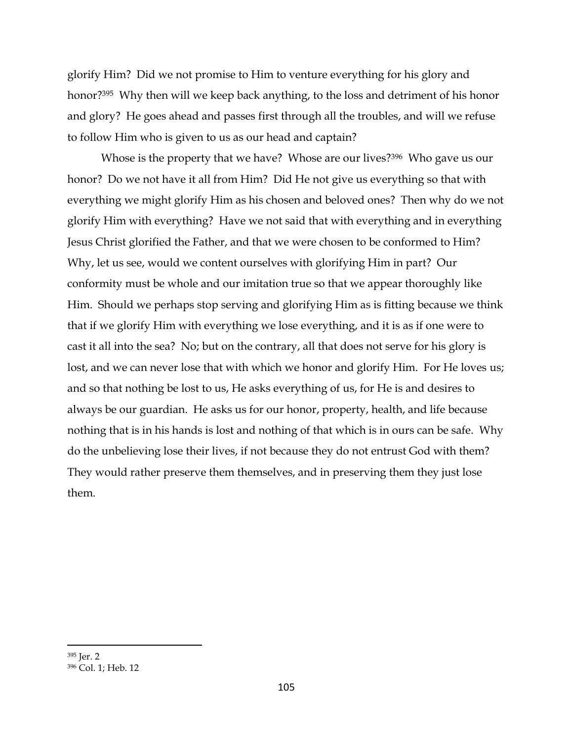glorify Him? Did we not promise to Him to venture everything for his glory and honor?395 Why then will we keep back anything, to the loss and detriment of his honor and glory? He goes ahead and passes first through all the troubles, and will we refuse to follow Him who is given to us as our head and captain?

Whose is the property that we have? Whose are our lives?<sup>396</sup> Who gave us our honor? Do we not have it all from Him? Did He not give us everything so that with everything we might glorify Him as his chosen and beloved ones? Then why do we not glorify Him with everything? Have we not said that with everything and in everything Jesus Christ glorified the Father, and that we were chosen to be conformed to Him? Why, let us see, would we content ourselves with glorifying Him in part? Our conformity must be whole and our imitation true so that we appear thoroughly like Him. Should we perhaps stop serving and glorifying Him as is fitting because we think that if we glorify Him with everything we lose everything, and it is as if one were to cast it all into the sea? No; but on the contrary, all that does not serve for his glory is lost, and we can never lose that with which we honor and glorify Him. For He loves us; and so that nothing be lost to us, He asks everything of us, for He is and desires to always be our guardian. He asks us for our honor, property, health, and life because nothing that is in his hands is lost and nothing of that which is in ours can be safe. Why do the unbelieving lose their lives, if not because they do not entrust God with them? They would rather preserve them themselves, and in preserving them they just lose them.

<sup>395</sup> Jer. 2

<sup>396</sup> Col. 1; Heb. 12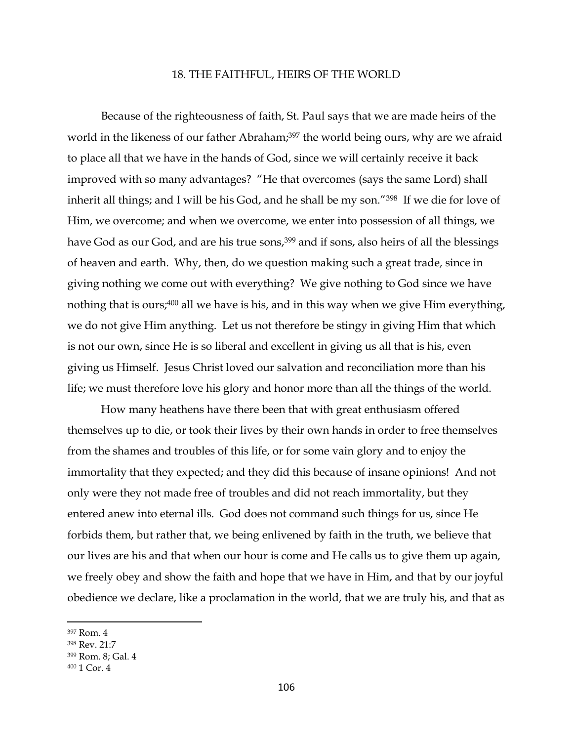## 18. THE FAITHFUL, HEIRS OF THE WORLD

Because of the righteousness of faith, St. Paul says that we are made heirs of the world in the likeness of our father Abraham; <sup>397</sup> the world being ours, why are we afraid to place all that we have in the hands of God, since we will certainly receive it back improved with so many advantages? "He that overcomes (says the same Lord) shall inherit all things; and I will be his God, and he shall be my son."<sup>398</sup> If we die for love of Him, we overcome; and when we overcome, we enter into possession of all things, we have God as our God, and are his true sons,<sup>399</sup> and if sons, also heirs of all the blessings of heaven and earth. Why, then, do we question making such a great trade, since in giving nothing we come out with everything? We give nothing to God since we have nothing that is ours;<sup>400</sup> all we have is his, and in this way when we give Him everything, we do not give Him anything. Let us not therefore be stingy in giving Him that which is not our own, since He is so liberal and excellent in giving us all that is his, even giving us Himself. Jesus Christ loved our salvation and reconciliation more than his life; we must therefore love his glory and honor more than all the things of the world.

How many heathens have there been that with great enthusiasm offered themselves up to die, or took their lives by their own hands in order to free themselves from the shames and troubles of this life, or for some vain glory and to enjoy the immortality that they expected; and they did this because of insane opinions! And not only were they not made free of troubles and did not reach immortality, but they entered anew into eternal ills. God does not command such things for us, since He forbids them, but rather that, we being enlivened by faith in the truth, we believe that our lives are his and that when our hour is come and He calls us to give them up again, we freely obey and show the faith and hope that we have in Him, and that by our joyful obedience we declare, like a proclamation in the world, that we are truly his, and that as

<sup>397</sup> Rom. 4

<sup>398</sup> Rev. 21:7

<sup>399</sup> Rom. 8; Gal. 4

<sup>400</sup> 1 Cor. 4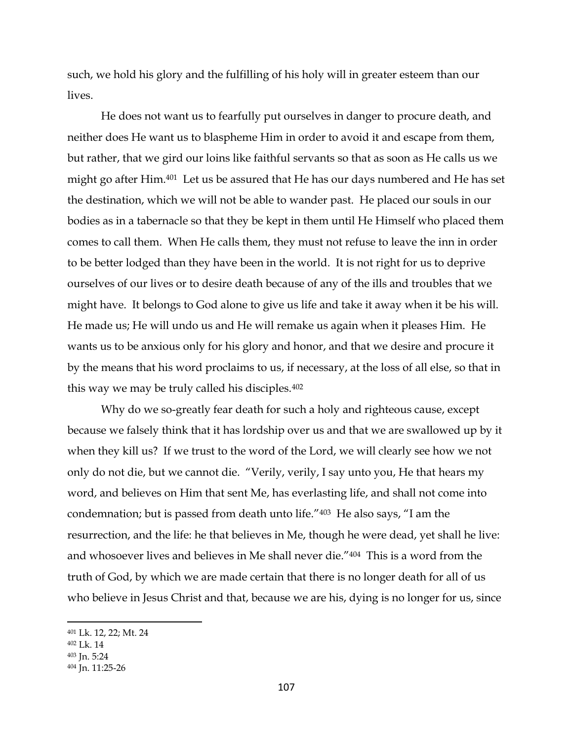such, we hold his glory and the fulfilling of his holy will in greater esteem than our lives.

He does not want us to fearfully put ourselves in danger to procure death, and neither does He want us to blaspheme Him in order to avoid it and escape from them, but rather, that we gird our loins like faithful servants so that as soon as He calls us we might go after Him.401 Let us be assured that He has our days numbered and He has set the destination, which we will not be able to wander past. He placed our souls in our bodies as in a tabernacle so that they be kept in them until He Himself who placed them comes to call them. When He calls them, they must not refuse to leave the inn in order to be better lodged than they have been in the world. It is not right for us to deprive ourselves of our lives or to desire death because of any of the ills and troubles that we might have. It belongs to God alone to give us life and take it away when it be his will. He made us; He will undo us and He will remake us again when it pleases Him. He wants us to be anxious only for his glory and honor, and that we desire and procure it by the means that his word proclaims to us, if necessary, at the loss of all else, so that in this way we may be truly called his disciples.<sup>402</sup>

Why do we so-greatly fear death for such a holy and righteous cause, except because we falsely think that it has lordship over us and that we are swallowed up by it when they kill us? If we trust to the word of the Lord, we will clearly see how we not only do not die, but we cannot die. "Verily, verily, I say unto you, He that hears my word, and believes on Him that sent Me, has everlasting life, and shall not come into condemnation; but is passed from death unto life."403 He also says, "I am the resurrection, and the life: he that believes in Me, though he were dead, yet shall he live: and whosoever lives and believes in Me shall never die."404 This is a word from the truth of God, by which we are made certain that there is no longer death for all of us who believe in Jesus Christ and that, because we are his, dying is no longer for us, since

<sup>401</sup> Lk. 12, 22; Mt. 24

<sup>402</sup> Lk. 14

<sup>403</sup> Jn. 5:24

<sup>404</sup> Jn. 11:25-26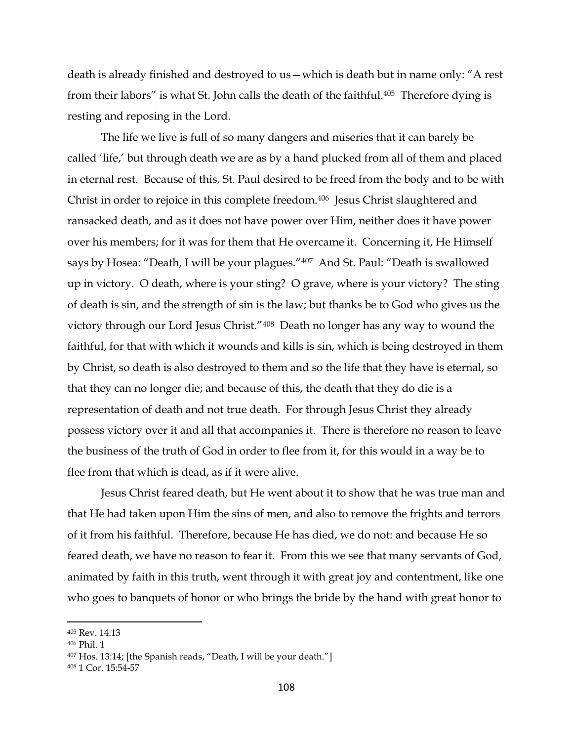death is already finished and destroyed to us—which is death but in name only: "A rest from their labors" is what St. John calls the death of the faithful.405 Therefore dying is resting and reposing in the Lord.

The life we live is full of so many dangers and miseries that it can barely be called 'life,' but through death we are as by a hand plucked from all of them and placed in eternal rest. Because of this, St. Paul desired to be freed from the body and to be with Christ in order to rejoice in this complete freedom. 406 Jesus Christ slaughtered and ransacked death, and as it does not have power over Him, neither does it have power over his members; for it was for them that He overcame it. Concerning it, He Himself says by Hosea: "Death, I will be your plagues."<sup>407</sup> And St. Paul: "Death is swallowed up in victory. O death, where is your sting? O grave, where is your victory? The sting of death is sin, and the strength of sin is the law; but thanks be to God who gives us the victory through our Lord Jesus Christ."408 Death no longer has any way to wound the faithful, for that with which it wounds and kills is sin, which is being destroyed in them by Christ, so death is also destroyed to them and so the life that they have is eternal, so that they can no longer die; and because of this, the death that they do die is a representation of death and not true death. For through Jesus Christ they already possess victory over it and all that accompanies it. There is therefore no reason to leave the business of the truth of God in order to flee from it, for this would in a way be to flee from that which is dead, as if it were alive.

Jesus Christ feared death, but He went about it to show that he was true man and that He had taken upon Him the sins of men, and also to remove the frights and terrors of it from his faithful. Therefore, because He has died, we do not: and because He so feared death, we have no reason to fear it. From this we see that many servants of God, animated by faith in this truth, went through it with great joy and contentment, like one who goes to banquets of honor or who brings the bride by the hand with great honor to

<sup>405</sup> Rev. 14:13

<sup>406</sup> Phil. 1

<sup>407</sup> Hos. 13:14; [the Spanish reads, "Death, I will be your death."]

<sup>408</sup> 1 Cor. 15:54-57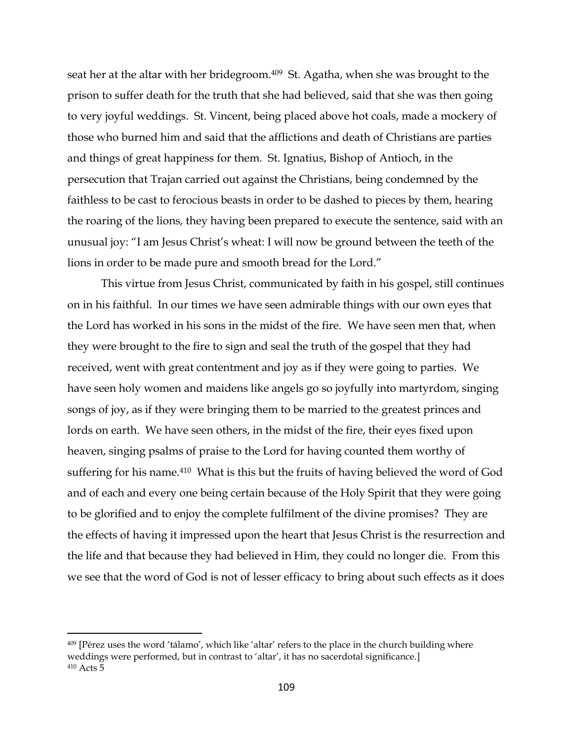seat her at the altar with her bridegroom. <sup>409</sup> St. Agatha, when she was brought to the prison to suffer death for the truth that she had believed, said that she was then going to very joyful weddings. St. Vincent, being placed above hot coals, made a mockery of those who burned him and said that the afflictions and death of Christians are parties and things of great happiness for them. St. Ignatius, Bishop of Antioch, in the persecution that Trajan carried out against the Christians, being condemned by the faithless to be cast to ferocious beasts in order to be dashed to pieces by them, hearing the roaring of the lions, they having been prepared to execute the sentence, said with an unusual joy: "I am Jesus Christ's wheat: I will now be ground between the teeth of the lions in order to be made pure and smooth bread for the Lord."

This virtue from Jesus Christ, communicated by faith in his gospel, still continues on in his faithful. In our times we have seen admirable things with our own eyes that the Lord has worked in his sons in the midst of the fire. We have seen men that, when they were brought to the fire to sign and seal the truth of the gospel that they had received, went with great contentment and joy as if they were going to parties. We have seen holy women and maidens like angels go so joyfully into martyrdom, singing songs of joy, as if they were bringing them to be married to the greatest princes and lords on earth. We have seen others, in the midst of the fire, their eyes fixed upon heaven, singing psalms of praise to the Lord for having counted them worthy of suffering for his name.<sup>410</sup> What is this but the fruits of having believed the word of God and of each and every one being certain because of the Holy Spirit that they were going to be glorified and to enjoy the complete fulfilment of the divine promises? They are the effects of having it impressed upon the heart that Jesus Christ is the resurrection and the life and that because they had believed in Him, they could no longer die. From this we see that the word of God is not of lesser efficacy to bring about such effects as it does

<sup>409</sup> [Pérez uses the word 'tálamo', which like 'altar' refers to the place in the church building where weddings were performed, but in contrast to 'altar', it has no sacerdotal significance.] <sup>410</sup> Acts 5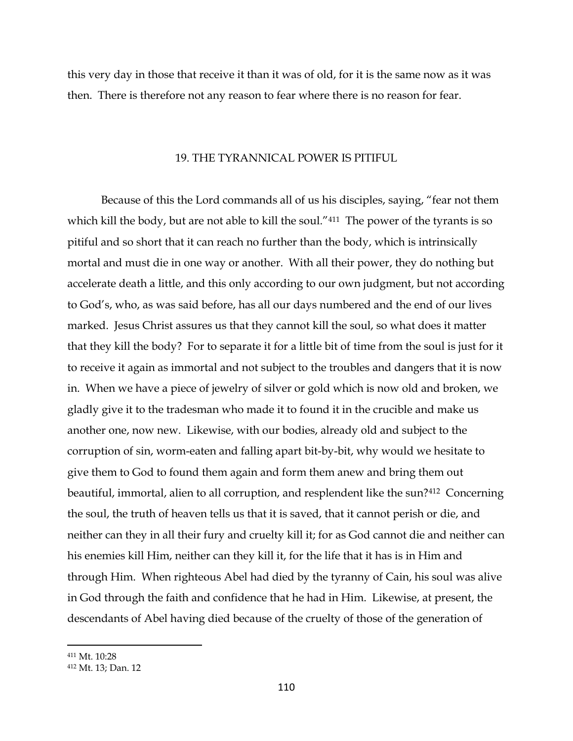this very day in those that receive it than it was of old, for it is the same now as it was then. There is therefore not any reason to fear where there is no reason for fear.

#### 19. THE TYRANNICAL POWER IS PITIFUL

Because of this the Lord commands all of us his disciples, saying, "fear not them which kill the body, but are not able to kill the soul."<sup>411</sup> The power of the tyrants is so pitiful and so short that it can reach no further than the body, which is intrinsically mortal and must die in one way or another. With all their power, they do nothing but accelerate death a little, and this only according to our own judgment, but not according to God's, who, as was said before, has all our days numbered and the end of our lives marked. Jesus Christ assures us that they cannot kill the soul, so what does it matter that they kill the body? For to separate it for a little bit of time from the soul is just for it to receive it again as immortal and not subject to the troubles and dangers that it is now in. When we have a piece of jewelry of silver or gold which is now old and broken, we gladly give it to the tradesman who made it to found it in the crucible and make us another one, now new. Likewise, with our bodies, already old and subject to the corruption of sin, worm-eaten and falling apart bit-by-bit, why would we hesitate to give them to God to found them again and form them anew and bring them out beautiful, immortal, alien to all corruption, and resplendent like the sun?<sup>412</sup> Concerning the soul, the truth of heaven tells us that it is saved, that it cannot perish or die, and neither can they in all their fury and cruelty kill it; for as God cannot die and neither can his enemies kill Him, neither can they kill it, for the life that it has is in Him and through Him. When righteous Abel had died by the tyranny of Cain, his soul was alive in God through the faith and confidence that he had in Him. Likewise, at present, the descendants of Abel having died because of the cruelty of those of the generation of

<sup>411</sup> Mt. 10:28

<sup>412</sup> Mt. 13; Dan. 12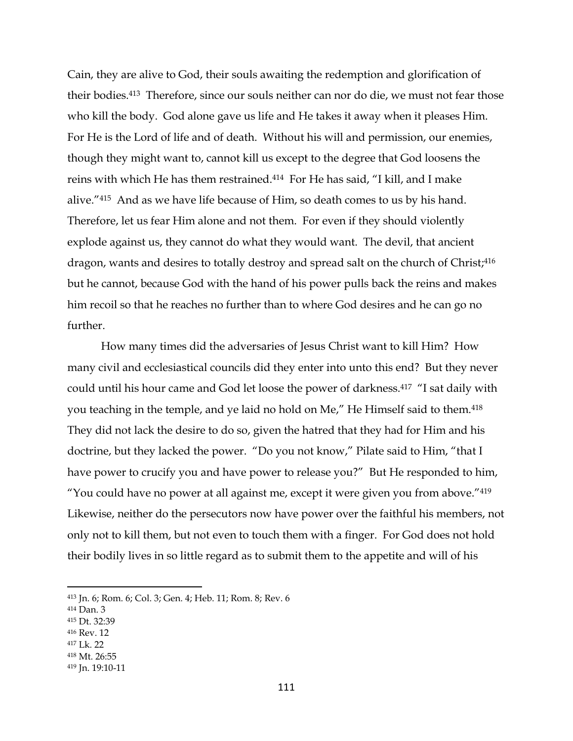Cain, they are alive to God, their souls awaiting the redemption and glorification of their bodies.413 Therefore, since our souls neither can nor do die, we must not fear those who kill the body. God alone gave us life and He takes it away when it pleases Him. For He is the Lord of life and of death. Without his will and permission, our enemies, though they might want to, cannot kill us except to the degree that God loosens the reins with which He has them restrained.414 For He has said, "I kill, and I make alive."<sup>415</sup> And as we have life because of Him, so death comes to us by his hand. Therefore, let us fear Him alone and not them. For even if they should violently explode against us, they cannot do what they would want. The devil, that ancient dragon, wants and desires to totally destroy and spread salt on the church of Christ; 416 but he cannot, because God with the hand of his power pulls back the reins and makes him recoil so that he reaches no further than to where God desires and he can go no further.

How many times did the adversaries of Jesus Christ want to kill Him? How many civil and ecclesiastical councils did they enter into unto this end? But they never could until his hour came and God let loose the power of darkness.<sup>417</sup> "I sat daily with you teaching in the temple, and ye laid no hold on Me," He Himself said to them.<sup>418</sup> They did not lack the desire to do so, given the hatred that they had for Him and his doctrine, but they lacked the power. "Do you not know," Pilate said to Him, "that I have power to crucify you and have power to release you?" But He responded to him, "You could have no power at all against me, except it were given you from above." $419$ Likewise, neither do the persecutors now have power over the faithful his members, not only not to kill them, but not even to touch them with a finger. For God does not hold their bodily lives in so little regard as to submit them to the appetite and will of his

 $\overline{a}$ 

<sup>416</sup> Rev. 12

<sup>418</sup> Mt. 26:55

<sup>413</sup> Jn. 6; Rom. 6; Col. 3; Gen. 4; Heb. 11; Rom. 8; Rev. 6

<sup>414</sup> Dan. 3

<sup>415</sup> Dt. 32:39

<sup>417</sup> Lk. 22

<sup>419</sup> Jn. 19:10-11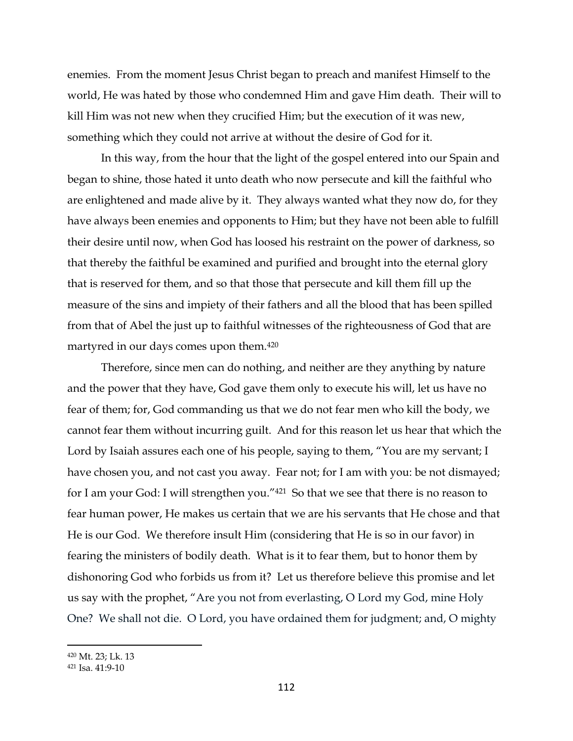enemies. From the moment Jesus Christ began to preach and manifest Himself to the world, He was hated by those who condemned Him and gave Him death. Their will to kill Him was not new when they crucified Him; but the execution of it was new, something which they could not arrive at without the desire of God for it.

In this way, from the hour that the light of the gospel entered into our Spain and began to shine, those hated it unto death who now persecute and kill the faithful who are enlightened and made alive by it. They always wanted what they now do, for they have always been enemies and opponents to Him; but they have not been able to fulfill their desire until now, when God has loosed his restraint on the power of darkness, so that thereby the faithful be examined and purified and brought into the eternal glory that is reserved for them, and so that those that persecute and kill them fill up the measure of the sins and impiety of their fathers and all the blood that has been spilled from that of Abel the just up to faithful witnesses of the righteousness of God that are martyred in our days comes upon them.<sup>420</sup>

Therefore, since men can do nothing, and neither are they anything by nature and the power that they have, God gave them only to execute his will, let us have no fear of them; for, God commanding us that we do not fear men who kill the body, we cannot fear them without incurring guilt. And for this reason let us hear that which the Lord by Isaiah assures each one of his people, saying to them, "You are my servant; I have chosen you, and not cast you away. Fear not; for I am with you: be not dismayed; for I am your God: I will strengthen you."421 So that we see that there is no reason to fear human power, He makes us certain that we are his servants that He chose and that He is our God. We therefore insult Him (considering that He is so in our favor) in fearing the ministers of bodily death. What is it to fear them, but to honor them by dishonoring God who forbids us from it? Let us therefore believe this promise and let us say with the prophet, "Are you not from everlasting, O Lord my God, mine Holy One? We shall not die. O Lord, you have ordained them for judgment; and, O mighty

<sup>420</sup> Mt. 23; Lk. 13

<sup>421</sup> Isa. 41:9-10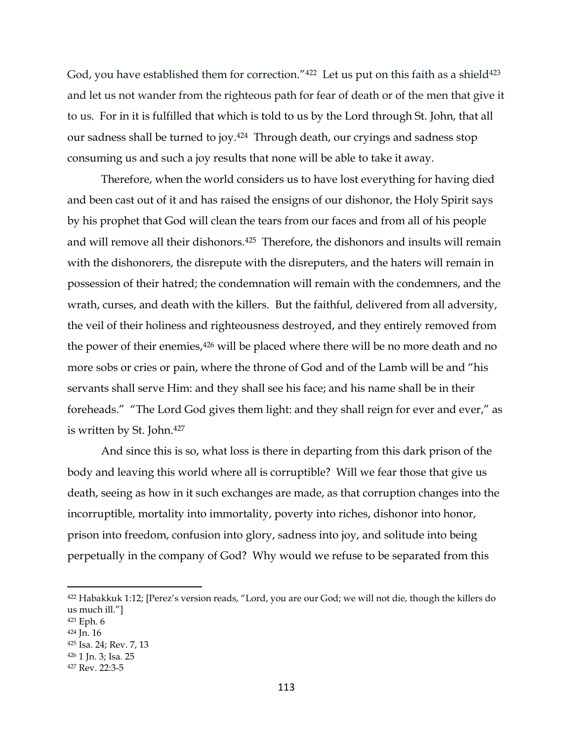God, you have established them for correction." $422$  Let us put on this faith as a shield $423$ and let us not wander from the righteous path for fear of death or of the men that give it to us. For in it is fulfilled that which is told to us by the Lord through St. John, that all our sadness shall be turned to joy.<sup>424</sup> Through death, our cryings and sadness stop consuming us and such a joy results that none will be able to take it away.

Therefore, when the world considers us to have lost everything for having died and been cast out of it and has raised the ensigns of our dishonor, the Holy Spirit says by his prophet that God will clean the tears from our faces and from all of his people and will remove all their dishonors.425 Therefore, the dishonors and insults will remain with the dishonorers, the disrepute with the disreputers, and the haters will remain in possession of their hatred; the condemnation will remain with the condemners, and the wrath, curses, and death with the killers. But the faithful, delivered from all adversity, the veil of their holiness and righteousness destroyed, and they entirely removed from the power of their enemies,<sup>426</sup> will be placed where there will be no more death and no more sobs or cries or pain, where the throne of God and of the Lamb will be and "his servants shall serve Him: and they shall see his face; and his name shall be in their foreheads." "The Lord God gives them light: and they shall reign for ever and ever," as is written by St. John.<sup>427</sup>

And since this is so, what loss is there in departing from this dark prison of the body and leaving this world where all is corruptible? Will we fear those that give us death, seeing as how in it such exchanges are made, as that corruption changes into the incorruptible, mortality into immortality, poverty into riches, dishonor into honor, prison into freedom, confusion into glory, sadness into joy, and solitude into being perpetually in the company of God? Why would we refuse to be separated from this

<sup>422</sup> Habakkuk 1:12; [Perez's version reads, "Lord, you are our God; we will not die, though the killers do us much ill."]

<sup>423</sup> Eph. 6

<sup>424</sup> Jn. 16

<sup>425</sup> Isa. 24; Rev. 7, 13

<sup>426</sup> 1 Jn. 3; Isa. 25

<sup>427</sup> Rev. 22:3-5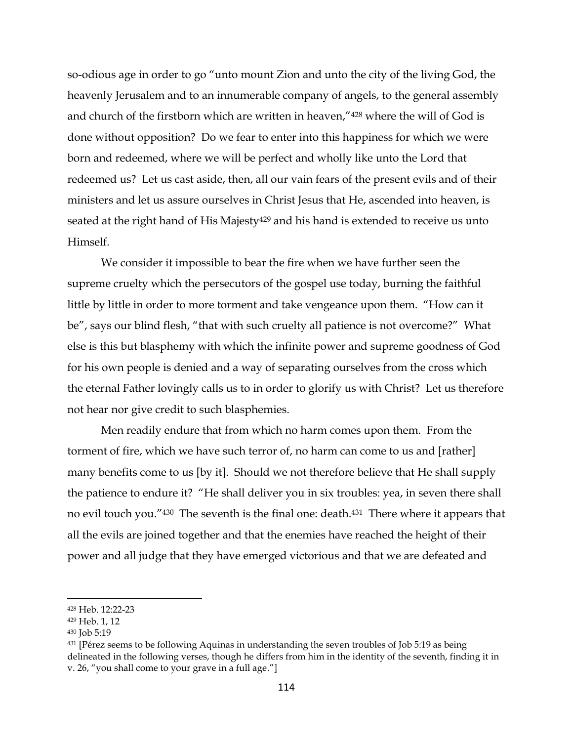so-odious age in order to go "unto mount Zion and unto the city of the living God, the heavenly Jerusalem and to an innumerable company of angels, to the general assembly and church of the firstborn which are written in heaven,"<sup>428</sup> where the will of God is done without opposition? Do we fear to enter into this happiness for which we were born and redeemed, where we will be perfect and wholly like unto the Lord that redeemed us? Let us cast aside, then, all our vain fears of the present evils and of their ministers and let us assure ourselves in Christ Jesus that He, ascended into heaven, is seated at the right hand of His Majesty<sup>429</sup> and his hand is extended to receive us unto Himself.

We consider it impossible to bear the fire when we have further seen the supreme cruelty which the persecutors of the gospel use today, burning the faithful little by little in order to more torment and take vengeance upon them. "How can it be", says our blind flesh, "that with such cruelty all patience is not overcome?" What else is this but blasphemy with which the infinite power and supreme goodness of God for his own people is denied and a way of separating ourselves from the cross which the eternal Father lovingly calls us to in order to glorify us with Christ? Let us therefore not hear nor give credit to such blasphemies.

Men readily endure that from which no harm comes upon them. From the torment of fire, which we have such terror of, no harm can come to us and [rather] many benefits come to us [by it]. Should we not therefore believe that He shall supply the patience to endure it? "He shall deliver you in six troubles: yea, in seven there shall no evil touch you."430 The seventh is the final one: death.<sup>431</sup> There where it appears that all the evils are joined together and that the enemies have reached the height of their power and all judge that they have emerged victorious and that we are defeated and

<sup>428</sup> Heb. 12:22-23

<sup>429</sup> Heb. 1, 12

<sup>430</sup> Job 5:19

<sup>431</sup> [Pérez seems to be following Aquinas in understanding the seven troubles of Job 5:19 as being delineated in the following verses, though he differs from him in the identity of the seventh, finding it in v. 26, "you shall come to your grave in a full age."]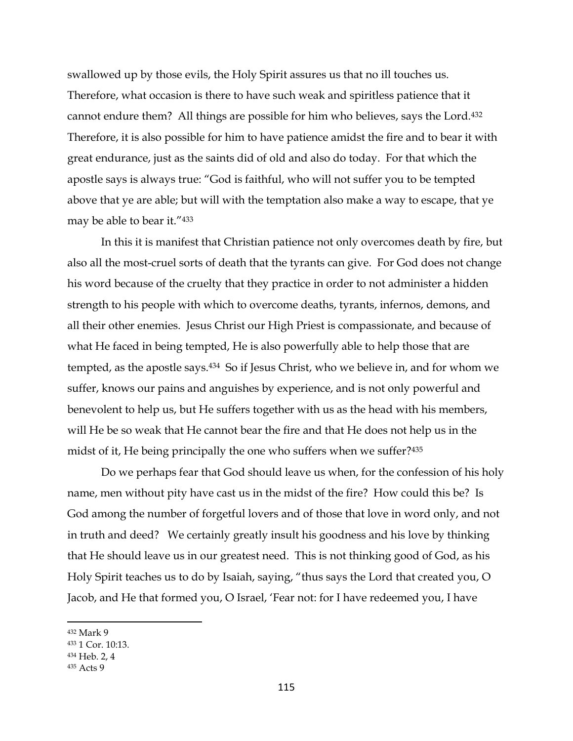swallowed up by those evils, the Holy Spirit assures us that no ill touches us. Therefore, what occasion is there to have such weak and spiritless patience that it cannot endure them? All things are possible for him who believes, says the Lord.<sup>432</sup> Therefore, it is also possible for him to have patience amidst the fire and to bear it with great endurance, just as the saints did of old and also do today. For that which the apostle says is always true: "God is faithful, who will not suffer you to be tempted above that ye are able; but will with the temptation also make a way to escape, that ye may be able to bear it."<sup>433</sup>

In this it is manifest that Christian patience not only overcomes death by fire, but also all the most-cruel sorts of death that the tyrants can give. For God does not change his word because of the cruelty that they practice in order to not administer a hidden strength to his people with which to overcome deaths, tyrants, infernos, demons, and all their other enemies. Jesus Christ our High Priest is compassionate, and because of what He faced in being tempted, He is also powerfully able to help those that are tempted, as the apostle says.434 So if Jesus Christ, who we believe in, and for whom we suffer, knows our pains and anguishes by experience, and is not only powerful and benevolent to help us, but He suffers together with us as the head with his members, will He be so weak that He cannot bear the fire and that He does not help us in the midst of it, He being principally the one who suffers when we suffer?<sup>435</sup>

Do we perhaps fear that God should leave us when, for the confession of his holy name, men without pity have cast us in the midst of the fire? How could this be? Is God among the number of forgetful lovers and of those that love in word only, and not in truth and deed? We certainly greatly insult his goodness and his love by thinking that He should leave us in our greatest need. This is not thinking good of God, as his Holy Spirit teaches us to do by Isaiah, saying, "thus says the Lord that created you, O Jacob, and He that formed you, O Israel, 'Fear not: for I have redeemed you, I have

<sup>432</sup> Mark 9

<sup>433</sup> 1 Cor. 10:13.

<sup>434</sup> Heb. 2, 4

<sup>435</sup> Acts 9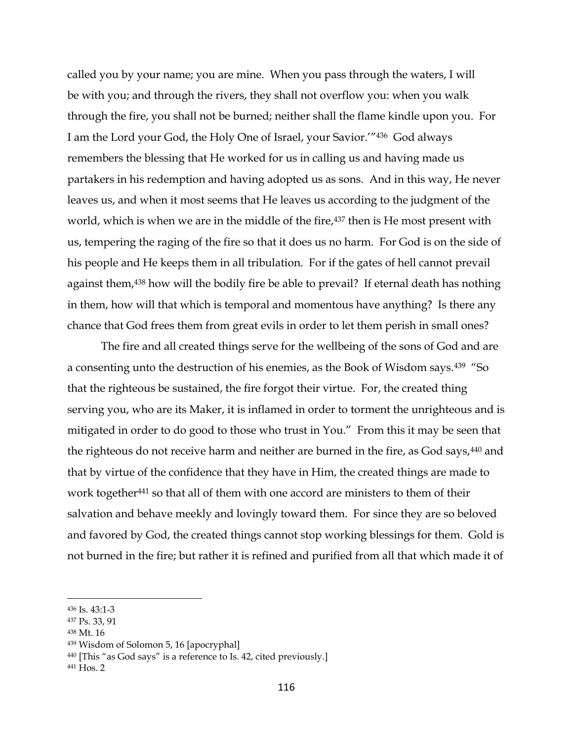called you by your name; you are mine. When you pass through the waters, I will be with you; and through the rivers, they shall not overflow you: when you walk through the fire, you shall not be burned; neither shall the flame kindle upon you. For I am the Lord your God, the Holy One of Israel, your Savior.'"436 God always remembers the blessing that He worked for us in calling us and having made us partakers in his redemption and having adopted us as sons. And in this way, He never leaves us, and when it most seems that He leaves us according to the judgment of the world, which is when we are in the middle of the fire,<sup>437</sup> then is He most present with us, tempering the raging of the fire so that it does us no harm. For God is on the side of his people and He keeps them in all tribulation. For if the gates of hell cannot prevail against them,<sup>438</sup> how will the bodily fire be able to prevail? If eternal death has nothing in them, how will that which is temporal and momentous have anything? Is there any chance that God frees them from great evils in order to let them perish in small ones?

The fire and all created things serve for the wellbeing of the sons of God and are a consenting unto the destruction of his enemies, as the Book of Wisdom says.<sup>439</sup> "So that the righteous be sustained, the fire forgot their virtue. For, the created thing serving you, who are its Maker, it is inflamed in order to torment the unrighteous and is mitigated in order to do good to those who trust in You." From this it may be seen that the righteous do not receive harm and neither are burned in the fire, as God says,<sup>440</sup> and that by virtue of the confidence that they have in Him, the created things are made to work together<sup>441</sup> so that all of them with one accord are ministers to them of their salvation and behave meekly and lovingly toward them. For since they are so beloved and favored by God, the created things cannot stop working blessings for them. Gold is not burned in the fire; but rather it is refined and purified from all that which made it of

 $\overline{a}$ 

<sup>438</sup> Mt. 16

<sup>436</sup> Is. 43:1-3

<sup>437</sup> Ps. 33, 91

<sup>439</sup> Wisdom of Solomon 5, 16 [apocryphal]

<sup>440</sup> [This "as God says" is a reference to Is. 42, cited previously.]

<sup>441</sup> Hos. 2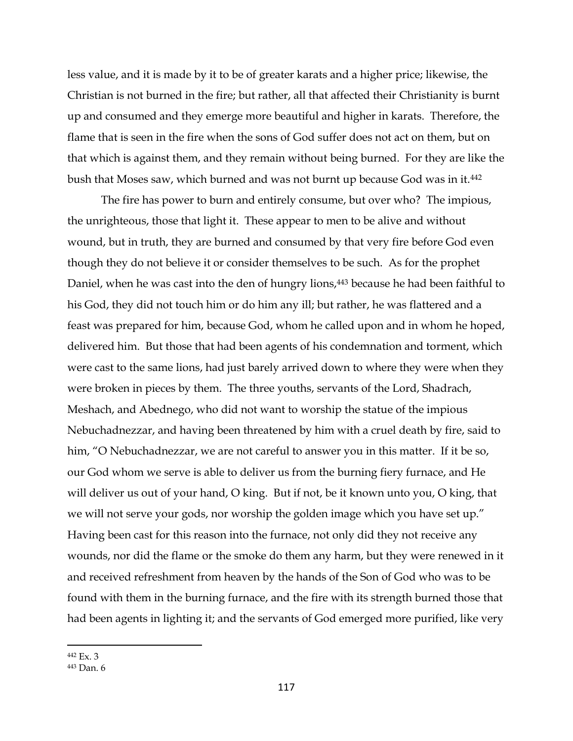less value, and it is made by it to be of greater karats and a higher price; likewise, the Christian is not burned in the fire; but rather, all that affected their Christianity is burnt up and consumed and they emerge more beautiful and higher in karats. Therefore, the flame that is seen in the fire when the sons of God suffer does not act on them, but on that which is against them, and they remain without being burned. For they are like the bush that Moses saw, which burned and was not burnt up because God was in it.<sup>442</sup>

The fire has power to burn and entirely consume, but over who? The impious, the unrighteous, those that light it. These appear to men to be alive and without wound, but in truth, they are burned and consumed by that very fire before God even though they do not believe it or consider themselves to be such. As for the prophet Daniel, when he was cast into the den of hungry lions,<sup>443</sup> because he had been faithful to his God, they did not touch him or do him any ill; but rather, he was flattered and a feast was prepared for him, because God, whom he called upon and in whom he hoped, delivered him. But those that had been agents of his condemnation and torment, which were cast to the same lions, had just barely arrived down to where they were when they were broken in pieces by them. The three youths, servants of the Lord, Shadrach, Meshach, and Abednego, who did not want to worship the statue of the impious Nebuchadnezzar, and having been threatened by him with a cruel death by fire, said to him, "O Nebuchadnezzar, we are not careful to answer you in this matter. If it be so, our God whom we serve is able to deliver us from the burning fiery furnace, and He will deliver us out of your hand, O king. But if not, be it known unto you, O king, that we will not serve your gods, nor worship the golden image which you have set up." Having been cast for this reason into the furnace, not only did they not receive any wounds, nor did the flame or the smoke do them any harm, but they were renewed in it and received refreshment from heaven by the hands of the Son of God who was to be found with them in the burning furnace, and the fire with its strength burned those that had been agents in lighting it; and the servants of God emerged more purified, like very

<sup>442</sup> Ex. 3

<sup>443</sup> Dan. 6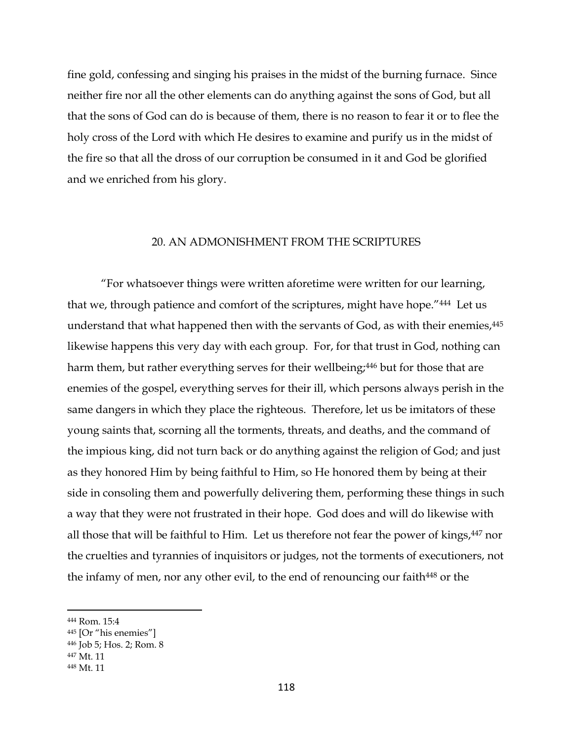fine gold, confessing and singing his praises in the midst of the burning furnace. Since neither fire nor all the other elements can do anything against the sons of God, but all that the sons of God can do is because of them, there is no reason to fear it or to flee the holy cross of the Lord with which He desires to examine and purify us in the midst of the fire so that all the dross of our corruption be consumed in it and God be glorified and we enriched from his glory.

## 20. AN ADMONISHMENT FROM THE SCRIPTURES

"For whatsoever things were written aforetime were written for our learning, that we, through patience and comfort of the scriptures, might have hope."<sup>444</sup> Let us understand that what happened then with the servants of God, as with their enemies,<sup>445</sup> likewise happens this very day with each group. For, for that trust in God, nothing can harm them, but rather everything serves for their wellbeing;<sup>446</sup> but for those that are enemies of the gospel, everything serves for their ill, which persons always perish in the same dangers in which they place the righteous. Therefore, let us be imitators of these young saints that, scorning all the torments, threats, and deaths, and the command of the impious king, did not turn back or do anything against the religion of God; and just as they honored Him by being faithful to Him, so He honored them by being at their side in consoling them and powerfully delivering them, performing these things in such a way that they were not frustrated in their hope. God does and will do likewise with all those that will be faithful to Him. Let us therefore not fear the power of kings,<sup>447</sup> nor the cruelties and tyrannies of inquisitors or judges, not the torments of executioners, not the infamy of men, nor any other evil, to the end of renouncing our faith<sup>448</sup> or the

<sup>447</sup> Mt. 11

<sup>444</sup> Rom. 15:4

<sup>445</sup> [Or "his enemies"]

<sup>446</sup> Job 5; Hos. 2; Rom. 8

<sup>448</sup> Mt. 11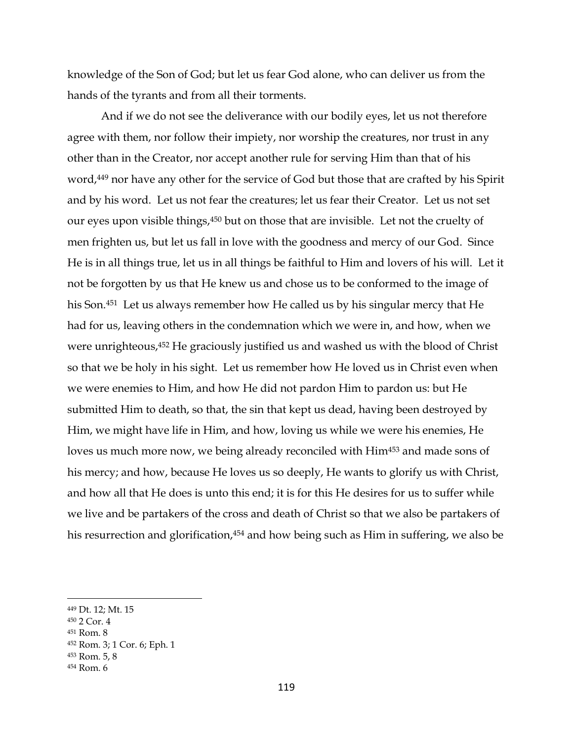knowledge of the Son of God; but let us fear God alone, who can deliver us from the hands of the tyrants and from all their torments.

And if we do not see the deliverance with our bodily eyes, let us not therefore agree with them, nor follow their impiety, nor worship the creatures, nor trust in any other than in the Creator, nor accept another rule for serving Him than that of his word,<sup>449</sup> nor have any other for the service of God but those that are crafted by his Spirit and by his word. Let us not fear the creatures; let us fear their Creator. Let us not set our eyes upon visible things,<sup>450</sup> but on those that are invisible. Let not the cruelty of men frighten us, but let us fall in love with the goodness and mercy of our God. Since He is in all things true, let us in all things be faithful to Him and lovers of his will. Let it not be forgotten by us that He knew us and chose us to be conformed to the image of his Son.451 Let us always remember how He called us by his singular mercy that He had for us, leaving others in the condemnation which we were in, and how, when we were unrighteous,<sup>452</sup> He graciously justified us and washed us with the blood of Christ so that we be holy in his sight. Let us remember how He loved us in Christ even when we were enemies to Him, and how He did not pardon Him to pardon us: but He submitted Him to death, so that, the sin that kept us dead, having been destroyed by Him, we might have life in Him, and how, loving us while we were his enemies, He loves us much more now, we being already reconciled with Him<sup>453</sup> and made sons of his mercy; and how, because He loves us so deeply, He wants to glorify us with Christ, and how all that He does is unto this end; it is for this He desires for us to suffer while we live and be partakers of the cross and death of Christ so that we also be partakers of his resurrection and glorification,<sup>454</sup> and how being such as Him in suffering, we also be

<sup>449</sup> Dt. 12; Mt. 15

<sup>450</sup> 2 Cor. 4

<sup>451</sup> Rom. 8

<sup>452</sup> Rom. 3; 1 Cor. 6; Eph. 1

<sup>453</sup> Rom. 5, 8

<sup>454</sup> Rom. 6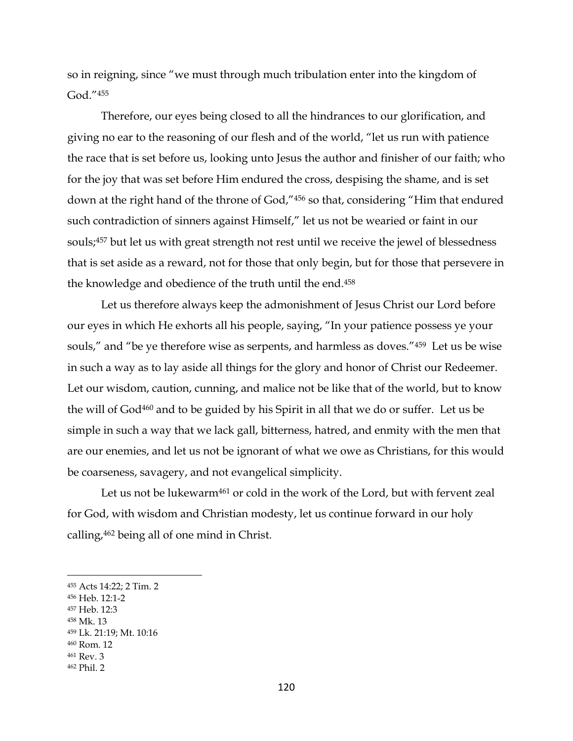so in reigning, since "we must through much tribulation enter into the kingdom of God."<sup>455</sup>

Therefore, our eyes being closed to all the hindrances to our glorification, and giving no ear to the reasoning of our flesh and of the world, "let us run with patience the race that is set before us, looking unto Jesus the author and finisher of our faith; who for the joy that was set before Him endured the cross, despising the shame, and is set down at the right hand of the throne of God," <sup>456</sup> so that, considering "Him that endured such contradiction of sinners against Himself," let us not be wearied or faint in our souls; <sup>457</sup> but let us with great strength not rest until we receive the jewel of blessedness that is set aside as a reward, not for those that only begin, but for those that persevere in the knowledge and obedience of the truth until the end.<sup>458</sup>

Let us therefore always keep the admonishment of Jesus Christ our Lord before our eyes in which He exhorts all his people, saying, "In your patience possess ye your souls," and "be ye therefore wise as serpents, and harmless as doves."459 Let us be wise in such a way as to lay aside all things for the glory and honor of Christ our Redeemer. Let our wisdom, caution, cunning, and malice not be like that of the world, but to know the will of God<sup>460</sup> and to be guided by his Spirit in all that we do or suffer. Let us be simple in such a way that we lack gall, bitterness, hatred, and enmity with the men that are our enemies, and let us not be ignorant of what we owe as Christians, for this would be coarseness, savagery, and not evangelical simplicity.

Let us not be lukewarm<sup>461</sup> or cold in the work of the Lord, but with fervent zeal for God, with wisdom and Christian modesty, let us continue forward in our holy calling,<sup>462</sup> being all of one mind in Christ.

- <sup>456</sup> Heb. 12:1-2
- <sup>457</sup> Heb. 12:3
- <sup>458</sup> Mk. 13

 $\overline{a}$ 

<sup>461</sup> Rev. 3

<sup>455</sup> Acts 14:22; 2 Tim. 2

<sup>459</sup> Lk. 21:19; Mt. 10:16

<sup>460</sup> Rom. 12

<sup>462</sup> Phil. 2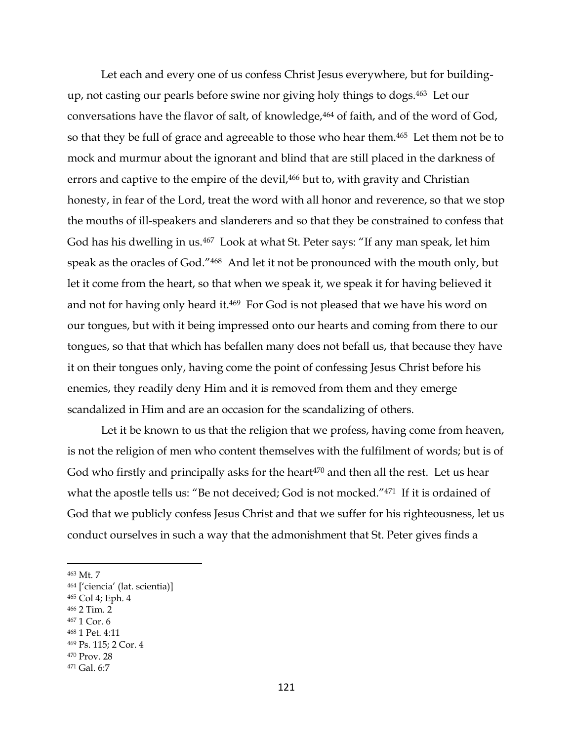Let each and every one of us confess Christ Jesus everywhere, but for buildingup, not casting our pearls before swine nor giving holy things to dogs.463 Let our conversations have the flavor of salt, of knowledge,<sup>464</sup> of faith, and of the word of God, so that they be full of grace and agreeable to those who hear them. <sup>465</sup> Let them not be to mock and murmur about the ignorant and blind that are still placed in the darkness of errors and captive to the empire of the devil,<sup>466</sup> but to, with gravity and Christian honesty, in fear of the Lord, treat the word with all honor and reverence, so that we stop the mouths of ill-speakers and slanderers and so that they be constrained to confess that God has his dwelling in us.467 Look at what St. Peter says: "If any man speak, let him speak as the oracles of God."468 And let it not be pronounced with the mouth only, but let it come from the heart, so that when we speak it, we speak it for having believed it and not for having only heard it.<sup>469</sup> For God is not pleased that we have his word on our tongues, but with it being impressed onto our hearts and coming from there to our tongues, so that that which has befallen many does not befall us, that because they have it on their tongues only, having come the point of confessing Jesus Christ before his enemies, they readily deny Him and it is removed from them and they emerge scandalized in Him and are an occasion for the scandalizing of others.

Let it be known to us that the religion that we profess, having come from heaven, is not the religion of men who content themselves with the fulfilment of words; but is of God who firstly and principally asks for the heart $470$  and then all the rest. Let us hear what the apostle tells us: "Be not deceived; God is not mocked."<sup>471</sup> If it is ordained of God that we publicly confess Jesus Christ and that we suffer for his righteousness, let us conduct ourselves in such a way that the admonishment that St. Peter gives finds a

 $\overline{a}$ 

- <sup>465</sup> Col 4; Eph. 4
- <sup>466</sup> 2 Tim. 2
- <sup>467</sup> 1 Cor. 6

<sup>470</sup> Prov. 28

<sup>463</sup> Mt. 7

<sup>464</sup> ['ciencia' (lat. scientia)]

<sup>468</sup> 1 Pet. 4:11

<sup>469</sup> Ps. 115; 2 Cor. 4

<sup>471</sup> Gal. 6:7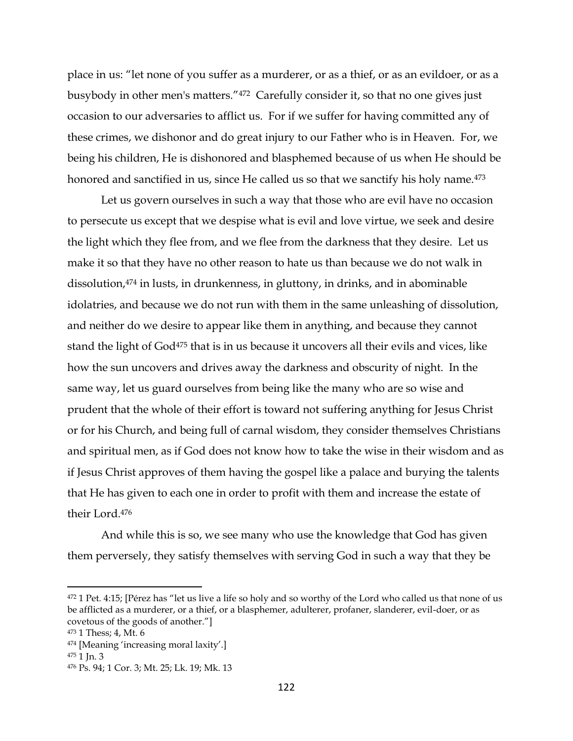place in us: "let none of you suffer as a murderer, or as a thief, or as an evildoer, or as a busybody in other men's matters."472 Carefully consider it, so that no one gives just occasion to our adversaries to afflict us. For if we suffer for having committed any of these crimes, we dishonor and do great injury to our Father who is in Heaven. For, we being his children, He is dishonored and blasphemed because of us when He should be honored and sanctified in us, since He called us so that we sanctify his holy name.<sup>473</sup>

Let us govern ourselves in such a way that those who are evil have no occasion to persecute us except that we despise what is evil and love virtue, we seek and desire the light which they flee from, and we flee from the darkness that they desire. Let us make it so that they have no other reason to hate us than because we do not walk in dissolution, <sup>474</sup> in lusts, in drunkenness, in gluttony, in drinks, and in abominable idolatries, and because we do not run with them in the same unleashing of dissolution, and neither do we desire to appear like them in anything, and because they cannot stand the light of God<sup>475</sup> that is in us because it uncovers all their evils and vices, like how the sun uncovers and drives away the darkness and obscurity of night. In the same way, let us guard ourselves from being like the many who are so wise and prudent that the whole of their effort is toward not suffering anything for Jesus Christ or for his Church, and being full of carnal wisdom, they consider themselves Christians and spiritual men, as if God does not know how to take the wise in their wisdom and as if Jesus Christ approves of them having the gospel like a palace and burying the talents that He has given to each one in order to profit with them and increase the estate of their Lord.<sup>476</sup>

And while this is so, we see many who use the knowledge that God has given them perversely, they satisfy themselves with serving God in such a way that they be

<sup>&</sup>lt;sup>472</sup> 1 Pet. 4:15; [Pérez has "let us live a life so holy and so worthy of the Lord who called us that none of us be afflicted as a murderer, or a thief, or a blasphemer, adulterer, profaner, slanderer, evil-doer, or as covetous of the goods of another."]

<sup>473</sup> 1 Thess; 4, Mt. 6

<sup>474</sup> [Meaning 'increasing moral laxity'.]

<sup>475</sup> 1 Jn. 3

<sup>476</sup> Ps. 94; 1 Cor. 3; Mt. 25; Lk. 19; Mk. 13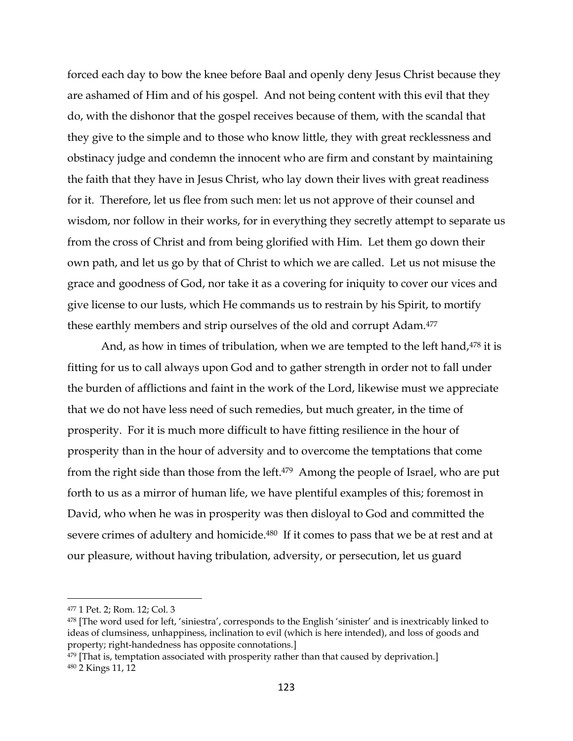forced each day to bow the knee before Baal and openly deny Jesus Christ because they are ashamed of Him and of his gospel. And not being content with this evil that they do, with the dishonor that the gospel receives because of them, with the scandal that they give to the simple and to those who know little, they with great recklessness and obstinacy judge and condemn the innocent who are firm and constant by maintaining the faith that they have in Jesus Christ, who lay down their lives with great readiness for it. Therefore, let us flee from such men: let us not approve of their counsel and wisdom, nor follow in their works, for in everything they secretly attempt to separate us from the cross of Christ and from being glorified with Him. Let them go down their own path, and let us go by that of Christ to which we are called. Let us not misuse the grace and goodness of God, nor take it as a covering for iniquity to cover our vices and give license to our lusts, which He commands us to restrain by his Spirit, to mortify these earthly members and strip ourselves of the old and corrupt Adam.<sup>477</sup>

And, as how in times of tribulation, when we are tempted to the left hand,<sup>478</sup> it is fitting for us to call always upon God and to gather strength in order not to fall under the burden of afflictions and faint in the work of the Lord, likewise must we appreciate that we do not have less need of such remedies, but much greater, in the time of prosperity. For it is much more difficult to have fitting resilience in the hour of prosperity than in the hour of adversity and to overcome the temptations that come from the right side than those from the left.<sup>479</sup> Among the people of Israel, who are put forth to us as a mirror of human life, we have plentiful examples of this; foremost in David, who when he was in prosperity was then disloyal to God and committed the severe crimes of adultery and homicide.480 If it comes to pass that we be at rest and at our pleasure, without having tribulation, adversity, or persecution, let us guard

<sup>477</sup> 1 Pet. 2; Rom. 12; Col. 3

<sup>478</sup> [The word used for left, 'siniestra', corresponds to the English 'sinister' and is inextricably linked to ideas of clumsiness, unhappiness, inclination to evil (which is here intended), and loss of goods and property; right-handedness has opposite connotations.]

 $479$  [That is, temptation associated with prosperity rather than that caused by deprivation.] <sup>480</sup> 2 Kings 11, 12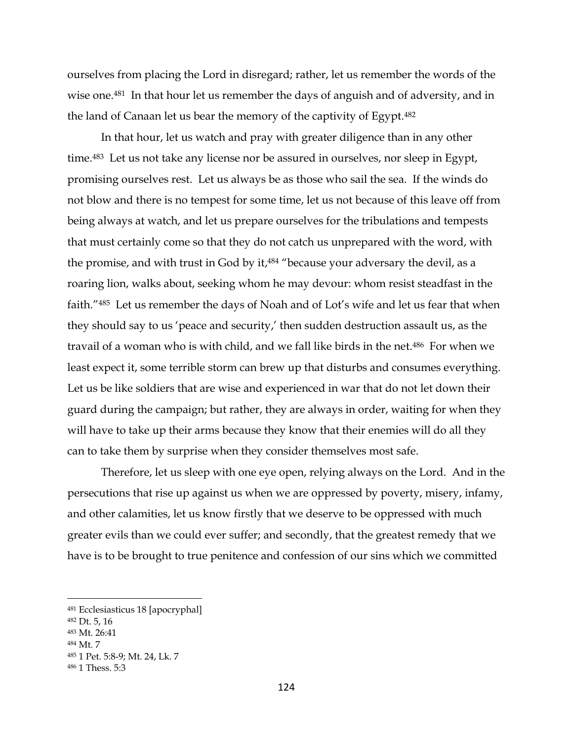ourselves from placing the Lord in disregard; rather, let us remember the words of the wise one.<sup>481</sup> In that hour let us remember the days of anguish and of adversity, and in the land of Canaan let us bear the memory of the captivity of Egypt.<sup>482</sup>

In that hour, let us watch and pray with greater diligence than in any other time.483 Let us not take any license nor be assured in ourselves, nor sleep in Egypt, promising ourselves rest. Let us always be as those who sail the sea. If the winds do not blow and there is no tempest for some time, let us not because of this leave off from being always at watch, and let us prepare ourselves for the tribulations and tempests that must certainly come so that they do not catch us unprepared with the word, with the promise, and with trust in God by it, <sup>484</sup> "because your adversary the devil, as a roaring lion, walks about, seeking whom he may devour: whom resist steadfast in the faith."485 Let us remember the days of Noah and of Lot's wife and let us fear that when they should say to us 'peace and security,' then sudden destruction assault us, as the travail of a woman who is with child, and we fall like birds in the net. <sup>486</sup> For when we least expect it, some terrible storm can brew up that disturbs and consumes everything. Let us be like soldiers that are wise and experienced in war that do not let down their guard during the campaign; but rather, they are always in order, waiting for when they will have to take up their arms because they know that their enemies will do all they can to take them by surprise when they consider themselves most safe.

Therefore, let us sleep with one eye open, relying always on the Lord. And in the persecutions that rise up against us when we are oppressed by poverty, misery, infamy, and other calamities, let us know firstly that we deserve to be oppressed with much greater evils than we could ever suffer; and secondly, that the greatest remedy that we have is to be brought to true penitence and confession of our sins which we committed

<sup>481</sup> Ecclesiasticus 18 [apocryphal]

<sup>482</sup> Dt. 5, 16

<sup>483</sup> Mt. 26:41

<sup>484</sup> Mt. 7

<sup>485</sup> 1 Pet. 5:8-9; Mt. 24, Lk. 7

<sup>486</sup> 1 Thess. 5:3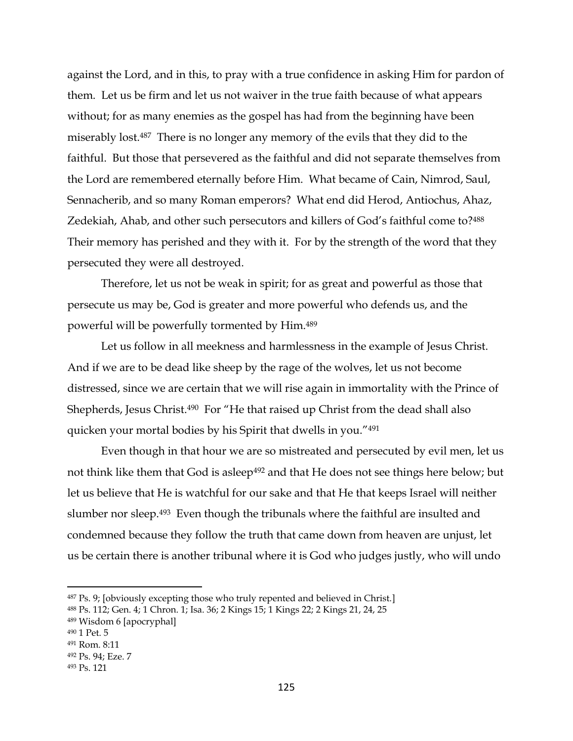against the Lord, and in this, to pray with a true confidence in asking Him for pardon of them. Let us be firm and let us not waiver in the true faith because of what appears without; for as many enemies as the gospel has had from the beginning have been miserably lost.487 There is no longer any memory of the evils that they did to the faithful. But those that persevered as the faithful and did not separate themselves from the Lord are remembered eternally before Him. What became of Cain, Nimrod, Saul, Sennacherib, and so many Roman emperors? What end did Herod, Antiochus, Ahaz, Zedekiah, Ahab, and other such persecutors and killers of God's faithful come to?<sup>488</sup> Their memory has perished and they with it. For by the strength of the word that they persecuted they were all destroyed.

Therefore, let us not be weak in spirit; for as great and powerful as those that persecute us may be, God is greater and more powerful who defends us, and the powerful will be powerfully tormented by Him.<sup>489</sup>

Let us follow in all meekness and harmlessness in the example of Jesus Christ. And if we are to be dead like sheep by the rage of the wolves, let us not become distressed, since we are certain that we will rise again in immortality with the Prince of Shepherds, Jesus Christ.<sup>490</sup> For "He that raised up Christ from the dead shall also quicken your mortal bodies by his Spirit that dwells in you."<sup>491</sup>

Even though in that hour we are so mistreated and persecuted by evil men, let us not think like them that God is asleep<sup>492</sup> and that He does not see things here below; but let us believe that He is watchful for our sake and that He that keeps Israel will neither slumber nor sleep.493 Even though the tribunals where the faithful are insulted and condemned because they follow the truth that came down from heaven are unjust, let us be certain there is another tribunal where it is God who judges justly, who will undo

<sup>487</sup> Ps. 9; [obviously excepting those who truly repented and believed in Christ.]

<sup>488</sup> Ps. 112; Gen. 4; 1 Chron. 1; Isa. 36; 2 Kings 15; 1 Kings 22; 2 Kings 21, 24, 25

<sup>489</sup> Wisdom 6 [apocryphal]

<sup>490</sup> 1 Pet. 5

<sup>491</sup> Rom. 8:11

<sup>492</sup> Ps. 94; Eze. 7

<sup>493</sup> Ps. 121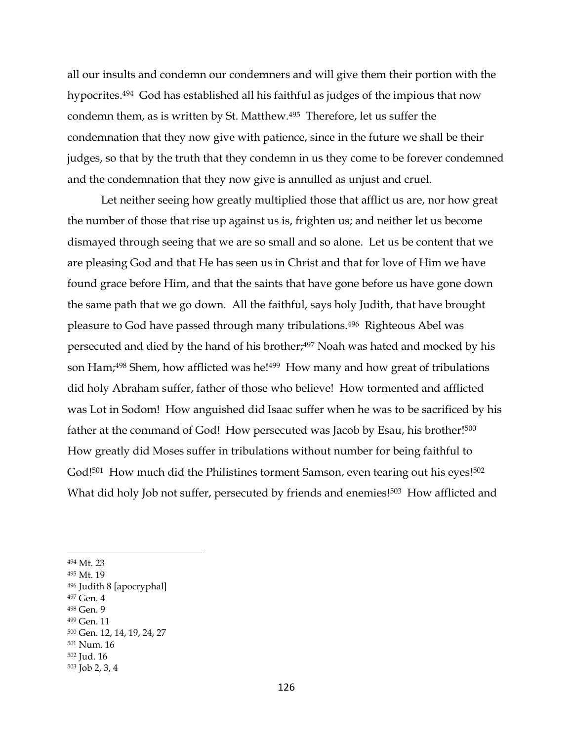all our insults and condemn our condemners and will give them their portion with the hypocrites.494 God has established all his faithful as judges of the impious that now condemn them, as is written by St. Matthew.495 Therefore, let us suffer the condemnation that they now give with patience, since in the future we shall be their judges, so that by the truth that they condemn in us they come to be forever condemned and the condemnation that they now give is annulled as unjust and cruel.

Let neither seeing how greatly multiplied those that afflict us are, nor how great the number of those that rise up against us is, frighten us; and neither let us become dismayed through seeing that we are so small and so alone. Let us be content that we are pleasing God and that He has seen us in Christ and that for love of Him we have found grace before Him, and that the saints that have gone before us have gone down the same path that we go down. All the faithful, says holy Judith, that have brought pleasure to God have passed through many tribulations.496 Righteous Abel was persecuted and died by the hand of his brother;<sup>497</sup> Noah was hated and mocked by his son Ham;<sup>498</sup> Shem, how afflicted was he!<sup>499</sup> How many and how great of tribulations did holy Abraham suffer, father of those who believe! How tormented and afflicted was Lot in Sodom! How anguished did Isaac suffer when he was to be sacrificed by his father at the command of God! How persecuted was Jacob by Esau, his brother!<sup>500</sup> How greatly did Moses suffer in tribulations without number for being faithful to God!<sup>501</sup> How much did the Philistines torment Samson, even tearing out his eyes!<sup>502</sup> What did holy Job not suffer, persecuted by friends and enemies!<sup>503</sup> How afflicted and

- <sup>497</sup> Gen. 4
- <sup>498</sup> Gen. 9

<sup>494</sup> Mt. 23

<sup>495</sup> Mt. 19

<sup>496</sup> Judith 8 [apocryphal]

<sup>499</sup> Gen. 11

<sup>500</sup> Gen. 12, 14, 19, 24, 27

<sup>501</sup> Num. 16

<sup>502</sup> Jud. 16

<sup>503</sup> Job 2, 3, 4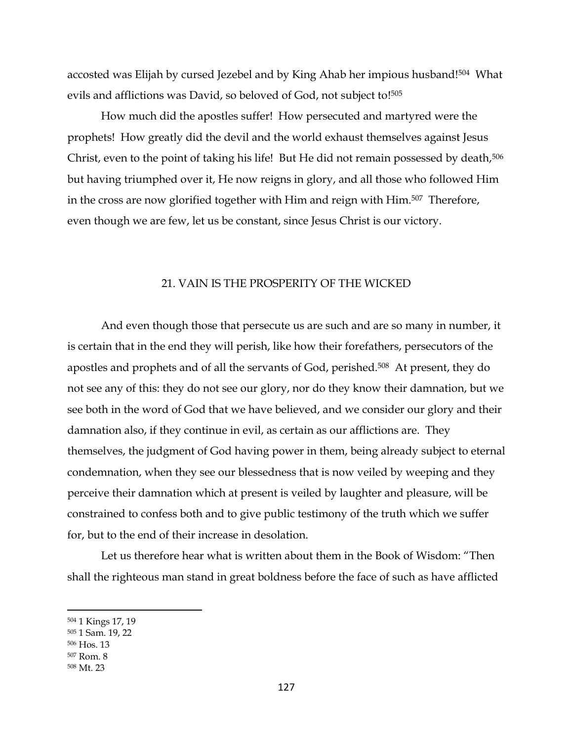accosted was Elijah by cursed Jezebel and by King Ahab her impious husband! <sup>504</sup> What evils and afflictions was David, so beloved of God, not subject to! 505

How much did the apostles suffer! How persecuted and martyred were the prophets! How greatly did the devil and the world exhaust themselves against Jesus Christ, even to the point of taking his life! But He did not remain possessed by death,<sup>506</sup> but having triumphed over it, He now reigns in glory, and all those who followed Him in the cross are now glorified together with Him and reign with Him.<sup>507</sup> Therefore, even though we are few, let us be constant, since Jesus Christ is our victory.

### 21. VAIN IS THE PROSPERITY OF THE WICKED

And even though those that persecute us are such and are so many in number, it is certain that in the end they will perish, like how their forefathers, persecutors of the apostles and prophets and of all the servants of God, perished.508 At present, they do not see any of this: they do not see our glory, nor do they know their damnation, but we see both in the word of God that we have believed, and we consider our glory and their damnation also, if they continue in evil, as certain as our afflictions are. They themselves, the judgment of God having power in them, being already subject to eternal condemnation, when they see our blessedness that is now veiled by weeping and they perceive their damnation which at present is veiled by laughter and pleasure, will be constrained to confess both and to give public testimony of the truth which we suffer for, but to the end of their increase in desolation.

Let us therefore hear what is written about them in the Book of Wisdom: "Then shall the righteous man stand in great boldness before the face of such as have afflicted

<sup>504</sup> 1 Kings 17, 19

<sup>505</sup> 1 Sam. 19, 22

<sup>506</sup> Hos. 13

<sup>507</sup> Rom. 8

<sup>508</sup> Mt. 23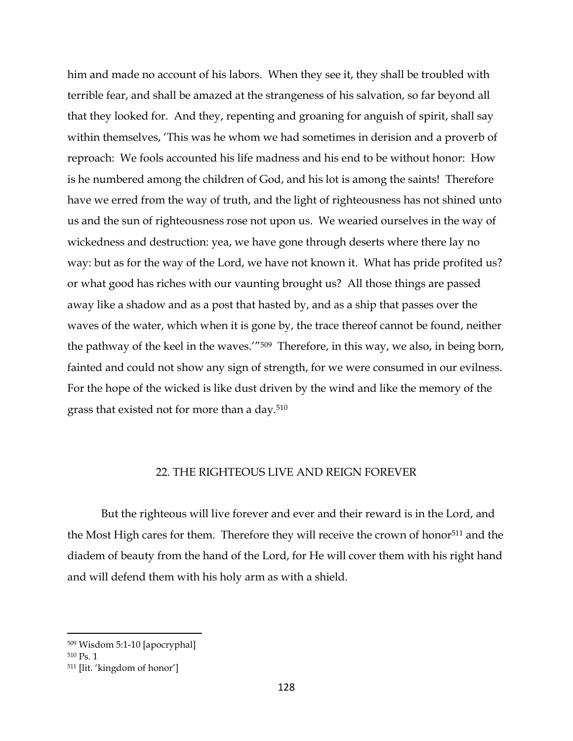him and made no account of his labors. When they see it, they shall be troubled with terrible fear, and shall be amazed at the strangeness of his salvation, so far beyond all that they looked for. And they, repenting and groaning for anguish of spirit, shall say within themselves, 'This was he whom we had sometimes in derision and a proverb of reproach: We fools accounted his life madness and his end to be without honor: How is he numbered among the children of God, and his lot is among the saints! Therefore have we erred from the way of truth, and the light of righteousness has not shined unto us and the sun of righteousness rose not upon us. We wearied ourselves in the way of wickedness and destruction: yea, we have gone through deserts where there lay no way: but as for the way of the Lord, we have not known it. What has pride profited us? or what good has riches with our vaunting brought us? All those things are passed away like a shadow and as a post that hasted by, and as a ship that passes over the waves of the water, which when it is gone by, the trace thereof cannot be found, neither the pathway of the keel in the waves.'"<sup>509</sup> Therefore, in this way, we also, in being born, fainted and could not show any sign of strength, for we were consumed in our evilness. For the hope of the wicked is like dust driven by the wind and like the memory of the grass that existed not for more than a day.<sup>510</sup>

### 22. THE RIGHTEOUS LIVE AND REIGN FOREVER

But the righteous will live forever and ever and their reward is in the Lord, and the Most High cares for them. Therefore they will receive the crown of honor<sup>511</sup> and the diadem of beauty from the hand of the Lord, for He will cover them with his right hand and will defend them with his holy arm as with a shield.

<sup>509</sup> Wisdom 5:1-10 [apocryphal]

<sup>510</sup> Ps. 1

<sup>511</sup> [lit. 'kingdom of honor']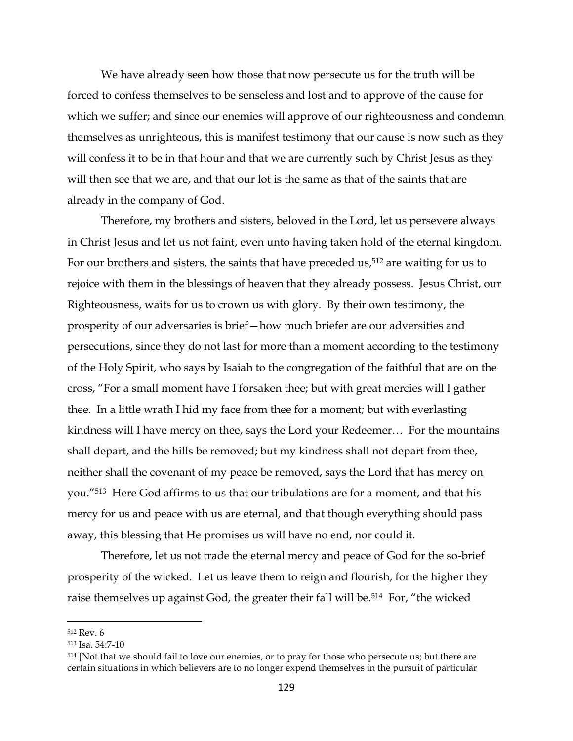We have already seen how those that now persecute us for the truth will be forced to confess themselves to be senseless and lost and to approve of the cause for which we suffer; and since our enemies will approve of our righteousness and condemn themselves as unrighteous, this is manifest testimony that our cause is now such as they will confess it to be in that hour and that we are currently such by Christ Jesus as they will then see that we are, and that our lot is the same as that of the saints that are already in the company of God.

Therefore, my brothers and sisters, beloved in the Lord, let us persevere always in Christ Jesus and let us not faint, even unto having taken hold of the eternal kingdom. For our brothers and sisters, the saints that have preceded us, <sup>512</sup> are waiting for us to rejoice with them in the blessings of heaven that they already possess. Jesus Christ, our Righteousness, waits for us to crown us with glory. By their own testimony, the prosperity of our adversaries is brief—how much briefer are our adversities and persecutions, since they do not last for more than a moment according to the testimony of the Holy Spirit, who says by Isaiah to the congregation of the faithful that are on the cross, "For a small moment have I forsaken thee; but with great mercies will I gather thee. In a little wrath I hid my face from thee for a moment; but with everlasting kindness will I have mercy on thee, says the Lord your Redeemer… For the mountains shall depart, and the hills be removed; but my kindness shall not depart from thee, neither shall the covenant of my peace be removed, says the Lord that has mercy on you."513 Here God affirms to us that our tribulations are for a moment, and that his mercy for us and peace with us are eternal, and that though everything should pass away, this blessing that He promises us will have no end, nor could it.

Therefore, let us not trade the eternal mercy and peace of God for the so-brief prosperity of the wicked. Let us leave them to reign and flourish, for the higher they raise themselves up against God, the greater their fall will be.<sup>514</sup> For, "the wicked

<sup>512</sup> Rev. 6

<sup>513</sup> Isa. 54:7-10

<sup>&</sup>lt;sup>514</sup> [Not that we should fail to love our enemies, or to pray for those who persecute us; but there are certain situations in which believers are to no longer expend themselves in the pursuit of particular